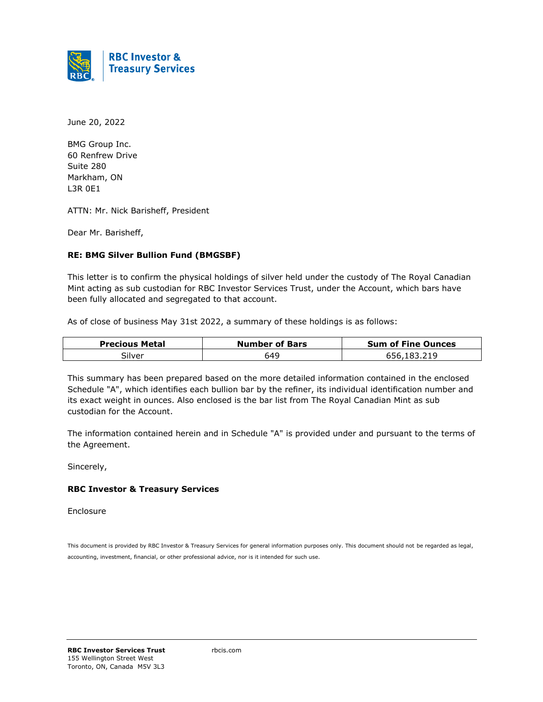

June 20, 2022

BMG Group Inc. 60 Renfrew Drive Suite 280 Markham, ON L3R 0E1

ATTN: Mr. Nick Barisheff, President

Dear Mr. Barisheff,

#### **RE: BMG Silver Bullion Fund (BMGSBF)**

This letter is to confirm the physical holdings of silver held under the custody of The Royal Canadian Mint acting as sub custodian for RBC Investor Services Trust, under the Account, which bars have been fully allocated and segregated to that account.

As of close of business May 31st 2022, a summary of these holdings is as follows:

| <b>Precious Metal</b> | <b>Number of Bars</b> | <b>Sum of Fine Ounces</b> |
|-----------------------|-----------------------|---------------------------|
| Silver                | 649                   | 656,183,219               |

This summary has been prepared based on the more detailed information contained in the enclosed Schedule "A", which identifies each bullion bar by the refiner, its individual identification number and its exact weight in ounces. Also enclosed is the bar list from The Royal Canadian Mint as sub custodian for the Account.

The information contained herein and in Schedule "A" is provided under and pursuant to the terms of the Agreement.

Sincerely,

#### **RBC Investor & Treasury Services**

Enclosure

This document is provided by RBC Investor & Treasury Services for general information purposes only. This document should not be regarded as legal, accounting, investment, financial, or other professional advice, nor is it intended for such use.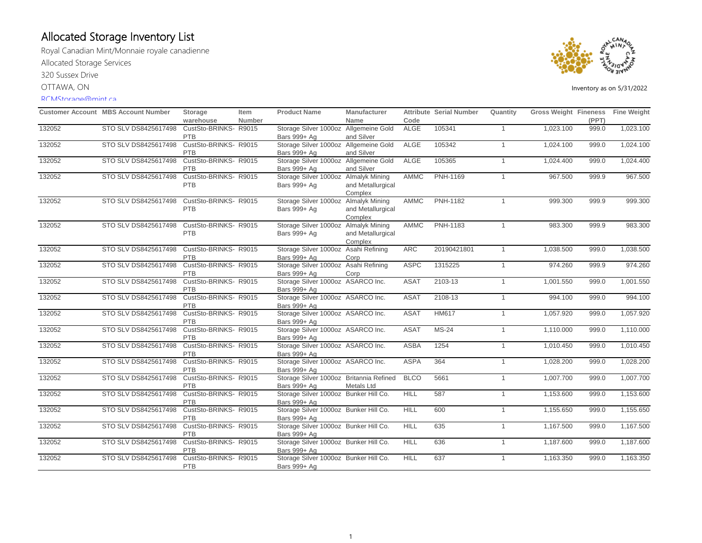Royal Canadian Mint/Monnaie royale canadienne Allocated Storage Services 320 Sussex Drive OTTAWA, ON

#### RCMStorage@mint.ca



|        | <b>Customer Account MBS Account Number</b> | Storage                      | Item          | <b>Product Name</b>                                   | <b>Manufacturer</b> |             | <b>Attribute Serial Number</b> | Quantity       | Gross Weight Fineness Fine Weight |       |           |
|--------|--------------------------------------------|------------------------------|---------------|-------------------------------------------------------|---------------------|-------------|--------------------------------|----------------|-----------------------------------|-------|-----------|
|        |                                            | warehouse                    | <b>Number</b> |                                                       | Name                | Code        |                                |                |                                   | (PPT) |           |
| 132052 | STO SLV DS8425617498                       | CustSto-BRINKS- R9015<br>PTB |               | Storage Silver 1000oz Allgemeine Gold<br>Bars 999+ Ag | and Silver          | <b>ALGE</b> | 105341                         | $\mathbf{1}$   | 1,023.100                         | 999.0 | 1,023.100 |
| 132052 | STO SLV DS8425617498                       | CustSto-BRINKS-R9015         |               | Storage Silver 1000oz Allgemeine Gold                 |                     | <b>ALGE</b> | 105342                         | $\mathbf{1}$   | 1,024.100                         | 999.0 | 1,024.100 |
|        |                                            | <b>PTB</b>                   |               | Bars 999+ Ag                                          | and Silver          |             |                                |                |                                   |       |           |
| 132052 | STO SLV DS8425617498                       | CustSto-BRINKS-R9015         |               | Storage Silver 1000oz Allgemeine Gold                 |                     | <b>ALGE</b> | 105365                         | $\overline{1}$ | 1,024.400                         | 999.0 | 1,024.400 |
|        |                                            | <b>PTB</b>                   |               | Bars 999+ Ag                                          | and Silver          |             |                                |                |                                   |       |           |
| 132052 | STO SLV DS8425617498                       | CustSto-BRINKS- R9015        |               | Storage Silver 1000oz Almalyk Mining                  |                     | AMMC        | PNH-1169                       | $\mathbf{1}$   | 967.500                           | 999.9 | 967.500   |
|        |                                            | PTB                          |               | Bars 999+ Ag                                          | and Metallurgical   |             |                                |                |                                   |       |           |
|        |                                            |                              |               |                                                       | Complex             |             |                                |                |                                   |       |           |
| 132052 | STO SLV DS8425617498                       | CustSto-BRINKS- R9015        |               | Storage Silver 1000oz Almalyk Mining                  |                     | AMMC        | <b>PNH-1182</b>                | $\overline{1}$ | 999.300                           | 999.9 | 999.300   |
|        |                                            | <b>PTB</b>                   |               | Bars 999+ Ag                                          | and Metallurgical   |             |                                |                |                                   |       |           |
|        |                                            |                              |               |                                                       | Complex             |             |                                |                |                                   |       |           |
| 132052 | STO SLV DS8425617498                       | CustSto-BRINKS- R9015        |               | Storage Silver 1000oz Almalyk Mining                  |                     | AMMC        | PNH-1183                       | $\mathbf{1}$   | 983.300                           | 999.9 | 983.300   |
|        |                                            | PTB                          |               | Bars 999+ Ag                                          | and Metallurgical   |             |                                |                |                                   |       |           |
|        |                                            |                              |               |                                                       | Complex             |             |                                |                |                                   |       |           |
| 132052 | STO SLV DS8425617498                       | CustSto-BRINKS-R9015         |               | Storage Silver 1000oz Asahi Refining                  |                     | ARC         | 20190421801                    | $\mathbf{1}$   | 1,038.500                         | 999.0 | 1,038.500 |
|        |                                            | PTB                          |               | Bars 999+ Ag                                          | Corp                |             |                                |                |                                   |       |           |
| 132052 | STO SLV DS8425617498                       | CustSto-BRINKS-R9015         |               | Storage Silver 1000oz Asahi Refining                  |                     | <b>ASPC</b> | 1315225                        | $\overline{1}$ | 974.260                           | 999.9 | 974.260   |
|        |                                            | PTB                          |               | Bars 999+ Ag                                          | Corp                |             |                                |                |                                   |       |           |
| 132052 | STO SLV DS8425617498                       | CustSto-BRINKS- R9015        |               | Storage Silver 1000oz ASARCO Inc.                     |                     | <b>ASAT</b> | 2103-13                        | $\mathbf{1}$   | 1,001.550                         | 999.0 | 1,001.550 |
|        |                                            | <b>PTB</b>                   |               | Bars 999+ Ag                                          |                     |             |                                |                |                                   |       |           |
| 132052 | STO SLV DS8425617498                       | CustSto-BRINKS-R9015         |               | Storage Silver 1000oz ASARCO Inc.                     |                     | <b>ASAT</b> | 2108-13                        | $\overline{1}$ | 994.100                           | 999.0 | 994.100   |
|        |                                            | PTB                          |               | Bars 999+ Ag                                          |                     |             |                                |                |                                   |       |           |
| 132052 | STO SLV DS8425617498                       | CustSto-BRINKS- R9015        |               | Storage Silver 1000oz ASARCO Inc.                     |                     | <b>ASAT</b> | HM617                          | $\overline{1}$ | 1,057.920                         | 999.0 | 1,057.920 |
|        |                                            | PTB                          |               | Bars 999+ Ag                                          |                     |             |                                |                |                                   |       |           |
| 132052 | STO SLV DS8425617498                       | CustSto-BRINKS- R9015        |               | Storage Silver 1000oz ASARCO Inc.                     |                     | <b>ASAT</b> | <b>MS-24</b>                   | $\mathbf{1}$   | 1,110.000                         | 999.0 | 1,110.000 |
|        |                                            | <b>PTB</b>                   |               | Bars 999+ Ag                                          |                     |             |                                |                |                                   |       |           |
| 132052 | STO SLV DS8425617498                       | CustSto-BRINKS- R9015        |               | Storage Silver 1000oz ASARCO Inc.                     |                     | <b>ASBA</b> | 1254                           | $\overline{1}$ | 1,010.450                         | 999.0 | 1,010.450 |
|        |                                            | PTB                          |               | Bars 999+ Ag                                          |                     |             |                                |                |                                   |       |           |
| 132052 | STO SLV DS8425617498                       | CustSto-BRINKS-R9015         |               | Storage Silver 1000oz ASARCO Inc.                     |                     | <b>ASPA</b> | 364                            | $\mathbf{1}$   | 1,028.200                         | 999.0 | 1,028.200 |
|        |                                            | PTB                          |               | Bars 999+ Ag                                          |                     |             |                                |                |                                   |       |           |
| 132052 | STO SLV DS8425617498                       | CustSto-BRINKS-R9015         |               | Storage Silver 1000oz Britannia Refined               |                     | <b>BLCO</b> | 5661                           | $\overline{1}$ | 1,007.700                         | 999.0 | 1,007.700 |
|        |                                            | <b>PTB</b>                   |               | Bars 999+ Ag                                          | Metals Ltd          |             |                                |                |                                   |       |           |
| 132052 | STO SLV DS8425617498                       | CustSto-BRINKS- R9015        |               | Storage Silver 1000oz Bunker Hill Co.                 |                     | HILL        | 587                            | $\mathbf{1}$   | 1,153.600                         | 999.0 | 1,153.600 |
|        |                                            | PTB                          |               | Bars 999+ Ag                                          |                     |             |                                |                |                                   |       |           |
| 132052 | STO SLV DS8425617498                       | CustSto-BRINKS- R9015        |               | Storage Silver 1000oz Bunker Hill Co.                 |                     | <b>HILL</b> | 600                            | $\overline{1}$ | 1,155.650                         | 999.0 | 1,155.650 |
|        |                                            | PTB                          |               | Bars 999+ Ag                                          |                     |             |                                |                |                                   |       |           |
| 132052 | STO SLV DS8425617498                       | CustSto-BRINKS- R9015        |               | Storage Silver 1000oz Bunker Hill Co.                 |                     | <b>HILL</b> | 635                            | $\mathbf{1}$   | 1,167.500                         | 999.0 | 1,167.500 |
|        |                                            | PTB                          |               | Bars 999+ Ag                                          |                     |             |                                |                |                                   |       |           |
| 132052 | STO SLV DS8425617498                       | CustSto-BRINKS- R9015        |               | Storage Silver 1000oz Bunker Hill Co.                 |                     | <b>HILL</b> | 636                            | $\mathbf{1}$   | 1,187.600                         | 999.0 | 1,187.600 |
|        |                                            | <b>PTB</b>                   |               | Bars 999+ Ag                                          |                     |             |                                |                |                                   |       |           |
| 132052 | STO SLV DS8425617498                       | CustSto-BRINKS- R9015        |               | Storage Silver 1000oz Bunker Hill Co.                 |                     | <b>HILL</b> | 637                            | $\mathbf{1}$   | 1,163.350                         | 999.0 | 1,163.350 |
|        |                                            | <b>PTB</b>                   |               | Bars 999+ Ag                                          |                     |             |                                |                |                                   |       |           |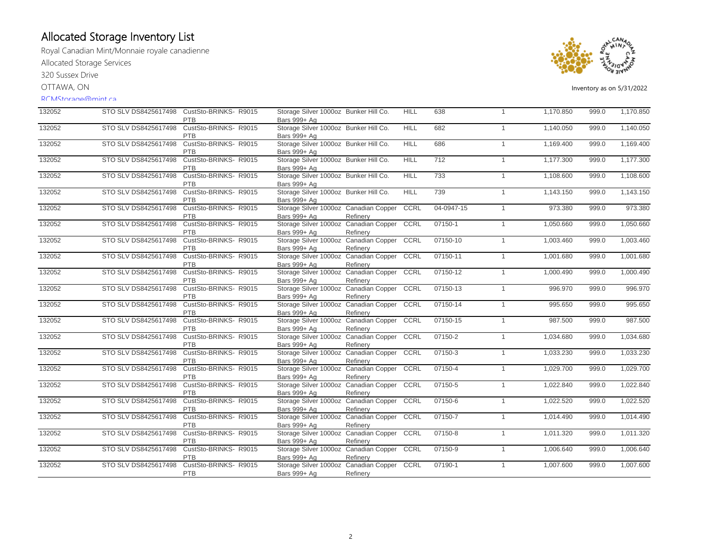Royal Canadian Mint/Monnaie royale canadienne Allocated Storage Services

320 Sussex Drive

OTTAWA, ON

#### RCMStorage@mint.ca



| 132052 |                      | STO SLV DS8425617498 CustSto-BRINKS-R9015<br>PTB | Storage Silver 1000oz Bunker Hill Co.<br>Bars 999+ Ag      |          | <b>HILL</b> | 638             | $\overline{1}$ | 1,170.850 | 999.0 | 1,170.850 |
|--------|----------------------|--------------------------------------------------|------------------------------------------------------------|----------|-------------|-----------------|----------------|-----------|-------|-----------|
| 132052 | STO SLV DS8425617498 | CustSto-BRINKS- R9015<br>PTB                     | Storage Silver 1000oz Bunker Hill Co.<br>Bars 999+ Ag      |          | <b>HILL</b> | 682             | $\overline{1}$ | 1,140.050 | 999.0 | 1,140.050 |
| 132052 | STO SLV DS8425617498 | CustSto-BRINKS-R9015<br><b>PTB</b>               | Storage Silver 1000oz Bunker Hill Co.<br>Bars 999+ Ag      |          | <b>HILL</b> | 686             | $\overline{1}$ | 1,169.400 | 999.0 | 1,169.400 |
| 132052 | STO SLV DS8425617498 | CustSto-BRINKS-R9015<br>PTB                      | Storage Silver 1000oz Bunker Hill Co.<br>Bars 999+ Ag      |          | <b>HILL</b> | $\frac{1}{712}$ | $\overline{1}$ | 1,177.300 | 999.0 | 1,177.300 |
| 132052 | STO SLV DS8425617498 | CustSto-BRINKS-R9015<br>PTB                      | Storage Silver 1000oz Bunker Hill Co.<br>Bars 999+ Ag      |          | <b>HILL</b> | 733             | $\overline{1}$ | 1,108.600 | 999.0 | 1,108.600 |
| 132052 | STO SLV DS8425617498 | CustSto-BRINKS- R9015<br>PTB                     | Storage Silver 1000oz Bunker Hill Co.<br>Bars 999+ Ag      |          | <b>HILL</b> | 739             | $\overline{1}$ | 1,143.150 | 999.0 | 1,143.150 |
| 132052 | STO SLV DS8425617498 | CustSto-BRINKS- R9015<br><b>PTB</b>              | Storage Silver 1000oz Canadian Copper<br>Bars 999+ Ag      | Refinery | <b>CCRL</b> | 04-0947-15      | $\mathbf{1}$   | 973.380   | 999.0 | 973.380   |
| 132052 | STO SLV DS8425617498 | CustSto-BRINKS-R9015<br>PTB                      | Storage Silver 1000oz Canadian Copper<br>Bars 999+ Ag      | Refinery | CCRL        | 07150-1         | $\mathbf{1}$   | 1,050.660 | 999.0 | 1,050.660 |
| 132052 | STO SLV DS8425617498 | CustSto-BRINKS- R9015<br>PTB                     | Storage Silver 1000oz Canadian Copper CCRL<br>Bars 999+ Ag | Refinery |             | 07150-10        | $\overline{1}$ | 1,003.460 | 999.0 | 1,003.460 |
| 132052 | STO SLV DS8425617498 | CustSto-BRINKS-R9015<br><b>PTB</b>               | Storage Silver 1000oz Canadian Copper<br>Bars 999+ Ag      | Refinery | CCRL        | 07150-11        | $\overline{1}$ | 1,001.680 | 999.0 | 1,001.680 |
| 132052 | STO SLV DS8425617498 | CustSto-BRINKS- R9015<br>PTB                     | Storage Silver 1000oz Canadian Copper<br>Bars 999+ Ag      | Refinery | CCRL        | 07150-12        | $\overline{1}$ | 1,000.490 | 999.0 | 1,000.490 |
| 132052 | STO SLV DS8425617498 | CustSto-BRINKS-R9015<br>PTB                      | Storage Silver 1000oz Canadian Copper<br>Bars 999+ Ag      | Refinerv | CCRL        | 07150-13        | $\overline{1}$ | 996.970   | 999.0 | 996.970   |
| 132052 | STO SLV DS8425617498 | CustSto-BRINKS-R9015<br>PTB                      | Storage Silver 1000oz Canadian Copper<br>Bars 999+ Ag      | Refinery | CCRL        | 07150-14        | $\overline{1}$ | 995.650   | 999.0 | 995.650   |
| 132052 | STO SLV DS8425617498 | CustSto-BRINKS- R9015<br>PTB                     | Storage Silver 1000oz Canadian Copper<br>Bars 999+ Ag      | Refinery | CCRL        | 07150-15        | $\overline{1}$ | 987.500   | 999.0 | 987.500   |
| 132052 | STO SLV DS8425617498 | CustSto-BRINKS-R9015<br>PTB                      | Storage Silver 1000oz Canadian Copper<br>Bars 999+ Ag      | Refinery | CCRL        | 07150-2         | $\mathbf{1}$   | 1,034.680 | 999.0 | 1,034.680 |
| 132052 | STO SLV DS8425617498 | CustSto-BRINKS-R9015<br><b>PTB</b>               | Storage Silver 1000oz Canadian Copper<br>Bars 999+ Ag      | Refinery | CCRL        | 07150-3         | $\mathbf{1}$   | 1,033.230 | 999.0 | 1,033.230 |
| 132052 | STO SLV DS8425617498 | CustSto-BRINKS-R9015<br><b>PTB</b>               | Storage Silver 1000oz Canadian Copper<br>Bars 999+ Ag      | Refinery | CCRL        | 07150-4         | $\overline{1}$ | 1,029.700 | 999.0 | 1,029.700 |
| 132052 | STO SLV DS8425617498 | CustSto-BRINKS- R9015<br>PTB                     | Storage Silver 1000oz Canadian Copper<br>Bars 999+ Ag      | Refinery | CCRL        | 07150-5         | $\overline{1}$ | 1,022.840 | 999.0 | 1,022.840 |
| 132052 | STO SLV DS8425617498 | CustSto-BRINKS- R9015<br>PTB                     | Storage Silver 1000oz Canadian Copper<br>Bars 999+ Ag      | Refinery | CCRL        | 07150-6         | $\overline{1}$ | 1,022.520 | 999.0 | 1,022.520 |
| 132052 | STO SLV DS8425617498 | CustSto-BRINKS-R9015<br>PTB                      | Storage Silver 1000oz Canadian Copper<br>Bars 999+ Ag      | Refinery | CCRL        | 07150-7         | $\overline{1}$ | 1,014.490 | 999.0 | 1,014.490 |
| 132052 | STO SLV DS8425617498 | CustSto-BRINKS- R9015<br><b>PTB</b>              | Storage Silver 1000oz Canadian Copper<br>Bars 999+ Ag      | Refinery | CCRL        | 07150-8         | $\overline{1}$ | 1,011.320 | 999.0 | 1,011.320 |
| 132052 | STO SLV DS8425617498 | CustSto-BRINKS- R9015<br>PTB                     | Storage Silver 1000oz Canadian Copper CCRL<br>Bars 999+ Ag | Refinery |             | 07150-9         | $\overline{1}$ | 1,006.640 | 999.0 | 1,006.640 |
| 132052 | STO SLV DS8425617498 | CustSto-BRINKS- R9015<br>PTB                     | Storage Silver 1000oz Canadian Copper<br>Bars 999+ Ag      | Refinery | CCRL        | 07190-1         | $\overline{1}$ | 1,007.600 | 999.0 | 1,007.600 |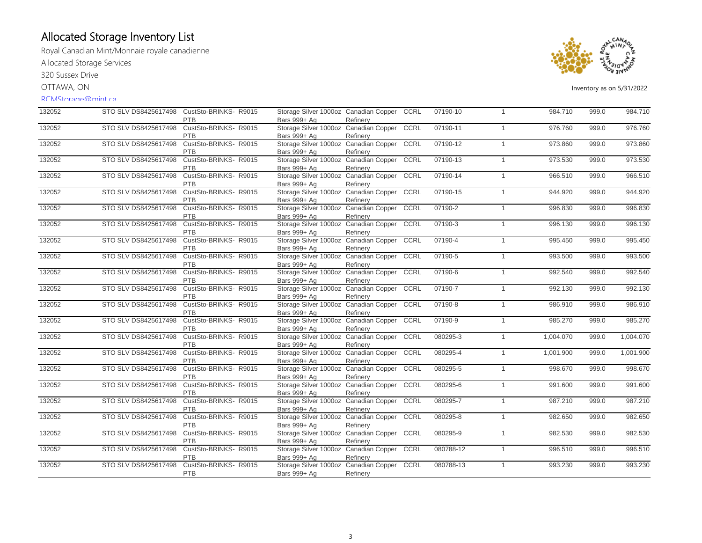Royal Canadian Mint/Monnaie royale canadienne Allocated Storage Services

320 Sussex Drive

OTTAWA, ON

#### RCMStorage@mint.ca



| 132052 | STO SLV DS8425617498 | CustSto-BRINKS-R9015<br><b>PTB</b>  | Storage Silver 1000oz Canadian Copper CCRL<br>Bars 999+ Ag | Refinerv |      | 07190-10  | $\mathbf{1}$ | 984.710   | 999.0 | 984.710   |
|--------|----------------------|-------------------------------------|------------------------------------------------------------|----------|------|-----------|--------------|-----------|-------|-----------|
| 132052 | STO SLV DS8425617498 | CustSto-BRINKS-R9015<br><b>PTB</b>  | Storage Silver 1000oz Canadian Copper<br>Bars 999+ Ag      | Refinery | CCRL | 07190-11  | $\mathbf{1}$ | 976.760   | 999.0 | 976.760   |
| 132052 | STO SLV DS8425617498 | CustSto-BRINKS-R9015<br>PTB         | Storage Silver 1000oz Canadian Copper CCRL<br>Bars 999+ Ag | Refinerv |      | 07190-12  | $\mathbf{1}$ | 973.860   | 999.0 | 973.860   |
| 132052 | STO SLV DS8425617498 | CustSto-BRINKS- R9015<br>PTB        | Storage Silver 1000oz Canadian Copper CCRL<br>Bars 999+ Ag | Refinery |      | 07190-13  | $\mathbf{1}$ | 973.530   | 999.0 | 973.530   |
| 132052 | STO SLV DS8425617498 | CustSto-BRINKS-R9015<br><b>PTB</b>  | Storage Silver 1000oz Canadian Copper<br>Bars 999+ Ag      | Refinery | CCRL | 07190-14  | $\mathbf{1}$ | 966.510   | 999.0 | 966.510   |
| 132052 | STO SLV DS8425617498 | CustSto-BRINKS- R9015<br><b>PTB</b> | Storage Silver 1000oz Canadian Copper<br>Bars 999+ Ag      | Refinery | CCRL | 07190-15  | $\mathbf{1}$ | 944.920   | 999.0 | 944.920   |
| 132052 | STO SLV DS8425617498 | CustSto-BRINKS- R9015<br><b>PTB</b> | Storage Silver 1000oz Canadian Copper<br>Bars 999+ Ag      | Refinery | CCRL | 07190-2   | $\mathbf{1}$ | 996.830   | 999.0 | 996.830   |
| 132052 | STO SLV DS8425617498 | CustSto-BRINKS-R9015<br><b>PTB</b>  | Storage Silver 1000oz Canadian Copper CCRL<br>Bars 999+ Ag | Refinery |      | 07190-3   | $\mathbf{1}$ | 996.130   | 999.0 | 996.130   |
| 132052 | STO SLV DS8425617498 | CustSto-BRINKS- R9015<br>PTB        | Storage Silver 1000oz Canadian Copper CCRL<br>Bars 999+ Ag | Refinery |      | 07190-4   | $\mathbf{1}$ | 995.450   | 999.0 | 995.450   |
| 132052 | STO SLV DS8425617498 | CustSto-BRINKS-R9015<br><b>PTB</b>  | Storage Silver 1000oz Canadian Copper CCRL<br>Bars 999+ Ag | Refinery |      | 07190-5   | $\mathbf{1}$ | 993.500   | 999.0 | 993.500   |
| 132052 | STO SLV DS8425617498 | CustSto-BRINKS- R9015<br><b>PTB</b> | Storage Silver 1000oz Canadian Copper<br>Bars 999+ Ag      | Refinery | CCRL | 07190-6   | $\mathbf{1}$ | 992.540   | 999.0 | 992.540   |
| 132052 | STO SLV DS8425617498 | CustSto-BRINKS- R9015<br>PTB        | Storage Silver 1000oz Canadian Copper<br>Bars 999+ Ag      | Refinerv | CCRL | 07190-7   | $\mathbf{1}$ | 992.130   | 999.0 | 992.130   |
| 132052 | STO SLV DS8425617498 | CustSto-BRINKS- R9015<br>PTB        | Storage Silver 1000oz Canadian Copper CCRL<br>Bars 999+ Ag | Refinerv |      | 07190-8   | $\mathbf{1}$ | 986.910   | 999.0 | 986.910   |
| 132052 | STO SLV DS8425617498 | CustSto-BRINKS-R9015<br>PTB         | Storage Silver 1000oz Canadian Copper<br>Bars 999+ Ag      | Refinery | CCRL | 07190-9   | $\mathbf{1}$ | 985.270   | 999.0 | 985.270   |
| 132052 | STO SLV DS8425617498 | CustSto-BRINKS-R9015<br>PTB         | Storage Silver 1000oz Canadian Copper<br>Bars 999+ Ag      | Refinery | CCRL | 080295-3  | $\mathbf{1}$ | 1,004.070 | 999.0 | 1,004.070 |
| 132052 | STO SLV DS8425617498 | CustSto-BRINKS-R9015<br><b>PTB</b>  | Storage Silver 1000oz Canadian Copper<br>Bars 999+ Ag      | Refinery | CCRL | 080295-4  | $\mathbf{1}$ | 1,001.900 | 999.0 | 1,001.900 |
| 132052 | STO SLV DS8425617498 | CustSto-BRINKS- R9015<br><b>PTB</b> | Storage Silver 1000oz Canadian Copper CCRL<br>Bars 999+ Ag | Refinery |      | 080295-5  | $\mathbf{1}$ | 998.670   | 999.0 | 998.670   |
| 132052 | STO SLV DS8425617498 | CustSto-BRINKS-R9015<br><b>PTB</b>  | Storage Silver 1000oz Canadian Copper<br>Bars 999+ Ag      | Refinery | CCRL | 080295-6  | 1            | 991.600   | 999.0 | 991.600   |
| 132052 | STO SLV DS8425617498 | CustSto-BRINKS-R9015<br>PTB         | Storage Silver 1000oz Canadian Copper<br>Bars 999+ Ag      | Refinery | CCRL | 080295-7  | $\mathbf{1}$ | 987.210   | 999.0 | 987.210   |
| 132052 | STO SLV DS8425617498 | CustSto-BRINKS-R9015<br>PTB         | Storage Silver 1000oz Canadian Copper<br>Bars 999+ Ag      | Refinery | CCRL | 080295-8  | $\mathbf{1}$ | 982.650   | 999.0 | 982.650   |
| 132052 | STO SLV DS8425617498 | CustSto-BRINKS-R9015<br><b>PTB</b>  | Storage Silver 1000oz Canadian Copper<br>Bars 999+ Ag      | Refinery | CCRL | 080295-9  | $\mathbf{1}$ | 982.530   | 999.0 | 982.530   |
| 132052 | STO SLV DS8425617498 | CustSto-BRINKS-R9015<br>PTB         | Storage Silver 1000oz Canadian Copper CCRL<br>Bars 999+ Ag | Refinery |      | 080788-12 | $\mathbf{1}$ | 996.510   | 999.0 | 996.510   |
| 132052 | STO SLV DS8425617498 | CustSto-BRINKS- R9015<br>PTB        | Storage Silver 1000oz Canadian Copper CCRL<br>Bars 999+ Ag | Refinery |      | 080788-13 | $\mathbf{1}$ | 993.230   | 999.0 | 993.230   |
|        |                      |                                     |                                                            |          |      |           |              |           |       |           |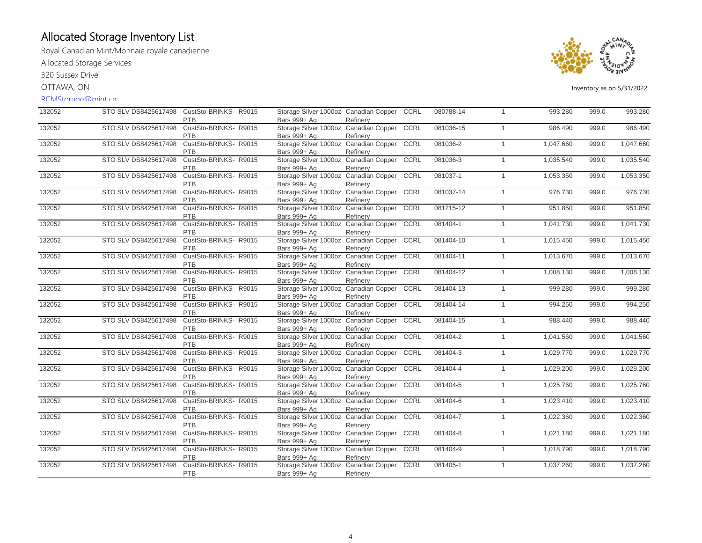Royal Canadian Mint/Monnaie royale canadienne Allocated Storage Services

320 Sussex Drive

OTTAWA, ON

#### RCMStorage@mint.ca



| 132052 | STO SLV DS8425617498 | CustSto-BRINKS-R9015<br>PTB         | Storage Silver 1000oz Canadian Copper CCRL<br>Bars 999+ Ag | Refinerv |      | 080788-14 | $\mathbf{1}$ | 993.280   | 999.0 | 993.280   |
|--------|----------------------|-------------------------------------|------------------------------------------------------------|----------|------|-----------|--------------|-----------|-------|-----------|
| 132052 | STO SLV DS8425617498 | CustSto-BRINKS-R9015<br><b>PTB</b>  | Storage Silver 1000oz Canadian Copper<br>Bars 999+ Ag      | Refinery | CCRL | 081036-15 | $\mathbf{1}$ | 986.490   | 999.0 | 986.490   |
| 132052 | STO SLV DS8425617498 | CustSto-BRINKS-R9015<br>PTB         | Storage Silver 1000oz Canadian Copper<br>Bars 999+ Ag      | Refinerv | CCRL | 081036-2  | $\mathbf{1}$ | 1,047.660 | 999.0 | 1,047.660 |
| 132052 | STO SLV DS8425617498 | CustSto-BRINKS-R9015<br>PTB         | Storage Silver 1000oz Canadian Copper CCRL<br>Bars 999+ Ag | Refinery |      | 081036-3  | $\mathbf{1}$ | 1,035.540 | 999.0 | 1,035.540 |
| 132052 | STO SLV DS8425617498 | CustSto-BRINKS-R9015<br><b>PTB</b>  | Storage Silver 1000oz Canadian Copper<br>Bars 999+ Ag      | Refinery | CCRL | 081037-1  | $\mathbf{1}$ | 1,053.350 | 999.0 | 1,053.350 |
| 132052 | STO SLV DS8425617498 | CustSto-BRINKS- R9015<br><b>PTB</b> | Storage Silver 1000oz Canadian Copper<br>Bars 999+ Ag      | Refinery | CCRL | 081037-14 | $\mathbf{1}$ | 976.730   | 999.0 | 976.730   |
| 132052 | STO SLV DS8425617498 | CustSto-BRINKS- R9015<br><b>PTB</b> | Storage Silver 1000oz Canadian Copper<br>Bars 999+ Ag      | Refinery | CCRL | 081215-12 | $\mathbf{1}$ | 951.850   | 999.0 | 951.850   |
| 132052 | STO SLV DS8425617498 | CustSto-BRINKS-R9015<br><b>PTB</b>  | Storage Silver 1000oz Canadian Copper<br>Bars 999+ Ag      | Refinery | CCRL | 081404-1  | $\mathbf{1}$ | 1.041.730 | 999.0 | 1,041.730 |
| 132052 | STO SLV DS8425617498 | CustSto-BRINKS-R9015<br>PTB         | Storage Silver 1000oz Canadian Copper<br>Bars 999+ Ag      | Refinery | CCRL | 081404-10 | $\mathbf{1}$ | 1.015.450 | 999.0 | 1,015.450 |
| 132052 | STO SLV DS8425617498 | CustSto-BRINKS- R9015<br><b>PTB</b> | Storage Silver 1000oz Canadian Copper<br>Bars 999+ Ag      | Refinery | CCRL | 081404-11 | $\mathbf{1}$ | 1,013.670 | 999.0 | 1,013.670 |
| 132052 | STO SLV DS8425617498 | CustSto-BRINKS- R9015<br>PTB        | Storage Silver 1000oz Canadian Copper<br>Bars 999+ Ag      | Refinery | CCRL | 081404-12 | $\mathbf{1}$ | 1,008.130 | 999.0 | 1,008.130 |
| 132052 | STO SLV DS8425617498 | CustSto-BRINKS-R9015<br>PTB         | Storage Silver 1000oz Canadian Copper<br>Bars 999+ Ag      | Refinerv | CCRL | 081404-13 | $\mathbf{1}$ | 999.280   | 999.0 | 999.280   |
| 132052 | STO SLV DS8425617498 | CustSto-BRINKS-R9015<br>PTB         | Storage Silver 1000oz Canadian Copper CCRL<br>Bars 999+ Ag | Refinerv |      | 081404-14 | $\mathbf{1}$ | 994.250   | 999.0 | 994.250   |
| 132052 | STO SLV DS8425617498 | CustSto-BRINKS-R9015<br>PTB         | Storage Silver 1000oz Canadian Copper<br>Bars 999+ Ag      | Refinery | CCRL | 081404-15 | $\mathbf{1}$ | 988.440   | 999.0 | 988.440   |
| 132052 | STO SLV DS8425617498 | CustSto-BRINKS-R9015<br>PTB         | Storage Silver 1000oz Canadian Copper<br>Bars 999+ Ag      | Refinery | CCRL | 081404-2  | $\mathbf{1}$ | 1,041.560 | 999.0 | 1,041.560 |
| 132052 | STO SLV DS8425617498 | CustSto-BRINKS-R9015<br><b>PTB</b>  | Storage Silver 1000oz Canadian Copper<br>Bars 999+ Ag      | Refinery | CCRL | 081404-3  | $\mathbf{1}$ | 1,029.770 | 999.0 | 1,029.770 |
| 132052 | STO SLV DS8425617498 | CustSto-BRINKS- R9015<br><b>PTB</b> | Storage Silver 1000oz Canadian Copper CCRL<br>Bars 999+ Ag | Refinery |      | 081404-4  | $\mathbf{1}$ | 1,029.200 | 999.0 | 1,029.200 |
| 132052 | STO SLV DS8425617498 | CustSto-BRINKS-R9015<br><b>PTB</b>  | Storage Silver 1000oz Canadian Copper<br>Bars 999+ Ag      | Refinery | CCRL | 081404-5  | $\mathbf{1}$ | 1,025.760 | 999.0 | 1,025.760 |
| 132052 | STO SLV DS8425617498 | CustSto-BRINKS-R9015<br>PTB         | Storage Silver 1000oz Canadian Copper<br>Bars 999+ Ag      | Refinery | CCRL | 081404-6  | $\mathbf{1}$ | 1,023.410 | 999.0 | 1,023.410 |
| 132052 | STO SLV DS8425617498 | CustSto-BRINKS-R9015<br>PTB         | Storage Silver 1000oz Canadian Copper<br>Bars 999+ Ag      | Refinery | CCRL | 081404-7  | $\mathbf{1}$ | 1,022.360 | 999.0 | 1,022.360 |
| 132052 | STO SLV DS8425617498 | CustSto-BRINKS-R9015<br><b>PTB</b>  | Storage Silver 1000oz Canadian Copper<br>Bars 999+ Ag      | Refinery | CCRL | 081404-8  | $\mathbf{1}$ | 1,021.180 | 999.0 | 1,021.180 |
| 132052 | STO SLV DS8425617498 | CustSto-BRINKS-R9015<br>PTB         | Storage Silver 1000oz Canadian Copper CCRL<br>Bars 999+ Ag | Refinery |      | 081404-9  | $\mathbf{1}$ | 1,018.790 | 999.0 | 1,018.790 |
| 132052 | STO SLV DS8425617498 | CustSto-BRINKS- R9015<br>PTB        | Storage Silver 1000oz Canadian Copper CCRL<br>Bars 999+ Ag | Refinery |      | 081405-1  | $\mathbf{1}$ | 1,037.260 | 999.0 | 1,037.260 |
|        |                      |                                     |                                                            |          |      |           |              |           |       |           |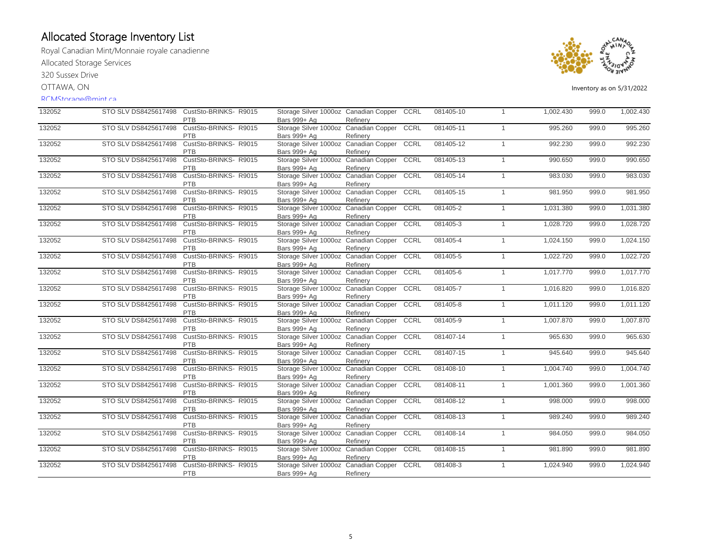Royal Canadian Mint/Monnaie royale canadienne Allocated Storage Services

320 Sussex Drive

OTTAWA, ON

#### RCMStorage@mint.ca



| 132052 | STO SLV DS8425617498 | CustSto-BRINKS-R9015                | Storage Silver 1000oz Canadian Copper                 |          | <b>CCRL</b> | 081405-10 | $\overline{1}$ | 1,002.430 | 999.0 | 1,002.430 |
|--------|----------------------|-------------------------------------|-------------------------------------------------------|----------|-------------|-----------|----------------|-----------|-------|-----------|
| 132052 | STO SLV DS8425617498 | <b>PTB</b><br>CustSto-BRINKS- R9015 | Bars 999+ Ag<br>Storage Silver 1000oz Canadian Copper | Refinery | <b>CCRL</b> | 081405-11 | $\overline{1}$ | 995.260   | 999.0 | 995.260   |
|        |                      | <b>PTB</b>                          | Bars 999+ Ag                                          | Refinery |             |           |                |           |       |           |
| 132052 | STO SLV DS8425617498 | CustSto-BRINKS-R9015                | Storage Silver 1000oz Canadian Copper                 |          | CCRL        | 081405-12 | $\mathbf{1}$   | 992.230   | 999.0 | 992.230   |
|        |                      | <b>PTB</b>                          | Bars 999+ Ag                                          | Refinery |             |           |                |           |       |           |
| 132052 | STO SLV DS8425617498 | CustSto-BRINKS- R9015               | Storage Silver 1000oz Canadian Copper                 |          | <b>CCRL</b> | 081405-13 | $\overline{1}$ | 990.650   | 999.0 | 990.650   |
|        |                      | PTB                                 | Bars 999+ Ag                                          | Refinery |             |           |                |           |       |           |
| 132052 | STO SLV DS8425617498 | CustSto-BRINKS-R9015                | Storage Silver 1000oz Canadian Copper                 |          | CCRL        | 081405-14 | $\overline{1}$ | 983.030   | 999.0 | 983.030   |
|        |                      | PTB                                 | Bars 999+ Ag                                          | Refinery |             |           |                |           |       |           |
| 132052 | STO SLV DS8425617498 | CustSto-BRINKS-R9015                | Storage Silver 1000oz Canadian Copper                 |          | CCRL        | 081405-15 | $\mathbf{1}$   | 981.950   | 999.0 | 981.950   |
|        |                      | PTB                                 | Bars 999+ Ag                                          | Refinery |             |           |                |           |       |           |
| 132052 | STO SLV DS8425617498 | CustSto-BRINKS-R9015                | Storage Silver 1000oz Canadian Copper                 |          | CCRL        | 081405-2  | $\mathbf{1}$   | 1,031.380 | 999.0 | 1,031.380 |
|        |                      | <b>PTB</b>                          | Bars 999+ Ag                                          | Refinery |             |           |                |           |       |           |
| 132052 | STO SLV DS8425617498 | CustSto-BRINKS-R9015                | Storage Silver 1000oz Canadian Copper                 |          | CCRL        | 081405-3  | $\overline{1}$ | 1,028.720 | 999.0 | 1,028.720 |
|        |                      | PTB                                 | Bars 999+ Ag                                          | Refinery |             |           |                |           |       |           |
| 132052 | STO SLV DS8425617498 | CustSto-BRINKS-R9015<br>PTB         | Storage Silver 1000oz Canadian Copper                 |          | CCRL        | 081405-4  | $\overline{1}$ | 1,024.150 | 999.0 | 1,024.150 |
| 132052 | STO SLV DS8425617498 | CustSto-BRINKS-R9015                | Bars 999+ Ag<br>Storage Silver 1000oz Canadian Copper | Refinery | CCRL        | 081405-5  |                |           |       | 1,022.720 |
|        |                      | PTB                                 |                                                       |          |             |           | $\overline{1}$ | 1,022.720 | 999.0 |           |
| 132052 | STO SLV DS8425617498 | CustSto-BRINKS-R9015                | Bars 999+ Ag<br>Storage Silver 1000oz Canadian Copper | Refinery | CCRL        | 081405-6  | $\overline{1}$ | 1,017.770 | 999.0 | 1,017.770 |
|        |                      | <b>PTB</b>                          | Bars 999+ Ag                                          |          |             |           |                |           |       |           |
| 132052 | STO SLV DS8425617498 | CustSto-BRINKS- R9015               | Storage Silver 1000oz Canadian Copper                 | Refinery | CCRL        | 081405-7  | $\overline{1}$ | 1,016.820 | 999.0 | 1,016.820 |
|        |                      | <b>PTB</b>                          | Bars 999+ Ag                                          | Refinery |             |           |                |           |       |           |
| 132052 | STO SLV DS8425617498 | CustSto-BRINKS-R9015                | Storage Silver 1000oz Canadian Copper                 |          | CCRL        | 081405-8  | $\overline{1}$ | 1,011.120 | 999.0 | 1,011.120 |
|        |                      | <b>PTB</b>                          | Bars 999+ Ag                                          | Refinery |             |           |                |           |       |           |
| 132052 | STO SLV DS8425617498 | CustSto-BRINKS- R9015               | Storage Silver 1000oz Canadian Copper                 |          | CCRL        | 081405-9  | $\overline{1}$ | 1,007.870 | 999.0 | 1,007.870 |
|        |                      | PTB                                 | Bars 999+ Ag                                          | Refinery |             |           |                |           |       |           |
| 132052 | STO SLV DS8425617498 | CustSto-BRINKS- R9015               | Storage Silver 1000oz Canadian Copper                 |          | CCRL        | 081407-14 | $\mathbf{1}$   | 965.630   | 999.0 | 965.630   |
|        |                      | PTB                                 | Bars 999+ Ag                                          | Refinery |             |           |                |           |       |           |
| 132052 | STO SLV DS8425617498 | CustSto-BRINKS-R9015                | Storage Silver 1000oz Canadian Copper                 |          | CCRL        | 081407-15 | $\mathbf{1}$   | 945.640   | 999.0 | 945.640   |
|        |                      | PTB                                 | Bars 999+ Ag                                          | Refinery |             |           |                |           |       |           |
| 132052 | STO SLV DS8425617498 | CustSto-BRINKS- R9015               | Storage Silver 1000oz Canadian Copper                 |          | CCRL        | 081408-10 | $\overline{1}$ | 1.004.740 | 999.0 | 1,004.740 |
|        |                      | PTB                                 | Bars 999+ Ag                                          | Refinery |             |           |                |           |       |           |
| 132052 | STO SLV DS8425617498 | CustSto-BRINKS-R9015                | Storage Silver 1000oz Canadian Copper                 |          | CCRL        | 081408-11 | $\overline{1}$ | 1,001.360 | 999.0 | 1,001.360 |
|        |                      | PTB                                 | Bars 999+ Ag                                          | Refinery |             |           |                |           |       |           |
| 132052 | STO SLV DS8425617498 | CustSto-BRINKS- R9015               | Storage Silver 1000oz Canadian Copper                 |          | CCRL        | 081408-12 | $\overline{1}$ | 998.000   | 999.0 | 998.000   |
|        |                      | PTB                                 | Bars 999+ Ag                                          | Refinery |             |           |                |           |       |           |
| 132052 | STO SLV DS8425617498 | CustSto-BRINKS-R9015                | Storage Silver 1000oz Canadian Copper                 |          | CCRL        | 081408-13 | $\overline{1}$ | 989.240   | 999.0 | 989.240   |
|        |                      | PTB                                 | Bars 999+ Ag                                          | Refinery |             |           |                |           |       |           |
| 132052 | STO SLV DS8425617498 | CustSto-BRINKS- R9015               | Storage Silver 1000oz Canadian Copper                 |          | CCRL        | 081408-14 | $\overline{1}$ | 984.050   | 999.0 | 984.050   |
|        |                      | <b>PTB</b>                          | Bars 999+ Ag                                          | Refinery |             |           |                |           |       |           |
| 132052 | STO SLV DS8425617498 | CustSto-BRINKS-R9015                | Storage Silver 1000oz Canadian Copper CCRL            |          |             | 081408-15 | $\overline{1}$ | 981.890   | 999.0 | 981.890   |
|        |                      | PTB                                 | Bars 999+ Ag                                          | Refinery |             |           |                |           |       |           |
| 132052 | STO SLV DS8425617498 | CustSto-BRINKS-R9015                | Storage Silver 1000oz Canadian Copper                 |          | CCRL        | 081408-3  | $\overline{1}$ | 1,024.940 | 999.0 | 1,024.940 |
|        |                      | PTB                                 | Bars 999+ Ag                                          | Refinery |             |           |                |           |       |           |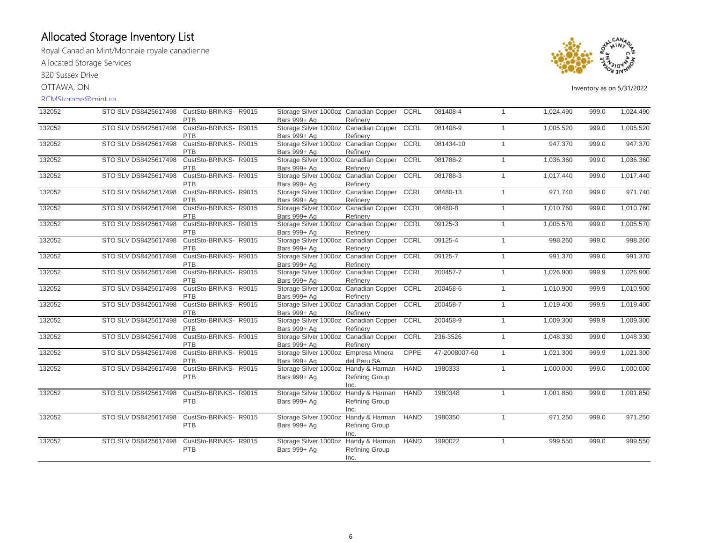Royal Canadian Mint/Monnaie royale canadienne Allocated Storage Services

320 Sussex Drive

OTTAWA, ON

#### RCMStorage@mint.ca



| 132052 | STO SLV DS8425617498 | CustSto-BRINKS-R9015  | Storage Silver 1000oz Canadian Copper      |                       | CCRL        | 081408-4      | $\overline{1}$ | 1,024.490 | 999.0 | 1,024.490 |
|--------|----------------------|-----------------------|--------------------------------------------|-----------------------|-------------|---------------|----------------|-----------|-------|-----------|
|        |                      | <b>PTB</b>            | Bars 999+ Ag                               | Refinery              |             |               |                |           |       |           |
| 132052 | STO SLV DS8425617498 | CustSto-BRINKS- R9015 | Storage Silver 1000oz Canadian Copper      |                       | <b>CCRL</b> | 081408-9      | $\overline{1}$ | 1,005.520 | 999.0 | 1,005.520 |
|        |                      | <b>PTB</b>            | Bars 999+ Ag                               | Refinery              |             |               |                |           |       |           |
| 132052 | STO SLV DS8425617498 | CustSto-BRINKS-R9015  | Storage Silver 1000oz Canadian Copper CCRL |                       |             | 081434-10     | $\overline{1}$ | 947.370   | 999.0 | 947.370   |
|        |                      | <b>PTB</b>            | Bars 999+ Ag                               | Refinery              |             |               |                |           |       |           |
| 132052 | STO SLV DS8425617498 | CustSto-BRINKS- R9015 | Storage Silver 1000oz Canadian Copper      |                       | CCRL        | 081788-2      | $\overline{1}$ | 1,036.360 | 999.0 | 1,036.360 |
|        |                      | PTB                   | Bars 999+ Ag                               | Refinery              |             |               |                |           |       |           |
| 132052 | STO SLV DS8425617498 | CustSto-BRINKS-R9015  | Storage Silver 1000oz Canadian Copper      |                       | CCRL        | 081788-3      | $\overline{1}$ | 1,017.440 | 999.0 | 1,017.440 |
|        |                      | PTB                   | Bars 999+ Ag                               | Refinery              |             |               |                |           |       |           |
| 132052 | STO SLV DS8425617498 | CustSto-BRINKS- R9015 | Storage Silver 1000oz Canadian Copper      |                       | CCRL        | 08480-13      | $\overline{1}$ | 971.740   | 999.0 | 971.740   |
|        |                      | PTB                   | Bars 999+ Ag                               | Refinery              |             |               |                |           |       |           |
| 132052 | STO SLV DS8425617498 | CustSto-BRINKS-R9015  | Storage Silver 1000oz Canadian Copper      |                       | CCRL        | 08480-8       | $\mathbf{1}$   | 1,010.760 | 999.0 | 1,010.760 |
|        |                      | PTB                   | Bars 999+ Ag                               | Refinery              |             |               |                |           |       |           |
| 132052 | STO SLV DS8425617498 | CustSto-BRINKS-R9015  | Storage Silver 1000oz Canadian Copper      |                       | CCRL        | 09125-3       | $\overline{1}$ | 1,005.570 | 999.0 | 1,005.570 |
|        |                      | PTB                   | Bars 999+ Ag                               | Refinery              |             |               |                |           |       |           |
| 132052 | STO SLV DS8425617498 | CustSto-BRINKS-R9015  | Storage Silver 1000oz Canadian Copper      |                       | CCRL        | 09125-4       | $\overline{1}$ | 998.260   | 999.0 | 998.260   |
|        |                      | <b>PTB</b>            | Bars 999+ Ag                               | Refinery              |             |               |                |           |       |           |
| 132052 | STO SLV DS8425617498 | CustSto-BRINKS- R9015 | Storage Silver 1000oz Canadian Copper CCRL |                       |             | 09125-7       | $\overline{1}$ | 991.370   | 999.0 | 991.370   |
|        |                      | PTB                   | Bars 999+ Ag                               | Refinery              |             |               |                |           |       |           |
| 132052 | STO SLV DS8425617498 | CustSto-BRINKS-R9015  | Storage Silver 1000oz Canadian Copper      |                       | CCRL        | 200457-7      | $\overline{1}$ | 1,026.900 | 999.9 | 1,026.900 |
|        |                      | <b>PTB</b>            | Bars 999+ Ag                               | Refinery              |             |               |                |           |       |           |
| 132052 | STO SLV DS8425617498 | CustSto-BRINKS-R9015  | Storage Silver 1000oz Canadian Copper      |                       | CCRL        | 200458-6      | $\mathbf{1}$   | 1,010.900 | 999.9 | 1,010.900 |
|        |                      | PTB                   | Bars 999+ Ag                               | Refinery              |             |               |                |           |       |           |
| 132052 | STO SLV DS8425617498 | CustSto-BRINKS-R9015  | Storage Silver 1000oz Canadian Copper      |                       | CCRL        | 200458-7      | $\overline{1}$ | 1,019.400 | 999.9 | 1,019.400 |
|        |                      | PTB                   | Bars 999+ Ag                               | Refinery              |             |               |                |           |       |           |
| 132052 | STO SLV DS8425617498 | CustSto-BRINKS- R9015 | Storage Silver 1000oz Canadian Copper      |                       | <b>CCRL</b> | 200458-9      | $\overline{1}$ | 1,009.300 | 999.9 | 1,009.300 |
|        |                      | PTB                   | Bars 999+ Ag                               | Refinery              |             |               |                |           |       |           |
| 132052 | STO SLV DS8425617498 | CustSto-BRINKS-R9015  | Storage Silver 1000oz Canadian Copper      |                       | CCRL        | 236-3526      | $\mathbf{1}$   | 1,048.330 | 999.0 | 1,048.330 |
|        |                      | <b>PTB</b>            | Bars 999+ Ag                               | Refinery              |             |               |                |           |       |           |
| 132052 | STO SLV DS8425617498 | CustSto-BRINKS-R9015  | Storage Silver 1000oz Empresa Minera       |                       | <b>CPPE</b> | 47-2008007-60 | $\overline{1}$ | 1,021.300 | 999.9 | 1,021.300 |
|        |                      | <b>PTB</b>            | Bars 999+ Ag                               | del Peru SA           |             |               |                |           |       |           |
| 132052 | STO SLV DS8425617498 | CustSto-BRINKS- R9015 | Storage Silver 1000oz Handy & Harman       |                       | <b>HAND</b> | 1980333       | $\overline{1}$ | 1,000.000 | 999.0 | 1,000.000 |
|        |                      | <b>PTB</b>            | Bars 999+ Ag                               | <b>Refining Group</b> |             |               |                |           |       |           |
|        |                      |                       |                                            | Inc.                  |             |               |                |           |       |           |
| 132052 | STO SLV DS8425617498 | CustSto-BRINKS-R9015  | Storage Silver 1000oz Handy & Harman       |                       | <b>HAND</b> | 1980348       | $\overline{1}$ | 1,001.850 | 999.0 | 1,001.850 |
|        |                      | PTB                   | Bars 999+ Ag                               | <b>Refining Group</b> |             |               |                |           |       |           |
|        |                      |                       |                                            | Inc.                  |             |               |                |           |       |           |
| 132052 | STO SLV DS8425617498 | CustSto-BRINKS- R9015 | Storage Silver 1000oz Handy & Harman       |                       | <b>HAND</b> | 1980350       | $\mathbf{1}$   | 971.250   | 999.0 | 971.250   |
|        |                      | PTB                   | Bars 999+ Ag                               | Refining Group        |             |               |                |           |       |           |
|        |                      |                       |                                            | Inc.                  |             |               |                |           |       |           |
| 132052 | STO SLV DS8425617498 | CustSto-BRINKS- R9015 | Storage Silver 1000oz Handy & Harman       |                       | <b>HAND</b> | 1990022       | $\overline{1}$ | 999.550   | 999.0 | 999.550   |
|        |                      | PTB                   | Bars 999+ Ag                               | Refining Group        |             |               |                |           |       |           |
|        |                      |                       |                                            | Inc.                  |             |               |                |           |       |           |
|        |                      |                       |                                            |                       |             |               |                |           |       |           |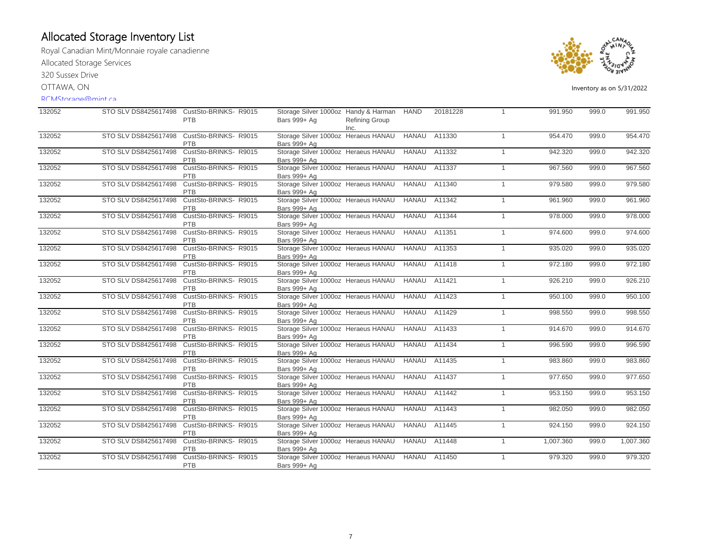Royal Canadian Mint/Monnaie royale canadienne Allocated Storage Services

320 Sussex Drive

OTTAWA, ON

### RCMStorage@mint.ca



| 132052 |                      | STO SLV DS8425617498 CustSto-BRINKS-R9015<br>PTB | Storage Silver 1000oz Handy & Harman HAND<br>Bars 999+ Ag        | Refining Group<br>Inc. |              | 20181228            | 1              | 991.950   | 999.0 | 991.950   |
|--------|----------------------|--------------------------------------------------|------------------------------------------------------------------|------------------------|--------------|---------------------|----------------|-----------|-------|-----------|
| 132052 | STO SLV DS8425617498 | CustSto-BRINKS-R9015<br>PTB                      | Storage Silver 1000oz Heraeus HANAU<br>Bars 999+ Ag              |                        | <b>HANAU</b> | A11330              | $\overline{1}$ | 954.470   | 999.0 | 954.470   |
| 132052 | STO SLV DS8425617498 | CustSto-BRINKS-R9015<br>PTB                      | Storage Silver 1000oz Heraeus HANAU<br>Bars 999+ Ag              |                        |              | <b>HANAU A11332</b> | $\mathbf{1}$   | 942.320   | 999.0 | 942.320   |
| 132052 | STO SLV DS8425617498 | CustSto-BRINKS-R9015<br><b>PTB</b>               | Storage Silver 1000oz Heraeus HANAU<br>Bars 999+ Ag              |                        | <b>HANAU</b> | A11337              | $\overline{1}$ | 967.560   | 999.0 | 967.560   |
| 132052 | STO SLV DS8425617498 | CustSto-BRINKS-R9015<br>PTB                      | Storage Silver 1000oz Heraeus HANAU<br>Bars 999+ Ag              |                        | <b>HANAU</b> | A11340              | $\mathbf{1}$   | 979.580   | 999.0 | 979.580   |
| 132052 | STO SLV DS8425617498 | CustSto-BRINKS-R9015<br>PTB                      | Storage Silver 1000oz Heraeus HANAU<br>Bars 999+ Ag              |                        | <b>HANAU</b> | A11342              | $\mathbf{1}$   | 961.960   | 999.0 | 961.960   |
| 132052 | STO SLV DS8425617498 | CustSto-BRINKS- R9015<br>PTB                     | Storage Silver 1000oz Heraeus HANAU<br>Bars 999+ Ag              |                        | <b>HANAU</b> | A11344              | $\mathbf{1}$   | 978,000   | 999.0 | 978.000   |
| 132052 | STO SLV DS8425617498 | CustSto-BRINKS-R9015<br><b>PTB</b>               | Storage Silver 1000oz Heraeus HANAU<br>Bars 999+ Ag              |                        | HANAU        | A11351              | $\mathbf{1}$   | 974.600   | 999.0 | 974.600   |
| 132052 | STO SLV DS8425617498 | CustSto-BRINKS- R9015<br>PTB                     | Storage Silver 1000oz Heraeus HANAU<br>Bars 999+ Ag              |                        | HANAU        | A11353              | $\mathbf{1}$   | 935.020   | 999.0 | 935.020   |
| 132052 | STO SLV DS8425617498 | CustSto-BRINKS-R9015<br>PTB                      | Storage Silver 1000oz Heraeus HANAU<br>Bars 999+ Ag              |                        | <b>HANAU</b> | A11418              | $\mathbf{1}$   | 972.180   | 999.0 | 972.180   |
| 132052 | STO SLV DS8425617498 | CustSto-BRINKS-R9015<br>PTB                      | Storage Silver 1000oz Heraeus HANAU<br>Bars 999+ Ag              |                        | <b>HANAU</b> | A11421              | $\mathbf{1}$   | 926.210   | 999.0 | 926.210   |
| 132052 | STO SLV DS8425617498 | CustSto-BRINKS- R9015<br>PTB                     | Storage Silver 1000oz Heraeus HANAU<br>Bars 999+ Ag              |                        | <b>HANAU</b> | A11423              | $\mathbf{1}$   | 950.100   | 999.0 | 950.100   |
| 132052 | STO SLV DS8425617498 | CustSto-BRINKS-R9015<br><b>PTB</b>               | Storage Silver 1000oz Heraeus HANAU<br>Bars 999+ Ag              |                        | <b>HANAU</b> | A11429              | $\mathbf{1}$   | 998.550   | 999.0 | 998.550   |
| 132052 | STO SLV DS8425617498 | CustSto-BRINKS-R9015<br>PTB                      | Storage Silver 1000oz Heraeus HANAU<br>Bars 999+ Ag              |                        | <b>HANAU</b> | A11433              | $\mathbf{1}$   | 914.670   | 999.0 | 914.670   |
| 132052 | STO SLV DS8425617498 | CustSto-BRINKS-R9015<br><b>PTB</b>               | Storage Silver 1000oz Heraeus HANAU<br>Bars 999+ Ag              |                        | <b>HANAU</b> | A11434              | $\mathbf{1}$   | 996.590   | 999.0 | 996.590   |
| 132052 | STO SLV DS8425617498 | CustSto-BRINKS-R9015<br><b>PTB</b>               | Storage Silver 1000oz Heraeus HANAU<br>Bars 999+ Ag              |                        | <b>HANAU</b> | A11435              | $\overline{1}$ | 983.860   | 999.0 | 983.860   |
| 132052 | STO SLV DS8425617498 | CustSto-BRINKS-R9015<br>PTB                      | Storage Silver 1000oz Heraeus HANAU<br>Bars 999+ Ag              |                        | <b>HANAU</b> | A11437              | $\mathbf{1}$   | 977.650   | 999.0 | 977.650   |
| 132052 | STO SLV DS8425617498 | CustSto-BRINKS-R9015<br>PTB                      | Storage Silver 1000oz Heraeus HANAU<br>Bars 999+ Ag              |                        | <b>HANAU</b> | A11442              | $\mathbf{1}$   | 953.150   | 999.0 | 953.150   |
| 132052 | STO SLV DS8425617498 | CustSto-BRINKS-R9015<br>PTB                      | Storage Silver 1000oz Heraeus HANAU<br>Bars 999+ Ag              |                        | <b>HANAU</b> | A11443              | $\overline{1}$ | 982.050   | 999.0 | 982.050   |
| 132052 | STO SLV DS8425617498 | CustSto-BRINKS-R9015<br><b>PTB</b>               | Storage Silver 1000oz Heraeus HANAU<br>Bars 999+ Ag              |                        | <b>HANAU</b> | A11445              | $\mathbf{1}$   | 924.150   | 999.0 | 924.150   |
| 132052 | STO SLV DS8425617498 | CustSto-BRINKS- R9015<br>PTB                     | Storage Silver 1000oz Heraeus HANAU<br>Bars 999+ Ag              |                        | HANAU        | A11448              | $\mathbf{1}$   | 1,007.360 | 999.0 | 1,007.360 |
| 132052 | STO SLV DS8425617498 | CustSto-BRINKS-R9015<br><b>PTB</b>               | Storage Silver 1000oz Heraeus HANAU HANAU A11450<br>Bars 999+ Ag |                        |              |                     | $\mathbf{1}$   | 979.320   | 999.0 | 979.320   |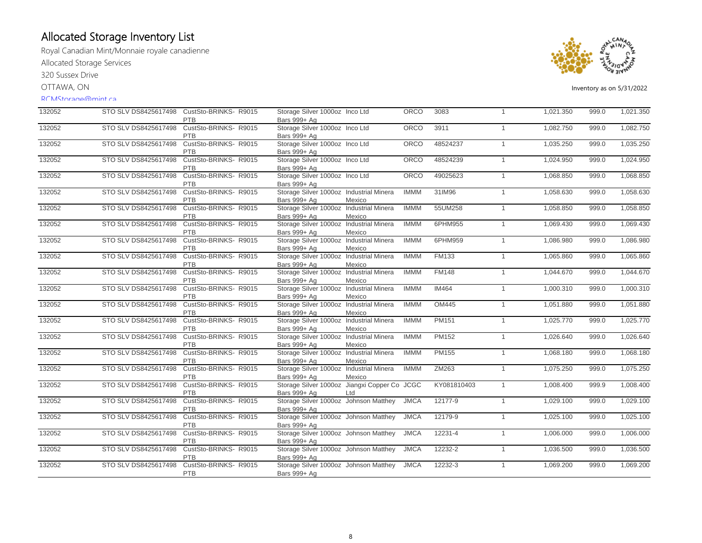Royal Canadian Mint/Monnaie royale canadienne Allocated Storage Services

320 Sussex Drive

OTTAWA, ON

#### RCMStorage@mint.ca



| 132052 |                      | STO SLV DS8425617498 CustSto-BRINKS-R9015<br><b>PTB</b> | Storage Silver 1000oz Inco Ltd<br>Bars 999+ Ag               |        | <b>ORCO</b> | 3083         | $\overline{1}$ | 1,021.350 | 999.0 | 1,021.350 |
|--------|----------------------|---------------------------------------------------------|--------------------------------------------------------------|--------|-------------|--------------|----------------|-----------|-------|-----------|
| 132052 | STO SLV DS8425617498 | CustSto-BRINKS- R9015<br><b>PTB</b>                     | Storage Silver 1000oz Inco Ltd<br>Bars 999+ Ag               |        | ORCO        | 3911         | $\overline{1}$ | 1,082.750 | 999.0 | 1,082.750 |
| 132052 | STO SLV DS8425617498 | CustSto-BRINKS-R9015<br>PTB                             | Storage Silver 1000oz Inco Ltd<br>Bars 999+ Ag               |        | ORCO        | 48524237     | $\overline{1}$ | 1,035.250 | 999.0 | 1,035.250 |
| 132052 | STO SLV DS8425617498 | CustSto-BRINKS- R9015<br>PTB                            | Storage Silver 1000oz Inco Ltd<br>Bars 999+ Ag               |        | ORCO        | 48524239     | $\overline{1}$ | 1,024.950 | 999.0 | 1,024.950 |
| 132052 | STO SLV DS8425617498 | CustSto-BRINKS-R9015<br>PTB                             | Storage Silver 1000oz Inco Ltd<br>Bars 999+ Ag               |        | ORCO        | 49025623     | $\overline{1}$ | 1,068.850 | 999.0 | 1,068.850 |
| 132052 | STO SLV DS8425617498 | CustSto-BRINKS- R9015<br>PTB                            | Storage Silver 1000oz Industrial Minera<br>Bars 999+ Ag      | Mexico | <b>IMMM</b> | 31IM96       | $\overline{1}$ | 1,058.630 | 999.0 | 1,058.630 |
| 132052 | STO SLV DS8425617498 | CustSto-BRINKS-R9015<br>PTB                             | Storage Silver 1000oz Industrial Minera<br>Bars 999+ Ag      | Mexico | <b>IMMM</b> | 55UM258      | $\overline{1}$ | 1,058.850 | 999.0 | 1,058.850 |
| 132052 | STO SLV DS8425617498 | CustSto-BRINKS-R9015<br><b>PTB</b>                      | Storage Silver 1000oz Industrial Minera<br>Bars 999+ Ag      | Mexico | <b>IMMM</b> | 6PHM955      | $\mathbf{1}$   | 1,069.430 | 999.0 | 1,069.430 |
| 132052 | STO SLV DS8425617498 | CustSto-BRINKS-R9015<br>PTB                             | Storage Silver 1000oz Industrial Minera<br>Bars 999+ Ag      | Mexico | <b>IMMM</b> | 6PHM959      | $\overline{1}$ | 1,086.980 | 999.0 | 1,086.980 |
| 132052 | STO SLV DS8425617498 | CustSto-BRINKS-R9015<br>PTB                             | Storage Silver 1000oz Industrial Minera<br>Bars 999+ Ag      | Mexico | <b>IMMM</b> | <b>FM133</b> | $\overline{1}$ | 1,065.860 | 999.0 | 1,065.860 |
| 132052 | STO SLV DS8425617498 | CustSto-BRINKS- R9015<br>PTB                            | Storage Silver 1000oz Industrial Minera<br>Bars 999+ Ag      | Mexico | <b>IMMM</b> | <b>FM148</b> | $\overline{1}$ | 1,044.670 | 999.0 | 1,044.670 |
| 132052 | STO SLV DS8425617498 | CustSto-BRINKS-R9015<br>PTB                             | Storage Silver 1000oz Industrial Minera<br>Bars 999+ Ag      | Mexico | <b>IMMM</b> | <b>IM464</b> | $\overline{1}$ | 1,000.310 | 999.0 | 1,000.310 |
| 132052 | STO SLV DS8425617498 | CustSto-BRINKS-R9015<br>PTB                             | Storage Silver 1000oz Industrial Minera<br>Bars 999+ Ag      | Mexico | <b>IMMM</b> | <b>OM445</b> | $\overline{1}$ | 1,051.880 | 999.0 | 1,051.880 |
| 132052 | STO SLV DS8425617498 | CustSto-BRINKS- R9015<br>PTB                            | Storage Silver 1000oz Industrial Minera<br>Bars 999+ Ag      | Mexico | <b>IMMM</b> | PM151        | $\overline{1}$ | 1,025.770 | 999.0 | 1,025.770 |
| 132052 | STO SLV DS8425617498 | CustSto-BRINKS-R9015<br>PTB                             | Storage Silver 1000oz Industrial Minera<br>Bars 999+ Ag      | Mexico | <b>IMMM</b> | <b>PM152</b> | $\overline{1}$ | 1,026.640 | 999.0 | 1,026.640 |
| 132052 | STO SLV DS8425617498 | CustSto-BRINKS-R9015<br><b>PTB</b>                      | Storage Silver 1000oz Industrial Minera<br>Bars 999+ Ag      | Mexico | <b>IMMM</b> | <b>PM155</b> | $\mathbf{1}$   | 1,068.180 | 999.0 | 1,068.180 |
| 132052 | STO SLV DS8425617498 | CustSto-BRINKS-R9015<br>PTB                             | Storage Silver 1000oz Industrial Minera<br>Bars 999+ Ag      | Mexico | <b>IMMM</b> | ZM263        | $\overline{1}$ | 1,075.250 | 999.0 | 1,075.250 |
| 132052 | STO SLV DS8425617498 | CustSto-BRINKS-R9015<br>PTB                             | Storage Silver 1000oz Jiangxi Copper Co JCGC<br>Bars 999+ Ag | Ltd    |             | KY081810403  | $\overline{1}$ | 1,008.400 | 999.9 | 1,008.400 |
| 132052 | STO SLV DS8425617498 | CustSto-BRINKS-R9015<br>PTB                             | Storage Silver 1000oz Johnson Matthey<br>Bars 999+ Ag        |        | <b>JMCA</b> | 12177-9      | $\overline{1}$ | 1,029.100 | 999.0 | 1,029.100 |
| 132052 | STO SLV DS8425617498 | CustSto-BRINKS-R9015<br><b>PTB</b>                      | Storage Silver 1000oz Johnson Matthey<br>Bars 999+ Ag        |        | <b>JMCA</b> | 12179-9      | $\mathbf{1}$   | 1,025.100 | 999.0 | 1,025.100 |
| 132052 | STO SLV DS8425617498 | CustSto-BRINKS-R9015<br><b>PTB</b>                      | Storage Silver 1000oz Johnson Matthey<br>Bars 999+ Ag        |        | <b>JMCA</b> | 12231-4      | $\mathbf{1}$   | 1,006.000 | 999.0 | 1,006.000 |
| 132052 | STO SLV DS8425617498 | CustSto-BRINKS- R9015<br>PTB                            | Storage Silver 1000oz Johnson Matthey<br>Bars 999+ Ag        |        | <b>JMCA</b> | 12232-2      | $\overline{1}$ | 1,036.500 | 999.0 | 1,036.500 |
| 132052 | STO SLV DS8425617498 | CustSto-BRINKS-R9015<br>PTB                             | Storage Silver 1000oz Johnson Matthey<br>Bars 999+ Ag        |        | <b>JMCA</b> | 12232-3      | $\overline{1}$ | 1,069.200 | 999.0 | 1,069.200 |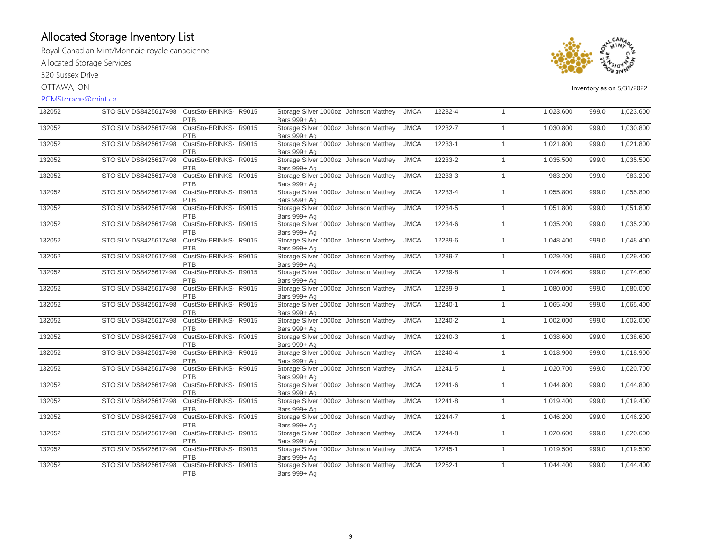Royal Canadian Mint/Monnaie royale canadienne Allocated Storage Services

320 Sussex Drive

OTTAWA, ON

#### RCMStorage@mint.ca



| 132052 |                      | STO SLV DS8425617498 CustSto-BRINKS-R9015<br>PTB | Storage Silver 1000oz Johnson Matthey<br>Bars 999+ Ag | <b>JMCA</b> | 12232-4 | $\mathbf{1}$   | 1,023.600 | 999.0 | 1,023.600 |
|--------|----------------------|--------------------------------------------------|-------------------------------------------------------|-------------|---------|----------------|-----------|-------|-----------|
| 132052 | STO SLV DS8425617498 | CustSto-BRINKS- R9015<br><b>PTB</b>              | Storage Silver 1000oz Johnson Matthey<br>Bars 999+ Ag | <b>JMCA</b> | 12232-7 | $\mathbf{1}$   | 1,030.800 | 999.0 | 1,030.800 |
| 132052 | STO SLV DS8425617498 | CustSto-BRINKS-R9015<br><b>PTB</b>               | Storage Silver 1000oz Johnson Matthey<br>Bars 999+ Ag | <b>JMCA</b> | 12233-1 | $\mathbf{1}$   | 1,021.800 | 999.0 | 1,021.800 |
| 132052 | STO SLV DS8425617498 | CustSto-BRINKS-R9015<br>PTB                      | Storage Silver 1000oz Johnson Matthey<br>Bars 999+ Ag | <b>JMCA</b> | 12233-2 | $\mathbf{1}$   | 1,035.500 | 999.0 | 1,035.500 |
| 132052 | STO SLV DS8425617498 | CustSto-BRINKS-R9015<br><b>PTB</b>               | Storage Silver 1000oz Johnson Matthey<br>Bars 999+ Ag | <b>JMCA</b> | 12233-3 | $\mathbf{1}$   | 983.200   | 999.0 | 983.200   |
| 132052 | STO SLV DS8425617498 | CustSto-BRINKS- R9015<br><b>PTB</b>              | Storage Silver 1000oz Johnson Matthey<br>Bars 999+ Ag | <b>JMCA</b> | 12233-4 | $\mathbf{1}$   | 1,055.800 | 999.0 | 1,055.800 |
| 132052 | STO SLV DS8425617498 | CustSto-BRINKS- R9015<br><b>PTB</b>              | Storage Silver 1000oz Johnson Matthey<br>Bars 999+ Ag | <b>JMCA</b> | 12234-5 | $\mathbf{1}$   | 1,051.800 | 999.0 | 1,051.800 |
| 132052 | STO SLV DS8425617498 | CustSto-BRINKS-R9015<br><b>PTB</b>               | Storage Silver 1000oz Johnson Matthey<br>Bars 999+ Ag | <b>JMCA</b> | 12234-6 | $\mathbf{1}$   | 1,035.200 | 999.0 | 1,035.200 |
| 132052 | STO SLV DS8425617498 | CustSto-BRINKS-R9015<br>PTB                      | Storage Silver 1000oz Johnson Matthey<br>Bars 999+ Ag | <b>JMCA</b> | 12239-6 | 1              | 1,048.400 | 999.0 | 1,048.400 |
| 132052 | STO SLV DS8425617498 | CustSto-BRINKS-R9015<br>PTB                      | Storage Silver 1000oz Johnson Matthey<br>Bars 999+ Ag | <b>JMCA</b> | 12239-7 | $\mathbf{1}$   | 1,029.400 | 999.0 | 1,029.400 |
| 132052 | STO SLV DS8425617498 | CustSto-BRINKS- R9015<br><b>PTB</b>              | Storage Silver 1000oz Johnson Matthey<br>Bars 999+ Ag | <b>JMCA</b> | 12239-8 | $\mathbf{1}$   | 1,074.600 | 999.0 | 1,074.600 |
| 132052 | STO SLV DS8425617498 | CustSto-BRINKS- R9015<br>PTB                     | Storage Silver 1000oz Johnson Matthey<br>Bars 999+ Ag | <b>JMCA</b> | 12239-9 | $\mathbf{1}$   | 1,080.000 | 999.0 | 1,080.000 |
| 132052 | STO SLV DS8425617498 | CustSto-BRINKS- R9015<br><b>PTB</b>              | Storage Silver 1000oz Johnson Matthey<br>Bars 999+ Ag | <b>JMCA</b> | 12240-1 | $\mathbf{1}$   | 1,065.400 | 999.0 | 1,065.400 |
| 132052 | STO SLV DS8425617498 | CustSto-BRINKS-R9015<br>PTB                      | Storage Silver 1000oz Johnson Matthey<br>Bars 999+ Ag | <b>JMCA</b> | 12240-2 | $\mathbf{1}$   | 1,002.000 | 999.0 | 1,002.000 |
| 132052 | STO SLV DS8425617498 | CustSto-BRINKS-R9015<br><b>PTB</b>               | Storage Silver 1000oz Johnson Matthey<br>Bars 999+ Ag | <b>JMCA</b> | 12240-3 | $\overline{1}$ | 1,038.600 | 999.0 | 1,038.600 |
| 132052 | STO SLV DS8425617498 | CustSto-BRINKS-R9015<br><b>PTB</b>               | Storage Silver 1000oz Johnson Matthey<br>Bars 999+ Ag | <b>JMCA</b> | 12240-4 | $\mathbf{1}$   | 1,018.900 | 999.0 | 1,018.900 |
| 132052 | STO SLV DS8425617498 | CustSto-BRINKS- R9015<br><b>PTB</b>              | Storage Silver 1000oz Johnson Matthey<br>Bars 999+ Ag | <b>JMCA</b> | 12241-5 | $\overline{1}$ | 1,020.700 | 999.0 | 1,020.700 |
| 132052 | STO SLV DS8425617498 | CustSto-BRINKS- R9015<br><b>PTB</b>              | Storage Silver 1000oz Johnson Matthey<br>Bars 999+ Ag | <b>JMCA</b> | 12241-6 | 1              | 1,044.800 | 999.0 | 1,044.800 |
| 132052 | STO SLV DS8425617498 | CustSto-BRINKS-R9015<br>PTB                      | Storage Silver 1000oz Johnson Matthey<br>Bars 999+ Ag | <b>JMCA</b> | 12241-8 | $\mathbf{1}$   | 1,019.400 | 999.0 | 1,019.400 |
| 132052 | STO SLV DS8425617498 | CustSto-BRINKS-R9015<br>PTB                      | Storage Silver 1000oz Johnson Matthey<br>Bars 999+ Ag | <b>JMCA</b> | 12244-7 | $\mathbf{1}$   | 1,046.200 | 999.0 | 1,046.200 |
| 132052 | STO SLV DS8425617498 | CustSto-BRINKS-R9015<br><b>PTB</b>               | Storage Silver 1000oz Johnson Matthey<br>Bars 999+ Ag | <b>JMCA</b> | 12244-8 | $\mathbf{1}$   | 1,020.600 | 999.0 | 1,020.600 |
| 132052 | STO SLV DS8425617498 | CustSto-BRINKS- R9015<br>PTB                     | Storage Silver 1000oz Johnson Matthey<br>Bars 999+ Ag | <b>JMCA</b> | 12245-1 | $\mathbf{1}$   | 1,019.500 | 999.0 | 1,019.500 |
| 132052 | STO SLV DS8425617498 | CustSto-BRINKS- R9015<br>PTB                     | Storage Silver 1000oz Johnson Matthey<br>Bars 999+ Ag | <b>JMCA</b> | 12252-1 | $\mathbf{1}$   | 1,044.400 | 999.0 | 1,044.400 |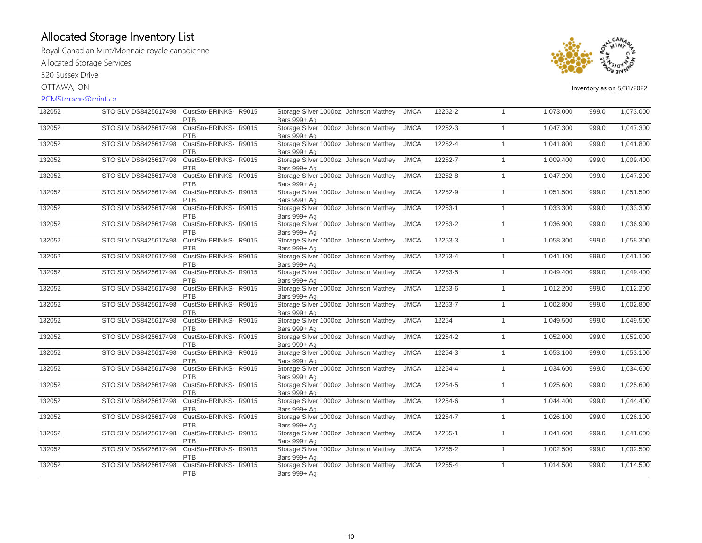Royal Canadian Mint/Monnaie royale canadienne Allocated Storage Services

320 Sussex Drive

OTTAWA, ON

#### RCMStorage@mint.ca



| 132052 |                      | STO SLV DS8425617498 CustSto-BRINKS-R9015<br>PTB | Storage Silver 1000oz Johnson Matthey<br>Bars 999+ Ag | <b>JMCA</b> | 12252-2 | $\overline{1}$ | 1,073.000 | 999.0 | 1,073.000 |
|--------|----------------------|--------------------------------------------------|-------------------------------------------------------|-------------|---------|----------------|-----------|-------|-----------|
| 132052 | STO SLV DS8425617498 | CustSto-BRINKS- R9015<br><b>PTB</b>              | Storage Silver 1000oz Johnson Matthey<br>Bars 999+ Ag | <b>JMCA</b> | 12252-3 | $\overline{1}$ | 1,047.300 | 999.0 | 1,047.300 |
| 132052 | STO SLV DS8425617498 | CustSto-BRINKS-R9015<br><b>PTB</b>               | Storage Silver 1000oz Johnson Matthey<br>Bars 999+ Ag | <b>JMCA</b> | 12252-4 | $\mathbf{1}$   | 1,041.800 | 999.0 | 1,041.800 |
| 132052 | STO SLV DS8425617498 | CustSto-BRINKS- R9015<br><b>PTB</b>              | Storage Silver 1000oz Johnson Matthey<br>Bars 999+ Ag | <b>JMCA</b> | 12252-7 | $\overline{1}$ | 1,009.400 | 999.0 | 1,009.400 |
| 132052 | STO SLV DS8425617498 | CustSto-BRINKS-R9015<br><b>PTB</b>               | Storage Silver 1000oz Johnson Matthey<br>Bars 999+ Ag | <b>JMCA</b> | 12252-8 | $\overline{1}$ | 1,047.200 | 999.0 | 1,047.200 |
| 132052 | STO SLV DS8425617498 | CustSto-BRINKS-R9015<br><b>PTB</b>               | Storage Silver 1000oz Johnson Matthey<br>Bars 999+ Ag | <b>JMCA</b> | 12252-9 | $\overline{1}$ | 1,051.500 | 999.0 | 1,051.500 |
| 132052 | STO SLV DS8425617498 | CustSto-BRINKS-R9015<br><b>PTB</b>               | Storage Silver 1000oz Johnson Matthey<br>Bars 999+ Ag | <b>JMCA</b> | 12253-1 | $\overline{1}$ | 1,033.300 | 999.0 | 1,033.300 |
| 132052 | STO SLV DS8425617498 | CustSto-BRINKS- R9015<br><b>PTB</b>              | Storage Silver 1000oz Johnson Matthey<br>Bars 999+ Ag | <b>JMCA</b> | 12253-2 | $\overline{1}$ | 1,036.900 | 999.0 | 1,036.900 |
| 132052 | STO SLV DS8425617498 | CustSto-BRINKS-R9015<br>PTB                      | Storage Silver 1000oz Johnson Matthey<br>Bars 999+ Ag | <b>JMCA</b> | 12253-3 | $\overline{1}$ | 1,058.300 | 999.0 | 1,058.300 |
| 132052 | STO SLV DS8425617498 | CustSto-BRINKS-R9015<br>PTB                      | Storage Silver 1000oz Johnson Matthey<br>Bars 999+ Ag | <b>JMCA</b> | 12253-4 | $\overline{1}$ | 1,041.100 | 999.0 | 1,041.100 |
| 132052 | STO SLV DS8425617498 | CustSto-BRINKS-R9015<br>PTB                      | Storage Silver 1000oz Johnson Matthey<br>Bars 999+ Ag | <b>JMCA</b> | 12253-5 | $\overline{1}$ | 1,049.400 | 999.0 | 1,049.400 |
| 132052 | STO SLV DS8425617498 | CustSto-BRINKS-R9015<br>PTB                      | Storage Silver 1000oz Johnson Matthey<br>Bars 999+ Ag | <b>JMCA</b> | 12253-6 | $\overline{1}$ | 1,012.200 | 999.0 | 1,012.200 |
| 132052 | STO SLV DS8425617498 | CustSto-BRINKS-R9015<br><b>PTB</b>               | Storage Silver 1000oz Johnson Matthey<br>Bars 999+ Ag | <b>JMCA</b> | 12253-7 | $\overline{1}$ | 1,002.800 | 999.0 | 1,002.800 |
| 132052 | STO SLV DS8425617498 | CustSto-BRINKS-R9015<br>PTB                      | Storage Silver 1000oz Johnson Matthey<br>Bars 999+ Ag | <b>JMCA</b> | 12254   | $\overline{1}$ | 1,049.500 | 999.0 | 1,049.500 |
| 132052 | STO SLV DS8425617498 | CustSto-BRINKS-R9015<br>PTB                      | Storage Silver 1000oz Johnson Matthey<br>Bars 999+ Ag | <b>JMCA</b> | 12254-2 | $\overline{1}$ | 1,052.000 | 999.0 | 1,052.000 |
| 132052 | STO SLV DS8425617498 | CustSto-BRINKS-R9015<br><b>PTB</b>               | Storage Silver 1000oz Johnson Matthey<br>Bars 999+ Ag | <b>JMCA</b> | 12254-3 | $\overline{1}$ | 1,053.100 | 999.0 | 1,053.100 |
| 132052 | STO SLV DS8425617498 | CustSto-BRINKS- R9015<br><b>PTB</b>              | Storage Silver 1000oz Johnson Matthey<br>Bars 999+ Ag | <b>JMCA</b> | 12254-4 | $\overline{1}$ | 1,034.600 | 999.0 | 1,034.600 |
| 132052 | STO SLV DS8425617498 | CustSto-BRINKS-R9015<br><b>PTB</b>               | Storage Silver 1000oz Johnson Matthey<br>Bars 999+ Ag | <b>JMCA</b> | 12254-5 | $\overline{1}$ | 1,025.600 | 999.0 | 1,025.600 |
| 132052 | STO SLV DS8425617498 | CustSto-BRINKS-R9015<br>PTB                      | Storage Silver 1000oz Johnson Matthey<br>Bars 999+ Ag | <b>JMCA</b> | 12254-6 | $\overline{1}$ | 1,044.400 | 999.0 | 1,044.400 |
| 132052 | STO SLV DS8425617498 | CustSto-BRINKS-R9015<br>PTB                      | Storage Silver 1000oz Johnson Matthey<br>Bars 999+ Ag | <b>JMCA</b> | 12254-7 | $\overline{1}$ | 1,026.100 | 999.0 | 1,026.100 |
| 132052 | STO SLV DS8425617498 | CustSto-BRINKS- R9015<br>PTB                     | Storage Silver 1000oz Johnson Matthey<br>Bars 999+ Ag | <b>JMCA</b> | 12255-1 | $\overline{1}$ | 1,041.600 | 999.0 | 1,041.600 |
| 132052 | STO SLV DS8425617498 | CustSto-BRINKS- R9015<br>PTB                     | Storage Silver 1000oz Johnson Matthey<br>Bars 999+ Ag | <b>JMCA</b> | 12255-2 | $\overline{1}$ | 1,002.500 | 999.0 | 1,002.500 |
| 132052 | STO SLV DS8425617498 | CustSto-BRINKS- R9015<br>PTB                     | Storage Silver 1000oz Johnson Matthey<br>Bars 999+ Ag | <b>JMCA</b> | 12255-4 | $\overline{1}$ | 1,014.500 | 999.0 | 1,014.500 |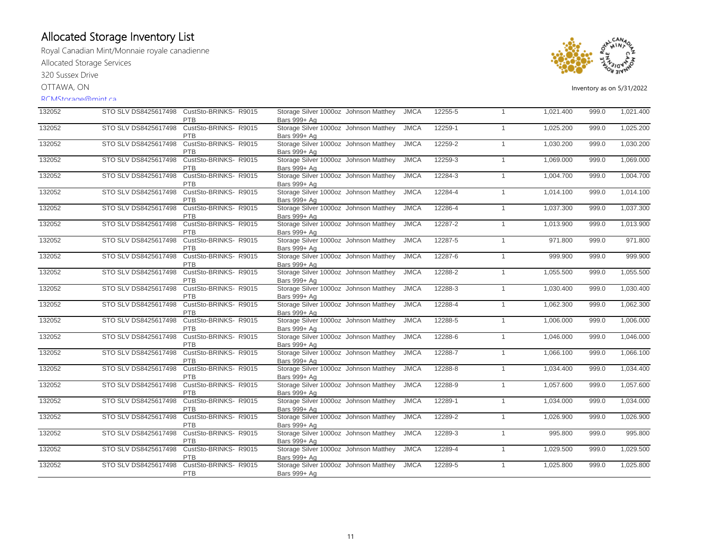Royal Canadian Mint/Monnaie royale canadienne Allocated Storage Services

320 Sussex Drive

OTTAWA, ON

#### RCMStorage@mint.ca



| 132052 | STO SLV DS8425617498 | CustSto-BRINKS-R9015<br><b>PTB</b>  | Storage Silver 1000oz Johnson Matthey<br>Bars 999+ Ag | <b>JMCA</b> | 12255-5 | $\mathbf{1}$ | 1,021.400 | 999.0 | 1,021.400 |
|--------|----------------------|-------------------------------------|-------------------------------------------------------|-------------|---------|--------------|-----------|-------|-----------|
| 132052 | STO SLV DS8425617498 | CustSto-BRINKS- R9015<br><b>PTB</b> | Storage Silver 1000oz Johnson Matthey<br>Bars 999+ Ag | <b>JMCA</b> | 12259-1 | $\mathbf{1}$ | 1,025.200 | 999.0 | 1,025.200 |
| 132052 | STO SLV DS8425617498 | CustSto-BRINKS-R9015<br><b>PTB</b>  | Storage Silver 1000oz Johnson Matthey<br>Bars 999+ Ag | <b>JMCA</b> | 12259-2 | $\mathbf{1}$ | 1,030.200 | 999.0 | 1,030.200 |
| 132052 | STO SLV DS8425617498 | CustSto-BRINKS-R9015<br><b>PTB</b>  | Storage Silver 1000oz Johnson Matthey<br>Bars 999+ Ag | <b>JMCA</b> | 12259-3 | $\mathbf{1}$ | 1,069.000 | 999.0 | 1,069.000 |
| 132052 | STO SLV DS8425617498 | CustSto-BRINKS-R9015<br><b>PTB</b>  | Storage Silver 1000oz Johnson Matthey<br>Bars 999+ Ag | <b>JMCA</b> | 12284-3 | $\mathbf{1}$ | 1,004.700 | 999.0 | 1,004.700 |
| 132052 | STO SLV DS8425617498 | CustSto-BRINKS-R9015<br>PTB         | Storage Silver 1000oz Johnson Matthey<br>Bars 999+ Ag | <b>JMCA</b> | 12284-4 | $\mathbf{1}$ | 1,014.100 | 999.0 | 1,014.100 |
| 132052 | STO SLV DS8425617498 | CustSto-BRINKS-R9015<br><b>PTB</b>  | Storage Silver 1000oz Johnson Matthey<br>Bars 999+ Ag | <b>JMCA</b> | 12286-4 | $\mathbf{1}$ | 1,037.300 | 999.0 | 1,037.300 |
| 132052 | STO SLV DS8425617498 | CustSto-BRINKS-R9015<br><b>PTB</b>  | Storage Silver 1000oz Johnson Matthey<br>Bars 999+ Ag | <b>JMCA</b> | 12287-2 | $\mathbf{1}$ | 1,013.900 | 999.0 | 1,013.900 |
| 132052 | STO SLV DS8425617498 | CustSto-BRINKS-R9015<br>PTB         | Storage Silver 1000oz Johnson Matthey<br>Bars 999+ Ag | <b>JMCA</b> | 12287-5 | $\mathbf{1}$ | 971.800   | 999.0 | 971.800   |
| 132052 | STO SLV DS8425617498 | CustSto-BRINKS-R9015<br>PTB         | Storage Silver 1000oz Johnson Matthey<br>Bars 999+ Ag | <b>JMCA</b> | 12287-6 | $\mathbf{1}$ | 999.900   | 999.0 | 999.900   |
| 132052 | STO SLV DS8425617498 | CustSto-BRINKS-R9015<br>PTB         | Storage Silver 1000oz Johnson Matthey<br>Bars 999+ Ag | <b>JMCA</b> | 12288-2 | $\mathbf{1}$ | 1,055.500 | 999.0 | 1,055.500 |
| 132052 | STO SLV DS8425617498 | CustSto-BRINKS-R9015<br><b>PTB</b>  | Storage Silver 1000oz Johnson Matthey<br>Bars 999+ Ag | <b>JMCA</b> | 12288-3 | $\mathbf{1}$ | 1,030.400 | 999.0 | 1,030.400 |
| 132052 | STO SLV DS8425617498 | CustSto-BRINKS-R9015<br><b>PTB</b>  | Storage Silver 1000oz Johnson Matthey<br>Bars 999+ Ag | <b>JMCA</b> | 12288-4 | $\mathbf{1}$ | 1,062.300 | 999.0 | 1,062.300 |
| 132052 | STO SLV DS8425617498 | CustSto-BRINKS-R9015<br><b>PTB</b>  | Storage Silver 1000oz Johnson Matthey<br>Bars 999+ Ag | <b>JMCA</b> | 12288-5 | $\mathbf{1}$ | 1,006.000 | 999.0 | 1,006.000 |
| 132052 | STO SLV DS8425617498 | CustSto-BRINKS-R9015<br>PTB         | Storage Silver 1000oz Johnson Matthey<br>Bars 999+ Ag | <b>JMCA</b> | 12288-6 | $\mathbf{1}$ | 1,046.000 | 999.0 | 1,046.000 |
| 132052 | STO SLV DS8425617498 | CustSto-BRINKS-R9015<br><b>PTB</b>  | Storage Silver 1000oz Johnson Matthey<br>Bars 999+ Ag | <b>JMCA</b> | 12288-7 | $\mathbf{1}$ | 1,066.100 | 999.0 | 1,066.100 |
| 132052 | STO SLV DS8425617498 | CustSto-BRINKS- R9015<br><b>PTB</b> | Storage Silver 1000oz Johnson Matthey<br>Bars 999+ Ag | <b>JMCA</b> | 12288-8 | $\mathbf{1}$ | 1,034.400 | 999.0 | 1,034.400 |
| 132052 | STO SLV DS8425617498 | CustSto-BRINKS-R9015<br><b>PTB</b>  | Storage Silver 1000oz Johnson Matthey<br>Bars 999+ Ag | <b>JMCA</b> | 12288-9 | $\mathbf{1}$ | 1,057.600 | 999.0 | 1,057.600 |
| 132052 | STO SLV DS8425617498 | CustSto-BRINKS-R9015<br>PTB         | Storage Silver 1000oz Johnson Matthey<br>Bars 999+ Ag | <b>JMCA</b> | 12289-1 | $\mathbf{1}$ | 1,034.000 | 999.0 | 1,034.000 |
| 132052 | STO SLV DS8425617498 | CustSto-BRINKS-R9015<br>PTB         | Storage Silver 1000oz Johnson Matthey<br>Bars 999+ Ag | <b>JMCA</b> | 12289-2 | $\mathbf{1}$ | 1,026.900 | 999.0 | 1,026.900 |
| 132052 | STO SLV DS8425617498 | CustSto-BRINKS- R9015<br>PTB        | Storage Silver 1000oz Johnson Matthey<br>Bars 999+ Ag | <b>JMCA</b> | 12289-3 | $\mathbf{1}$ | 995.800   | 999.0 | 995.800   |
| 132052 | STO SLV DS8425617498 | CustSto-BRINKS- R9015<br>PTB        | Storage Silver 1000oz Johnson Matthey<br>Bars 999+ Ag | <b>JMCA</b> | 12289-4 | $\mathbf{1}$ | 1,029.500 | 999.0 | 1,029.500 |
| 132052 | STO SLV DS8425617498 | CustSto-BRINKS- R9015<br>PTB        | Storage Silver 1000oz Johnson Matthey<br>Bars 999+ Ag | <b>JMCA</b> | 12289-5 | $\mathbf{1}$ | 1,025.800 | 999.0 | 1,025.800 |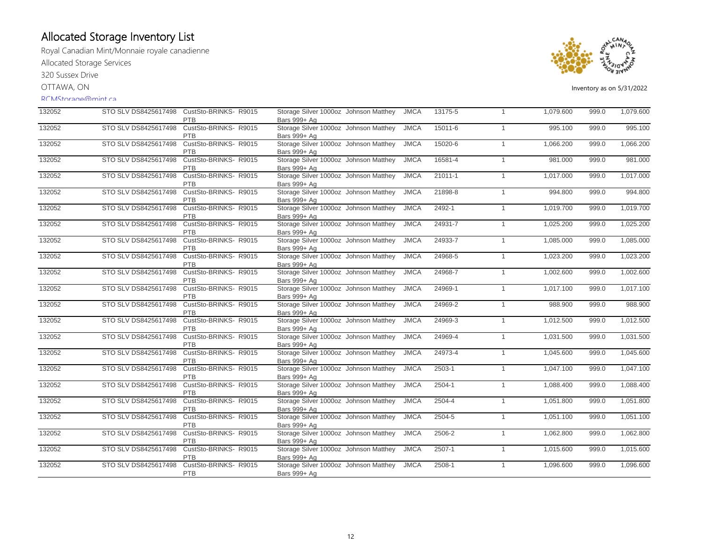Royal Canadian Mint/Monnaie royale canadienne Allocated Storage Services

320 Sussex Drive

OTTAWA, ON

#### RCMStorage@mint.ca



| 132052 | STO SLV DS8425617498 | CustSto-BRINKS-R9015<br>PTB         | Storage Silver 1000oz Johnson Matthey<br>Bars 999+ Ag | <b>JMCA</b> | 13175-5    | $\mathbf{1}$ | 1,079.600 | 999.0 | 1,079.600 |
|--------|----------------------|-------------------------------------|-------------------------------------------------------|-------------|------------|--------------|-----------|-------|-----------|
| 132052 | STO SLV DS8425617498 | CustSto-BRINKS- R9015<br><b>PTB</b> | Storage Silver 1000oz Johnson Matthey<br>Bars 999+ Ag | <b>JMCA</b> | 15011-6    | $\mathbf{1}$ | 995.100   | 999.0 | 995.100   |
| 132052 | STO SLV DS8425617498 | CustSto-BRINKS-R9015<br><b>PTB</b>  | Storage Silver 1000oz Johnson Matthey<br>Bars 999+ Ag | <b>JMCA</b> | 15020-6    | $\mathbf{1}$ | 1,066.200 | 999.0 | 1,066.200 |
| 132052 | STO SLV DS8425617498 | CustSto-BRINKS- R9015<br>PTB        | Storage Silver 1000oz Johnson Matthey<br>Bars 999+ Ag | <b>JMCA</b> | 16581-4    | $\mathbf{1}$ | 981.000   | 999.0 | 981.000   |
| 132052 | STO SLV DS8425617498 | CustSto-BRINKS-R9015<br>PTB         | Storage Silver 1000oz Johnson Matthey<br>Bars 999+ Ag | <b>JMCA</b> | 21011-1    | $\mathbf{1}$ | 1,017.000 | 999.0 | 1,017.000 |
| 132052 | STO SLV DS8425617498 | CustSto-BRINKS-R9015<br>PTB         | Storage Silver 1000oz Johnson Matthey<br>Bars 999+ Ag | <b>JMCA</b> | 21898-8    | $\mathbf{1}$ | 994.800   | 999.0 | 994.800   |
| 132052 | STO SLV DS8425617498 | CustSto-BRINKS-R9015<br><b>PTB</b>  | Storage Silver 1000oz Johnson Matthey<br>Bars 999+ Ag | <b>JMCA</b> | 2492-1     | $\mathbf{1}$ | 1,019.700 | 999.0 | 1,019.700 |
| 132052 | STO SLV DS8425617498 | CustSto-BRINKS-R9015<br><b>PTB</b>  | Storage Silver 1000oz Johnson Matthey<br>Bars 999+ Ag | <b>JMCA</b> | 24931-7    | $\mathbf{1}$ | 1,025.200 | 999.0 | 1,025.200 |
| 132052 | STO SLV DS8425617498 | CustSto-BRINKS-R9015<br>PTB         | Storage Silver 1000oz Johnson Matthey<br>Bars 999+ Ag | <b>JMCA</b> | 24933-7    | $\mathbf{1}$ | 1,085.000 | 999.0 | 1,085.000 |
| 132052 | STO SLV DS8425617498 | CustSto-BRINKS-R9015<br><b>PTB</b>  | Storage Silver 1000oz Johnson Matthey<br>Bars 999+ Ag | <b>JMCA</b> | 24968-5    | $\mathbf{1}$ | 1,023.200 | 999.0 | 1,023.200 |
| 132052 | STO SLV DS8425617498 | CustSto-BRINKS- R9015<br><b>PTB</b> | Storage Silver 1000oz Johnson Matthey<br>Bars 999+ Ag | <b>JMCA</b> | 24968-7    | $\mathbf{1}$ | 1,002.600 | 999.0 | 1,002.600 |
| 132052 | STO SLV DS8425617498 | CustSto-BRINKS- R9015<br><b>PTB</b> | Storage Silver 1000oz Johnson Matthey<br>Bars 999+ Ag | <b>JMCA</b> | 24969-1    | $\mathbf{1}$ | 1,017.100 | 999.0 | 1,017.100 |
| 132052 | STO SLV DS8425617498 | CustSto-BRINKS-R9015<br><b>PTB</b>  | Storage Silver 1000oz Johnson Matthey<br>Bars 999+ Ag | <b>JMCA</b> | 24969-2    | $\mathbf{1}$ | 988.900   | 999.0 | 988.900   |
| 132052 | STO SLV DS8425617498 | CustSto-BRINKS- R9015<br>PTB        | Storage Silver 1000oz Johnson Matthey<br>Bars 999+ Ag | <b>JMCA</b> | 24969-3    | $\mathbf{1}$ | 1,012.500 | 999.0 | 1,012.500 |
| 132052 | STO SLV DS8425617498 | CustSto-BRINKS-R9015<br>PTB         | Storage Silver 1000oz Johnson Matthey<br>Bars 999+ Ag | <b>JMCA</b> | 24969-4    | $\mathbf{1}$ | 1,031.500 | 999.0 | 1,031.500 |
| 132052 | STO SLV DS8425617498 | CustSto-BRINKS-R9015<br>PTB         | Storage Silver 1000oz Johnson Matthey<br>Bars 999+ Ag | <b>JMCA</b> | 24973-4    | $\mathbf{1}$ | 1,045.600 | 999.0 | 1,045.600 |
| 132052 | STO SLV DS8425617498 | CustSto-BRINKS-R9015<br>PTB         | Storage Silver 1000oz Johnson Matthey<br>Bars 999+ Ag | <b>JMCA</b> | $2503 - 1$ | $\mathbf{1}$ | 1,047.100 | 999.0 | 1,047.100 |
| 132052 | STO SLV DS8425617498 | CustSto-BRINKS-R9015<br>PTB         | Storage Silver 1000oz Johnson Matthey<br>Bars 999+ Ag | <b>JMCA</b> | $2504-1$   | $\mathbf{1}$ | 1,088.400 | 999.0 | 1,088.400 |
| 132052 | STO SLV DS8425617498 | CustSto-BRINKS- R9015<br>PTB        | Storage Silver 1000oz Johnson Matthey<br>Bars 999+ Ag | <b>JMCA</b> | 2504-4     | $\mathbf{1}$ | 1,051.800 | 999.0 | 1,051.800 |
| 132052 | STO SLV DS8425617498 | CustSto-BRINKS-R9015<br>PTB         | Storage Silver 1000oz Johnson Matthey<br>Bars 999+ Ag | <b>JMCA</b> | 2504-5     | $\mathbf{1}$ | 1,051.100 | 999.0 | 1,051.100 |
| 132052 | STO SLV DS8425617498 | CustSto-BRINKS- R9015<br><b>PTB</b> | Storage Silver 1000oz Johnson Matthey<br>Bars 999+ Ag | <b>JMCA</b> | 2506-2     | $\mathbf{1}$ | 1,062.800 | 999.0 | 1,062.800 |
| 132052 | STO SLV DS8425617498 | CustSto-BRINKS-R9015<br>PTB         | Storage Silver 1000oz Johnson Matthey<br>Bars 999+ Ag | <b>JMCA</b> | $2507 - 1$ | $\mathbf{1}$ | 1,015.600 | 999.0 | 1,015.600 |
| 132052 | STO SLV DS8425617498 | CustSto-BRINKS-R9015<br>PTB         | Storage Silver 1000oz Johnson Matthey<br>Bars 999+ Ag | <b>JMCA</b> | 2508-1     | $\mathbf{1}$ | 1,096.600 | 999.0 | 1,096.600 |
|        |                      |                                     |                                                       |             |            |              |           |       |           |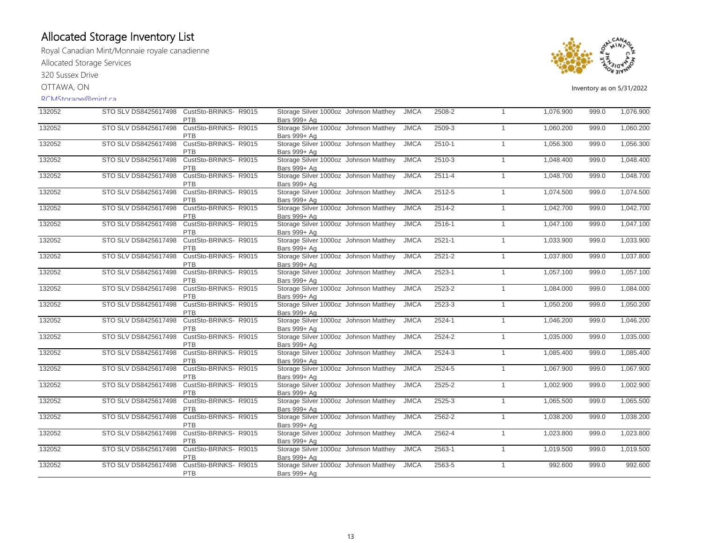Royal Canadian Mint/Monnaie royale canadienne Allocated Storage Services

320 Sussex Drive

OTTAWA, ON

#### RCMStorage@mint.ca



| 132052 | STO SLV DS8425617498 | CustSto-BRINKS-R9015<br><b>PTB</b>  | Storage Silver 1000oz Johnson Matthey<br>Bars 999+ Ag | <b>JMCA</b> | 2508-2     | $\mathbf{1}$ | 1,076.900 | 999.0 | 1,076.900 |
|--------|----------------------|-------------------------------------|-------------------------------------------------------|-------------|------------|--------------|-----------|-------|-----------|
| 132052 | STO SLV DS8425617498 | CustSto-BRINKS- R9015<br><b>PTB</b> | Storage Silver 1000oz Johnson Matthey<br>Bars 999+ Ag | <b>JMCA</b> | 2509-3     | $\mathbf{1}$ | 1,060.200 | 999.0 | 1,060.200 |
| 132052 | STO SLV DS8425617498 | CustSto-BRINKS-R9015<br><b>PTB</b>  | Storage Silver 1000oz Johnson Matthey<br>Bars 999+ Ag | <b>JMCA</b> | 2510-1     | $\mathbf{1}$ | 1,056.300 | 999.0 | 1,056.300 |
| 132052 | STO SLV DS8425617498 | CustSto-BRINKS-R9015<br><b>PTB</b>  | Storage Silver 1000oz Johnson Matthey<br>Bars 999+ Ag | <b>JMCA</b> | 2510-3     | $\mathbf{1}$ | 1,048.400 | 999.0 | 1,048.400 |
| 132052 | STO SLV DS8425617498 | CustSto-BRINKS-R9015<br><b>PTB</b>  | Storage Silver 1000oz Johnson Matthey<br>Bars 999+ Ag | <b>JMCA</b> | 2511-4     | $\mathbf{1}$ | 1,048.700 | 999.0 | 1,048.700 |
| 132052 | STO SLV DS8425617498 | CustSto-BRINKS-R9015<br>PTB         | Storage Silver 1000oz Johnson Matthey<br>Bars 999+ Ag | <b>JMCA</b> | 2512-5     | $\mathbf{1}$ | 1,074.500 | 999.0 | 1,074.500 |
| 132052 | STO SLV DS8425617498 | CustSto-BRINKS-R9015<br><b>PTB</b>  | Storage Silver 1000oz Johnson Matthey<br>Bars 999+ Ag | <b>JMCA</b> | 2514-2     | $\mathbf{1}$ | 1,042.700 | 999.0 | 1,042.700 |
| 132052 | STO SLV DS8425617498 | CustSto-BRINKS-R9015<br><b>PTB</b>  | Storage Silver 1000oz Johnson Matthey<br>Bars 999+ Ag | <b>JMCA</b> | 2516-1     | $\mathbf{1}$ | 1,047.100 | 999.0 | 1,047.100 |
| 132052 | STO SLV DS8425617498 | CustSto-BRINKS-R9015<br>PTB         | Storage Silver 1000oz Johnson Matthey<br>Bars 999+ Ag | <b>JMCA</b> | $2521 - 1$ | $\mathbf{1}$ | 1,033.900 | 999.0 | 1,033.900 |
| 132052 | STO SLV DS8425617498 | CustSto-BRINKS-R9015<br>PTB         | Storage Silver 1000oz Johnson Matthey<br>Bars 999+ Ag | <b>JMCA</b> | 2521-2     | $\mathbf{1}$ | 1,037.800 | 999.0 | 1,037.800 |
| 132052 | STO SLV DS8425617498 | CustSto-BRINKS-R9015<br>PTB         | Storage Silver 1000oz Johnson Matthey<br>Bars 999+ Ag | <b>JMCA</b> | $2523 - 1$ | $\mathbf{1}$ | 1,057.100 | 999.0 | 1,057.100 |
| 132052 | STO SLV DS8425617498 | CustSto-BRINKS-R9015<br><b>PTB</b>  | Storage Silver 1000oz Johnson Matthey<br>Bars 999+ Ag | <b>JMCA</b> | 2523-2     | $\mathbf{1}$ | 1,084.000 | 999.0 | 1,084.000 |
| 132052 | STO SLV DS8425617498 | CustSto-BRINKS-R9015<br><b>PTB</b>  | Storage Silver 1000oz Johnson Matthey<br>Bars 999+ Ag | <b>JMCA</b> | 2523-3     | $\mathbf{1}$ | 1,050.200 | 999.0 | 1,050.200 |
| 132052 | STO SLV DS8425617498 | CustSto-BRINKS-R9015<br><b>PTB</b>  | Storage Silver 1000oz Johnson Matthey<br>Bars 999+ Ag | <b>JMCA</b> | 2524-1     | $\mathbf{1}$ | 1,046.200 | 999.0 | 1,046.200 |
| 132052 | STO SLV DS8425617498 | CustSto-BRINKS-R9015<br>PTB         | Storage Silver 1000oz Johnson Matthey<br>Bars 999+ Ag | <b>JMCA</b> | 2524-2     | $\mathbf{1}$ | 1,035.000 | 999.0 | 1,035.000 |
| 132052 | STO SLV DS8425617498 | CustSto-BRINKS-R9015<br><b>PTB</b>  | Storage Silver 1000oz Johnson Matthey<br>Bars 999+ Ag | <b>JMCA</b> | 2524-3     | $\mathbf{1}$ | 1,085.400 | 999.0 | 1,085.400 |
| 132052 | STO SLV DS8425617498 | CustSto-BRINKS- R9015<br>PTB        | Storage Silver 1000oz Johnson Matthey<br>Bars 999+ Ag | <b>JMCA</b> | 2524-5     | $\mathbf{1}$ | 1,067.900 | 999.0 | 1,067.900 |
| 132052 | STO SLV DS8425617498 | CustSto-BRINKS-R9015<br><b>PTB</b>  | Storage Silver 1000oz Johnson Matthey<br>Bars 999+ Ag | <b>JMCA</b> | 2525-2     | $\mathbf{1}$ | 1,002.900 | 999.0 | 1,002.900 |
| 132052 | STO SLV DS8425617498 | CustSto-BRINKS-R9015<br>PTB         | Storage Silver 1000oz Johnson Matthey<br>Bars 999+ Ag | <b>JMCA</b> | 2525-3     | $\mathbf{1}$ | 1,065.500 | 999.0 | 1,065.500 |
| 132052 | STO SLV DS8425617498 | CustSto-BRINKS-R9015<br>PTB         | Storage Silver 1000oz Johnson Matthey<br>Bars 999+ Ag | <b>JMCA</b> | 2562-2     | $\mathbf{1}$ | 1,038.200 | 999.0 | 1,038.200 |
| 132052 | STO SLV DS8425617498 | CustSto-BRINKS- R9015<br>PTB        | Storage Silver 1000oz Johnson Matthey<br>Bars 999+ Ag | <b>JMCA</b> | 2562-4     | $\mathbf{1}$ | 1,023.800 | 999.0 | 1,023.800 |
| 132052 | STO SLV DS8425617498 | CustSto-BRINKS- R9015<br>PTB        | Storage Silver 1000oz Johnson Matthey<br>Bars 999+ Ag | <b>JMCA</b> | 2563-1     | $\mathbf{1}$ | 1,019.500 | 999.0 | 1,019.500 |
| 132052 | STO SLV DS8425617498 | CustSto-BRINKS- R9015<br>PTB        | Storage Silver 1000oz Johnson Matthey<br>Bars 999+ Ag | <b>JMCA</b> | 2563-5     | $\mathbf{1}$ | 992.600   | 999.0 | 992.600   |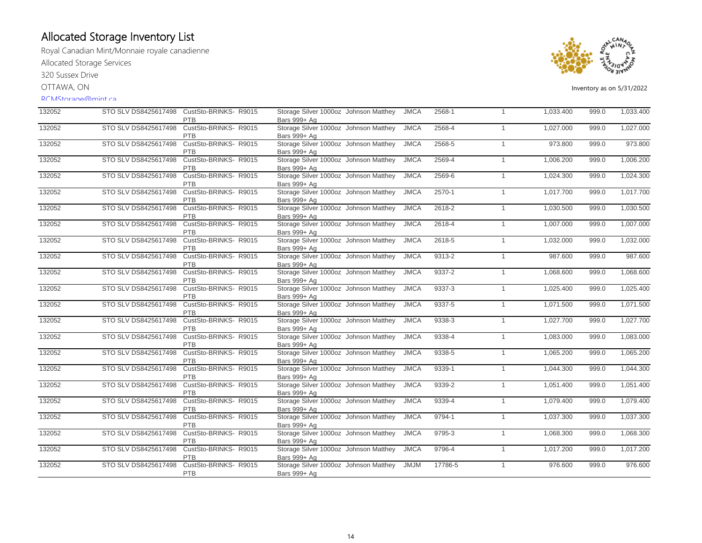Royal Canadian Mint/Monnaie royale canadienne Allocated Storage Services

320 Sussex Drive

OTTAWA, ON

#### RCMStorage@mint.ca



| 132052 |                      | STO SLV DS8425617498 CustSto-BRINKS-R9015<br><b>PTB</b> | Storage Silver 1000oz Johnson Matthey<br>Bars 999+ Ag | <b>JMCA</b> | 2568-1  | $\mathbf{1}$ | 1,033.400 | 999.0 | 1,033.400 |
|--------|----------------------|---------------------------------------------------------|-------------------------------------------------------|-------------|---------|--------------|-----------|-------|-----------|
| 132052 | STO SLV DS8425617498 | CustSto-BRINKS- R9015<br><b>PTB</b>                     | Storage Silver 1000oz Johnson Matthey<br>Bars 999+ Ag | <b>JMCA</b> | 2568-4  | $\mathbf{1}$ | 1,027.000 | 999.0 | 1,027.000 |
| 132052 | STO SLV DS8425617498 | CustSto-BRINKS-R9015<br><b>PTB</b>                      | Storage Silver 1000oz Johnson Matthey<br>Bars 999+ Ag | <b>JMCA</b> | 2568-5  | $\mathbf{1}$ | 973.800   | 999.0 | 973.800   |
| 132052 | STO SLV DS8425617498 | CustSto-BRINKS-R9015<br>PTB                             | Storage Silver 1000oz Johnson Matthey<br>Bars 999+ Ag | <b>JMCA</b> | 2569-4  | $\mathbf{1}$ | 1,006.200 | 999.0 | 1,006.200 |
| 132052 | STO SLV DS8425617498 | CustSto-BRINKS-R9015<br>PTB                             | Storage Silver 1000oz Johnson Matthey<br>Bars 999+ Ag | <b>JMCA</b> | 2569-6  | $\mathbf{1}$ | 1,024.300 | 999.0 | 1,024.300 |
| 132052 | STO SLV DS8425617498 | CustSto-BRINKS-R9015<br><b>PTB</b>                      | Storage Silver 1000oz Johnson Matthey<br>Bars 999+ Ag | <b>JMCA</b> | 2570-1  | $\mathbf{1}$ | 1,017.700 | 999.0 | 1,017.700 |
| 132052 | STO SLV DS8425617498 | CustSto-BRINKS-R9015<br><b>PTB</b>                      | Storage Silver 1000oz Johnson Matthey<br>Bars 999+ Ag | <b>JMCA</b> | 2618-2  | $\mathbf{1}$ | 1,030.500 | 999.0 | 1,030.500 |
| 132052 | STO SLV DS8425617498 | CustSto-BRINKS-R9015<br>PTB                             | Storage Silver 1000oz Johnson Matthey<br>Bars 999+ Ag | <b>JMCA</b> | 2618-4  | $\mathbf{1}$ | 1,007.000 | 999.0 | 1,007.000 |
| 132052 | STO SLV DS8425617498 | CustSto-BRINKS-R9015<br>PTB                             | Storage Silver 1000oz Johnson Matthey<br>Bars 999+ Ag | <b>JMCA</b> | 2618-5  | $\mathbf{1}$ | 1,032.000 | 999.0 | 1,032.000 |
| 132052 | STO SLV DS8425617498 | CustSto-BRINKS- R9015<br>PTB                            | Storage Silver 1000oz Johnson Matthey<br>Bars 999+ Ag | <b>JMCA</b> | 9313-2  | $\mathbf{1}$ | 987.600   | 999.0 | 987.600   |
| 132052 | STO SLV DS8425617498 | CustSto-BRINKS-R9015<br>PTB                             | Storage Silver 1000oz Johnson Matthey<br>Bars 999+ Ag | <b>JMCA</b> | 9337-2  | $\mathbf{1}$ | 1,068.600 | 999.0 | 1,068.600 |
| 132052 | STO SLV DS8425617498 | CustSto-BRINKS-R9015<br><b>PTB</b>                      | Storage Silver 1000oz Johnson Matthey<br>Bars 999+ Ag | <b>JMCA</b> | 9337-3  | $\mathbf{1}$ | 1,025.400 | 999.0 | 1,025.400 |
| 132052 | STO SLV DS8425617498 | CustSto-BRINKS-R9015<br><b>PTB</b>                      | Storage Silver 1000oz Johnson Matthey<br>Bars 999+ Ag | <b>JMCA</b> | 9337-5  | $\mathbf{1}$ | 1,071.500 | 999.0 | 1,071.500 |
| 132052 | STO SLV DS8425617498 | CustSto-BRINKS-R9015<br>PTB                             | Storage Silver 1000oz Johnson Matthey<br>Bars 999+ Ag | <b>JMCA</b> | 9338-3  | $\mathbf{1}$ | 1,027.700 | 999.0 | 1,027.700 |
| 132052 | STO SLV DS8425617498 | CustSto-BRINKS-R9015<br>PTB                             | Storage Silver 1000oz Johnson Matthey<br>Bars 999+ Ag | <b>JMCA</b> | 9338-4  | $\mathbf{1}$ | 1,083.000 | 999.0 | 1,083.000 |
| 132052 | STO SLV DS8425617498 | CustSto-BRINKS- R9015<br><b>PTB</b>                     | Storage Silver 1000oz Johnson Matthey<br>Bars 999+ Ag | <b>JMCA</b> | 9338-5  | $\mathbf{1}$ | 1,065.200 | 999.0 | 1,065.200 |
| 132052 | STO SLV DS8425617498 | CustSto-BRINKS-R9015<br><b>PTB</b>                      | Storage Silver 1000oz Johnson Matthey<br>Bars 999+ Ag | <b>JMCA</b> | 9339-1  | $\mathbf{1}$ | 1,044.300 | 999.0 | 1,044.300 |
| 132052 | STO SLV DS8425617498 | CustSto-BRINKS-R9015<br><b>PTB</b>                      | Storage Silver 1000oz Johnson Matthey<br>Bars 999+ Ag | <b>JMCA</b> | 9339-2  | $\mathbf{1}$ | 1,051.400 | 999.0 | 1,051.400 |
| 132052 | STO SLV DS8425617498 | CustSto-BRINKS-R9015<br>PTB                             | Storage Silver 1000oz Johnson Matthey<br>Bars 999+ Ag | <b>JMCA</b> | 9339-4  | $\mathbf{1}$ | 1,079.400 | 999.0 | 1,079.400 |
| 132052 | STO SLV DS8425617498 | CustSto-BRINKS-R9015<br><b>PTB</b>                      | Storage Silver 1000oz Johnson Matthey<br>Bars 999+ Ag | <b>JMCA</b> | 9794-1  | $\mathbf{1}$ | 1,037.300 | 999.0 | 1,037.300 |
| 132052 | STO SLV DS8425617498 | CustSto-BRINKS- R9015<br><b>PTB</b>                     | Storage Silver 1000oz Johnson Matthey<br>Bars 999+ Ag | <b>JMCA</b> | 9795-3  | $\mathbf{1}$ | 1,068.300 | 999.0 | 1,068.300 |
| 132052 | STO SLV DS8425617498 | CustSto-BRINKS- R9015<br>PTB                            | Storage Silver 1000oz Johnson Matthey<br>Bars 999+ Ag | <b>JMCA</b> | 9796-4  | $\mathbf{1}$ | 1,017.200 | 999.0 | 1,017.200 |
| 132052 | STO SLV DS8425617498 | CustSto-BRINKS- R9015<br>PTB                            | Storage Silver 1000oz Johnson Matthey<br>Bars 999+ Ag | <b>JMJM</b> | 17786-5 | $\mathbf{1}$ | 976.600   | 999.0 | 976.600   |
|        |                      |                                                         |                                                       |             |         |              |           |       |           |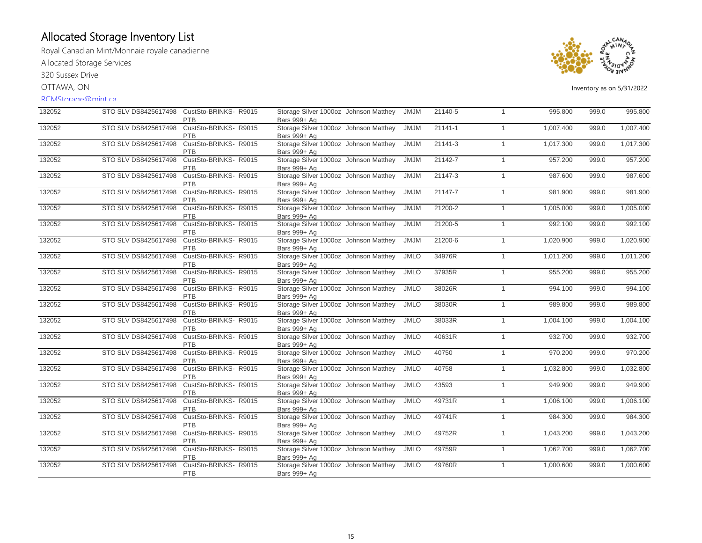Royal Canadian Mint/Monnaie royale canadienne Allocated Storage Services

320 Sussex Drive

OTTAWA, ON

#### RCMStorage@mint.ca



| 132052 |                      | STO SLV DS8425617498 CustSto-BRINKS-R9015<br>PTB | Storage Silver 1000oz Johnson Matthey<br>Bars 999+ Ag | <b>JMJM</b> | 21140-5 | $\overline{1}$ | 995.800   | 999.0 | 995.800   |
|--------|----------------------|--------------------------------------------------|-------------------------------------------------------|-------------|---------|----------------|-----------|-------|-----------|
| 132052 | STO SLV DS8425617498 | CustSto-BRINKS- R9015<br><b>PTB</b>              | Storage Silver 1000oz Johnson Matthey<br>Bars 999+ Ag | <b>JMJM</b> | 21141-1 | $\mathbf{1}$   | 1,007.400 | 999.0 | 1,007.400 |
| 132052 | STO SLV DS8425617498 | CustSto-BRINKS-R9015<br><b>PTB</b>               | Storage Silver 1000oz Johnson Matthey<br>Bars 999+ Ag | <b>JMJM</b> | 21141-3 | $\overline{1}$ | 1,017.300 | 999.0 | 1,017.300 |
| 132052 | STO SLV DS8425617498 | CustSto-BRINKS-R9015<br><b>PTB</b>               | Storage Silver 1000oz Johnson Matthey<br>Bars 999+ Ag | <b>JMJM</b> | 21142-7 | $\overline{1}$ | 957.200   | 999.0 | 957.200   |
| 132052 | STO SLV DS8425617498 | CustSto-BRINKS-R9015<br><b>PTB</b>               | Storage Silver 1000oz Johnson Matthey<br>Bars 999+ Ag | <b>JMJM</b> | 21147-3 | $\overline{1}$ | 987.600   | 999.0 | 987.600   |
| 132052 | STO SLV DS8425617498 | CustSto-BRINKS-R9015<br><b>PTB</b>               | Storage Silver 1000oz Johnson Matthey<br>Bars 999+ Ag | <b>JMJM</b> | 21147-7 | $\mathbf{1}$   | 981.900   | 999.0 | 981.900   |
| 132052 | STO SLV DS8425617498 | CustSto-BRINKS- R9015<br><b>PTB</b>              | Storage Silver 1000oz Johnson Matthey<br>Bars 999+ Ag | <b>JMJM</b> | 21200-2 | $\mathbf{1}$   | 1,005.000 | 999.0 | 1,005.000 |
| 132052 | STO SLV DS8425617498 | CustSto-BRINKS- R9015<br><b>PTB</b>              | Storage Silver 1000oz Johnson Matthey<br>Bars 999+ Ag | <b>JMJM</b> | 21200-5 | $\mathbf{1}$   | 992.100   | 999.0 | 992.100   |
| 132052 | STO SLV DS8425617498 | CustSto-BRINKS- R9015<br>PTB                     | Storage Silver 1000oz Johnson Matthey<br>Bars 999+ Ag | <b>JMJM</b> | 21200-6 | $\overline{1}$ | 1,020.900 | 999.0 | 1,020.900 |
| 132052 | STO SLV DS8425617498 | CustSto-BRINKS-R9015<br><b>PTB</b>               | Storage Silver 1000oz Johnson Matthey<br>Bars 999+ Ag | <b>JMLO</b> | 34976R  | $\overline{1}$ | 1,011.200 | 999.0 | 1,011.200 |
| 132052 | STO SLV DS8425617498 | CustSto-BRINKS-R9015<br>PTB                      | Storage Silver 1000oz Johnson Matthey<br>Bars 999+ Ag | <b>JMLO</b> | 37935R  | $\mathbf{1}$   | 955.200   | 999.0 | 955.200   |
| 132052 | STO SLV DS8425617498 | CustSto-BRINKS-R9015<br>PTB                      | Storage Silver 1000oz Johnson Matthey<br>Bars 999+ Ag | <b>JMLO</b> | 38026R  | $\mathbf{1}$   | 994.100   | 999.0 | 994.100   |
| 132052 | STO SLV DS8425617498 | CustSto-BRINKS- R9015<br><b>PTB</b>              | Storage Silver 1000oz Johnson Matthey<br>Bars 999+ Ag | <b>JMLO</b> | 38030R  | $\overline{1}$ | 989.800   | 999.0 | 989.800   |
| 132052 | STO SLV DS8425617498 | CustSto-BRINKS-R9015<br><b>PTB</b>               | Storage Silver 1000oz Johnson Matthey<br>Bars 999+ Ag | <b>JMLO</b> | 38033R  | $\mathbf{1}$   | 1,004.100 | 999.0 | 1,004.100 |
| 132052 | STO SLV DS8425617498 | CustSto-BRINKS-R9015<br><b>PTB</b>               | Storage Silver 1000oz Johnson Matthey<br>Bars 999+ Ag | <b>JMLO</b> | 40631R  | $\mathbf{1}$   | 932.700   | 999.0 | 932.700   |
| 132052 | STO SLV DS8425617498 | CustSto-BRINKS-R9015<br><b>PTB</b>               | Storage Silver 1000oz Johnson Matthey<br>Bars 999+ Ag | <b>JMLO</b> | 40750   | $\mathbf{1}$   | 970.200   | 999.0 | 970.200   |
| 132052 | STO SLV DS8425617498 | CustSto-BRINKS-R9015<br>PTB                      | Storage Silver 1000oz Johnson Matthey<br>Bars 999+ Ag | <b>JMLO</b> | 40758   | $\mathbf{1}$   | 1,032.800 | 999.0 | 1,032.800 |
| 132052 | STO SLV DS8425617498 | CustSto-BRINKS-R9015<br><b>PTB</b>               | Storage Silver 1000oz Johnson Matthey<br>Bars 999+ Ag | <b>JMLO</b> | 43593   | $\overline{1}$ | 949.900   | 999.0 | 949.900   |
| 132052 | STO SLV DS8425617498 | CustSto-BRINKS-R9015<br>PTB                      | Storage Silver 1000oz Johnson Matthey<br>Bars 999+ Ag | <b>JMLO</b> | 49731R  | $\mathbf{1}$   | 1,006.100 | 999.0 | 1,006.100 |
| 132052 | STO SLV DS8425617498 | CustSto-BRINKS-R9015<br>PTB                      | Storage Silver 1000oz Johnson Matthey<br>Bars 999+ Ag | <b>JMLO</b> | 49741R  | $\mathbf{1}$   | 984.300   | 999.0 | 984.300   |
| 132052 | STO SLV DS8425617498 | CustSto-BRINKS- R9015<br><b>PTB</b>              | Storage Silver 1000oz Johnson Matthey<br>Bars 999+ Ag | <b>JMLO</b> | 49752R  | $\overline{1}$ | 1,043.200 | 999.0 | 1,043.200 |
| 132052 | STO SLV DS8425617498 | CustSto-BRINKS- R9015<br>PTB                     | Storage Silver 1000oz Johnson Matthey<br>Bars 999+ Ag | <b>JMLO</b> | 49759R  | $\mathbf{1}$   | 1,062.700 | 999.0 | 1,062.700 |
| 132052 | STO SLV DS8425617498 | CustSto-BRINKS- R9015<br>PTB                     | Storage Silver 1000oz Johnson Matthey<br>Bars 999+ Ag | <b>JMLO</b> | 49760R  | $\overline{1}$ | 1,000.600 | 999.0 | 1,000.600 |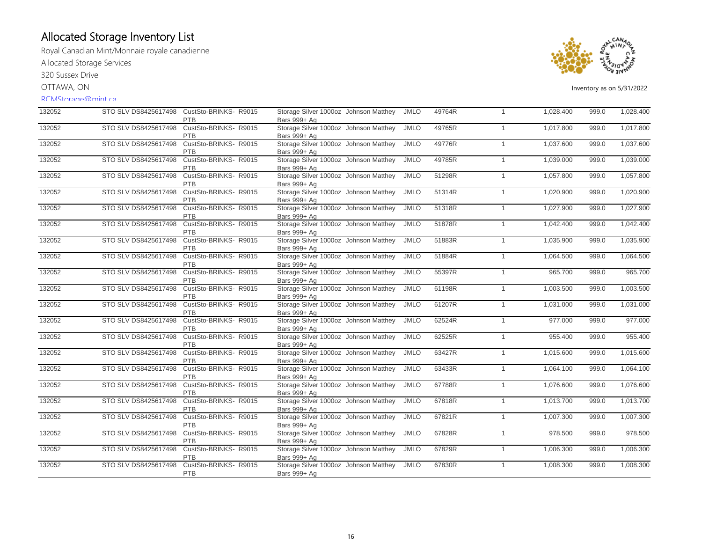Royal Canadian Mint/Monnaie royale canadienne Allocated Storage Services

320 Sussex Drive

OTTAWA, ON

#### RCMStorage@mint.ca



| 132052 |                      | STO SLV DS8425617498 CustSto-BRINKS-R9015<br>PTB | Storage Silver 1000oz Johnson Matthey<br>Bars 999+ Ag | <b>JMLO</b> | 49764R | 1              | 1,028.400 | 999.0 | 1,028.400 |
|--------|----------------------|--------------------------------------------------|-------------------------------------------------------|-------------|--------|----------------|-----------|-------|-----------|
| 132052 | STO SLV DS8425617498 | CustSto-BRINKS-R9015<br>PTB                      | Storage Silver 1000oz Johnson Matthey<br>Bars 999+ Ag | <b>JMLO</b> | 49765R | $\mathbf{1}$   | 1,017.800 | 999.0 | 1,017.800 |
| 132052 | STO SLV DS8425617498 | CustSto-BRINKS-R9015<br><b>PTB</b>               | Storage Silver 1000oz Johnson Matthey<br>Bars 999+ Ag | <b>JMLO</b> | 49776R | $\mathbf{1}$   | 1,037.600 | 999.0 | 1,037.600 |
| 132052 | STO SLV DS8425617498 | CustSto-BRINKS-R9015<br><b>PTB</b>               | Storage Silver 1000oz Johnson Matthey<br>Bars 999+ Ag | <b>JMLO</b> | 49785R | $\mathbf{1}$   | 1,039.000 | 999.0 | 1,039.000 |
| 132052 | STO SLV DS8425617498 | CustSto-BRINKS-R9015<br><b>PTB</b>               | Storage Silver 1000oz Johnson Matthey<br>Bars 999+ Ag | <b>JMLO</b> | 51298R | $\mathbf{1}$   | 1,057.800 | 999.0 | 1,057.800 |
| 132052 | STO SLV DS8425617498 | CustSto-BRINKS-R9015<br><b>PTB</b>               | Storage Silver 1000oz Johnson Matthey<br>Bars 999+ Ag | <b>JMLO</b> | 51314R | $\mathbf{1}$   | 1,020.900 | 999.0 | 1,020.900 |
| 132052 | STO SLV DS8425617498 | CustSto-BRINKS-R9015<br><b>PTB</b>               | Storage Silver 1000oz Johnson Matthey<br>Bars 999+ Ag | <b>JMLO</b> | 51318R | $\mathbf{1}$   | 1,027.900 | 999.0 | 1,027.900 |
| 132052 | STO SLV DS8425617498 | CustSto-BRINKS-R9015<br><b>PTB</b>               | Storage Silver 1000oz Johnson Matthey<br>Bars 999+ Ag | <b>JMLO</b> | 51878R | $\mathbf{1}$   | 1,042.400 | 999.0 | 1,042.400 |
| 132052 | STO SLV DS8425617498 | CustSto-BRINKS-R9015<br>PTB                      | Storage Silver 1000oz Johnson Matthey<br>Bars 999+ Ag | <b>JMLO</b> | 51883R | $\mathbf{1}$   | 1,035.900 | 999.0 | 1,035.900 |
| 132052 | STO SLV DS8425617498 | CustSto-BRINKS-R9015<br>PTB                      | Storage Silver 1000oz Johnson Matthey<br>Bars 999+ Ag | <b>JMLO</b> | 51884R | $\mathbf{1}$   | 1,064.500 | 999.0 | 1,064.500 |
| 132052 | STO SLV DS8425617498 | CustSto-BRINKS-R9015<br>PTB                      | Storage Silver 1000oz Johnson Matthey<br>Bars 999+ Ag | <b>JMLO</b> | 55397R | $\overline{1}$ | 965.700   | 999.0 | 965.700   |
| 132052 | STO SLV DS8425617498 | CustSto-BRINKS-R9015<br><b>PTB</b>               | Storage Silver 1000oz Johnson Matthey<br>Bars 999+ Ag | <b>JMLO</b> | 61198R | $\mathbf{1}$   | 1,003.500 | 999.0 | 1,003.500 |
| 132052 | STO SLV DS8425617498 | CustSto-BRINKS-R9015<br><b>PTB</b>               | Storage Silver 1000oz Johnson Matthey<br>Bars 999+ Ag | <b>JMLO</b> | 61207R | $\mathbf{1}$   | 1,031.000 | 999.0 | 1,031.000 |
| 132052 | STO SLV DS8425617498 | CustSto-BRINKS-R9015<br>PTB                      | Storage Silver 1000oz Johnson Matthey<br>Bars 999+ Ag | <b>JMLO</b> | 62524R | $\mathbf{1}$   | 977.000   | 999.0 | 977.000   |
| 132052 | STO SLV DS8425617498 | CustSto-BRINKS-R9015<br>PTB                      | Storage Silver 1000oz Johnson Matthey<br>Bars 999+ Ag | <b>JMLO</b> | 62525R | $\mathbf{1}$   | 955.400   | 999.0 | 955.400   |
| 132052 | STO SLV DS8425617498 | CustSto-BRINKS-R9015<br><b>PTB</b>               | Storage Silver 1000oz Johnson Matthey<br>Bars 999+ Ag | <b>JMLO</b> | 63427R | $\mathbf{1}$   | 1,015.600 | 999.0 | 1,015.600 |
| 132052 | STO SLV DS8425617498 | CustSto-BRINKS- R9015<br><b>PTB</b>              | Storage Silver 1000oz Johnson Matthey<br>Bars 999+ Ag | <b>JMLO</b> | 63433R | $\mathbf{1}$   | 1,064.100 | 999.0 | 1,064.100 |
| 132052 | STO SLV DS8425617498 | CustSto-BRINKS-R9015<br>PTB                      | Storage Silver 1000oz Johnson Matthey<br>Bars 999+ Ag | <b>JMLO</b> | 67788R | $\mathbf{1}$   | 1,076.600 | 999.0 | 1,076.600 |
| 132052 | STO SLV DS8425617498 | CustSto-BRINKS-R9015<br>PTB                      | Storage Silver 1000oz Johnson Matthey<br>Bars 999+ Ag | <b>JMLO</b> | 67818R | $\mathbf{1}$   | 1,013.700 | 999.0 | 1,013.700 |
| 132052 | STO SLV DS8425617498 | CustSto-BRINKS-R9015<br><b>PTB</b>               | Storage Silver 1000oz Johnson Matthey<br>Bars 999+ Ag | <b>JMLO</b> | 67821R | $\overline{1}$ | 1,007.300 | 999.0 | 1,007.300 |
| 132052 | STO SLV DS8425617498 | CustSto-BRINKS- R9015<br><b>PTB</b>              | Storage Silver 1000oz Johnson Matthey<br>Bars 999+ Ag | <b>JMLO</b> | 67828R | $\mathbf{1}$   | 978.500   | 999.0 | 978.500   |
| 132052 | STO SLV DS8425617498 | CustSto-BRINKS-R9015<br>PTB                      | Storage Silver 1000oz Johnson Matthey<br>Bars 999+ Ag | <b>JMLO</b> | 67829R | $\overline{1}$ | 1,006.300 | 999.0 | 1,006.300 |
| 132052 | STO SLV DS8425617498 | CustSto-BRINKS- R9015<br>PTB                     | Storage Silver 1000oz Johnson Matthey<br>Bars 999+ Ag | <b>JMLO</b> | 67830R | $\mathbf{1}$   | 1,008.300 | 999.0 | 1,008.300 |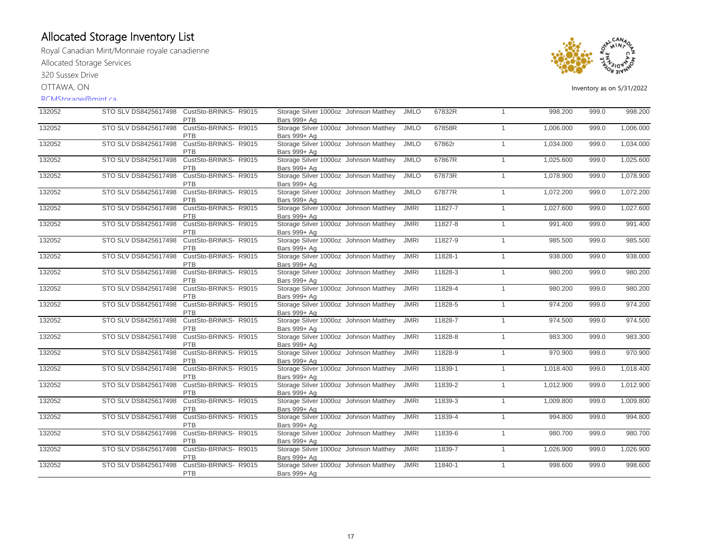Royal Canadian Mint/Monnaie royale canadienne Allocated Storage Services

320 Sussex Drive

OTTAWA, ON

#### RCMStorage@mint.ca



| 132052 | STO SLV DS8425617498 | CustSto-BRINKS-R9015<br><b>PTB</b>  | Storage Silver 1000oz Johnson Matthey<br>Bars 999+ Ag | <b>JMLO</b> | 67832R  | $\mathbf{1}$ | 998.200   | 999.0 | 998.200   |
|--------|----------------------|-------------------------------------|-------------------------------------------------------|-------------|---------|--------------|-----------|-------|-----------|
| 132052 | STO SLV DS8425617498 | CustSto-BRINKS- R9015<br><b>PTB</b> | Storage Silver 1000oz Johnson Matthey<br>Bars 999+ Ag | <b>JMLO</b> | 67858R  | $\mathbf{1}$ | 1,006.000 | 999.0 | 1,006.000 |
| 132052 | STO SLV DS8425617498 | CustSto-BRINKS-R9015<br><b>PTB</b>  | Storage Silver 1000oz Johnson Matthey<br>Bars 999+ Ag | <b>JMLO</b> | 67862r  | $\mathbf{1}$ | 1,034.000 | 999.0 | 1,034.000 |
| 132052 | STO SLV DS8425617498 | CustSto-BRINKS- R9015<br>PTB        | Storage Silver 1000oz Johnson Matthey<br>Bars 999+ Ag | <b>JMLO</b> | 67867R  | $\mathbf{1}$ | 1,025.600 | 999.0 | 1,025.600 |
| 132052 | STO SLV DS8425617498 | CustSto-BRINKS-R9015<br>PTB         | Storage Silver 1000oz Johnson Matthey<br>Bars 999+ Ag | <b>JMLO</b> | 67873R  | $\mathbf{1}$ | 1,078.900 | 999.0 | 1,078.900 |
| 132052 | STO SLV DS8425617498 | CustSto-BRINKS-R9015<br>PTB         | Storage Silver 1000oz Johnson Matthey<br>Bars 999+ Ag | <b>JMLO</b> | 67877R  | $\mathbf{1}$ | 1,072.200 | 999.0 | 1,072.200 |
| 132052 | STO SLV DS8425617498 | CustSto-BRINKS-R9015<br><b>PTB</b>  | Storage Silver 1000oz Johnson Matthey<br>Bars 999+ Ag | <b>JMRI</b> | 11827-7 | $\mathbf{1}$ | 1,027.600 | 999.0 | 1,027.600 |
| 132052 | STO SLV DS8425617498 | CustSto-BRINKS-R9015<br><b>PTB</b>  | Storage Silver 1000oz Johnson Matthey<br>Bars 999+ Ag | <b>JMRI</b> | 11827-8 | $\mathbf{1}$ | 991.400   | 999.0 | 991.400   |
| 132052 | STO SLV DS8425617498 | CustSto-BRINKS-R9015<br>PTB         | Storage Silver 1000oz Johnson Matthey<br>Bars 999+ Ag | <b>JMRI</b> | 11827-9 | $\mathbf{1}$ | 985.500   | 999.0 | 985.500   |
| 132052 | STO SLV DS8425617498 | CustSto-BRINKS- R9015<br><b>PTB</b> | Storage Silver 1000oz Johnson Matthey<br>Bars 999+ Ag | <b>JMRI</b> | 11828-1 | $\mathbf{1}$ | 938.000   | 999.0 | 938.000   |
| 132052 | STO SLV DS8425617498 | CustSto-BRINKS- R9015<br><b>PTB</b> | Storage Silver 1000oz Johnson Matthey<br>Bars 999+ Ag | <b>JMRI</b> | 11828-3 | $\mathbf{1}$ | 980.200   | 999.0 | 980.200   |
| 132052 | STO SLV DS8425617498 | CustSto-BRINKS- R9015<br><b>PTB</b> | Storage Silver 1000oz Johnson Matthey<br>Bars 999+ Ag | <b>JMRI</b> | 11828-4 | $\mathbf{1}$ | 980.200   | 999.0 | 980.200   |
| 132052 | STO SLV DS8425617498 | CustSto-BRINKS- R9015<br><b>PTB</b> | Storage Silver 1000oz Johnson Matthey<br>Bars 999+ Ag | <b>JMRI</b> | 11828-5 | $\mathbf{1}$ | 974.200   | 999.0 | 974.200   |
| 132052 | STO SLV DS8425617498 | CustSto-BRINKS- R9015<br>PTB        | Storage Silver 1000oz Johnson Matthey<br>Bars 999+ Ag | <b>JMRI</b> | 11828-7 | $\mathbf{1}$ | 974.500   | 999.0 | 974.500   |
| 132052 | STO SLV DS8425617498 | CustSto-BRINKS- R9015<br><b>PTB</b> | Storage Silver 1000oz Johnson Matthey<br>Bars 999+ Ag | <b>JMRI</b> | 11828-8 | $\mathbf{1}$ | 983.300   | 999.0 | 983.300   |
| 132052 | STO SLV DS8425617498 | CustSto-BRINKS- R9015<br>PTB        | Storage Silver 1000oz Johnson Matthey<br>Bars 999+ Ag | <b>JMRI</b> | 11828-9 | $\mathbf{1}$ | 970.900   | 999.0 | 970.900   |
| 132052 | STO SLV DS8425617498 | CustSto-BRINKS-R9015<br>PTB         | Storage Silver 1000oz Johnson Matthey<br>Bars 999+ Ag | <b>JMRI</b> | 11839-1 | $\mathbf{1}$ | 1,018.400 | 999.0 | 1,018.400 |
| 132052 | STO SLV DS8425617498 | CustSto-BRINKS-R9015<br>PTB         | Storage Silver 1000oz Johnson Matthey<br>Bars 999+ Ag | <b>JMRI</b> | 11839-2 | $\mathbf{1}$ | 1,012.900 | 999.0 | 1,012.900 |
| 132052 | STO SLV DS8425617498 | CustSto-BRINKS- R9015<br>PTB        | Storage Silver 1000oz Johnson Matthey<br>Bars 999+ Ag | <b>JMRI</b> | 11839-3 | $\mathbf{1}$ | 1,009.800 | 999.0 | 1,009.800 |
| 132052 | STO SLV DS8425617498 | CustSto-BRINKS- R9015<br>PTB        | Storage Silver 1000oz Johnson Matthey<br>Bars 999+ Ag | <b>JMRI</b> | 11839-4 | $\mathbf{1}$ | 994.800   | 999.0 | 994.800   |
| 132052 | STO SLV DS8425617498 | CustSto-BRINKS- R9015<br><b>PTB</b> | Storage Silver 1000oz Johnson Matthey<br>Bars 999+ Ag | <b>JMRI</b> | 11839-6 | $\mathbf{1}$ | 980.700   | 999.0 | 980.700   |
| 132052 | STO SLV DS8425617498 | CustSto-BRINKS- R9015<br>PTB        | Storage Silver 1000oz Johnson Matthey<br>Bars 999+ Ag | <b>JMRI</b> | 11839-7 | $\mathbf{1}$ | 1,026.900 | 999.0 | 1,026.900 |
| 132052 | STO SLV DS8425617498 | CustSto-BRINKS- R9015<br>PTB        | Storage Silver 1000oz Johnson Matthey<br>Bars 999+ Ag | <b>JMRI</b> | 11840-1 | $\mathbf{1}$ | 998.600   | 999.0 | 998.600   |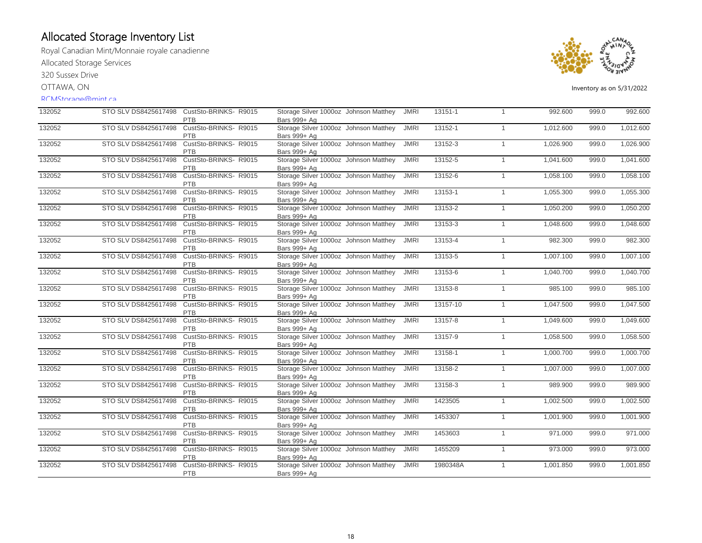Royal Canadian Mint/Monnaie royale canadienne Allocated Storage Services

320 Sussex Drive

OTTAWA, ON

#### RCMStorage@mint.ca



| 132052 |                      | STO SLV DS8425617498 CustSto-BRINKS-R9015<br><b>PTB</b> | Storage Silver 1000oz Johnson Matthey<br>Bars 999+ Ag | JMRI        | 13151-1  | $\mathbf{1}$   | 992.600   | 999.0 | 992.600   |
|--------|----------------------|---------------------------------------------------------|-------------------------------------------------------|-------------|----------|----------------|-----------|-------|-----------|
| 132052 | STO SLV DS8425617498 | CustSto-BRINKS- R9015<br><b>PTB</b>                     | Storage Silver 1000oz Johnson Matthey<br>Bars 999+ Ag | <b>JMRI</b> | 13152-1  | $\mathbf{1}$   | 1,012.600 | 999.0 | 1,012.600 |
| 132052 | STO SLV DS8425617498 | CustSto-BRINKS-R9015<br><b>PTB</b>                      | Storage Silver 1000oz Johnson Matthey<br>Bars 999+ Ag | <b>JMRI</b> | 13152-3  | $\mathbf{1}$   | 1,026.900 | 999.0 | 1,026.900 |
| 132052 | STO SLV DS8425617498 | CustSto-BRINKS- R9015<br><b>PTB</b>                     | Storage Silver 1000oz Johnson Matthey<br>Bars 999+ Ag | <b>JMRI</b> | 13152-5  | $\mathbf{1}$   | 1,041.600 | 999.0 | 1,041.600 |
| 132052 | STO SLV DS8425617498 | CustSto-BRINKS- R9015<br>PTB                            | Storage Silver 1000oz Johnson Matthey<br>Bars 999+ Ag | <b>JMRI</b> | 13152-6  | $\mathbf{1}$   | 1,058.100 | 999.0 | 1,058.100 |
| 132052 | STO SLV DS8425617498 | CustSto-BRINKS- R9015<br>PTB                            | Storage Silver 1000oz Johnson Matthey<br>Bars 999+ Ag | <b>JMRI</b> | 13153-1  | $\overline{1}$ | 1,055.300 | 999.0 | 1,055.300 |
| 132052 | STO SLV DS8425617498 | CustSto-BRINKS-R9015<br>PTB                             | Storage Silver 1000oz Johnson Matthey<br>Bars 999+ Ag | <b>JMRI</b> | 13153-2  | $\mathbf{1}$   | 1,050.200 | 999.0 | 1,050.200 |
| 132052 | STO SLV DS8425617498 | CustSto-BRINKS- R9015<br><b>PTB</b>                     | Storage Silver 1000oz Johnson Matthey<br>Bars 999+ Ag | <b>JMRI</b> | 13153-3  | $\mathbf{1}$   | 1,048.600 | 999.0 | 1,048.600 |
| 132052 | STO SLV DS8425617498 | CustSto-BRINKS- R9015<br>PTB                            | Storage Silver 1000oz Johnson Matthey<br>Bars 999+ Ag | <b>JMRI</b> | 13153-4  | $\mathbf{1}$   | 982.300   | 999.0 | 982.300   |
| 132052 | STO SLV DS8425617498 | CustSto-BRINKS-R9015<br>PTB                             | Storage Silver 1000oz Johnson Matthey<br>Bars 999+ Ag | <b>JMRI</b> | 13153-5  | $\mathbf{1}$   | 1,007.100 | 999.0 | 1,007.100 |
| 132052 | STO SLV DS8425617498 | CustSto-BRINKS- R9015<br><b>PTB</b>                     | Storage Silver 1000oz Johnson Matthey<br>Bars 999+ Ag | <b>JMRI</b> | 13153-6  | $\mathbf{1}$   | 1,040.700 | 999.0 | 1,040.700 |
| 132052 | STO SLV DS8425617498 | CustSto-BRINKS- R9015<br><b>PTB</b>                     | Storage Silver 1000oz Johnson Matthey<br>Bars 999+ Ag | <b>JMRI</b> | 13153-8  | $\mathbf{1}$   | 985.100   | 999.0 | 985.100   |
| 132052 | STO SLV DS8425617498 | CustSto-BRINKS- R9015<br>PTB                            | Storage Silver 1000oz Johnson Matthey<br>Bars 999+ Ag | <b>JMRI</b> | 13157-10 | $\mathbf{1}$   | 1,047.500 | 999.0 | 1,047.500 |
| 132052 | STO SLV DS8425617498 | CustSto-BRINKS- R9015<br>PTB                            | Storage Silver 1000oz Johnson Matthey<br>Bars 999+ Ag | <b>JMRI</b> | 13157-8  | $\mathbf{1}$   | 1,049.600 | 999.0 | 1,049.600 |
| 132052 | STO SLV DS8425617498 | CustSto-BRINKS-R9015<br>PTB                             | Storage Silver 1000oz Johnson Matthey<br>Bars 999+ Ag | <b>JMRI</b> | 13157-9  | $\overline{1}$ | 1,058.500 | 999.0 | 1,058.500 |
| 132052 | STO SLV DS8425617498 | CustSto-BRINKS-R9015<br><b>PTB</b>                      | Storage Silver 1000oz Johnson Matthey<br>Bars 999+ Ag | <b>JMRI</b> | 13158-1  | $\mathbf{1}$   | 1,000.700 | 999.0 | 1,000.700 |
| 132052 | STO SLV DS8425617498 | CustSto-BRINKS- R9015<br>PTB                            | Storage Silver 1000oz Johnson Matthey<br>Bars 999+ Ag | <b>JMRI</b> | 13158-2  | $\mathbf{1}$   | 1,007.000 | 999.0 | 1,007.000 |
| 132052 | STO SLV DS8425617498 | CustSto-BRINKS- R9015<br>PTB                            | Storage Silver 1000oz Johnson Matthey<br>Bars 999+ Ag | <b>JMRI</b> | 13158-3  | $\mathbf{1}$   | 989.900   | 999.0 | 989.900   |
| 132052 | STO SLV DS8425617498 | CustSto-BRINKS- R9015<br>PTB                            | Storage Silver 1000oz Johnson Matthey<br>Bars 999+ Ag | <b>JMRI</b> | 1423505  | $\mathbf{1}$   | 1,002.500 | 999.0 | 1,002.500 |
| 132052 | STO SLV DS8425617498 | CustSto-BRINKS-R9015<br><b>PTB</b>                      | Storage Silver 1000oz Johnson Matthey<br>Bars 999+ Ag | <b>JMRI</b> | 1453307  | $\mathbf{1}$   | 1,001.900 | 999.0 | 1,001.900 |
| 132052 | STO SLV DS8425617498 | CustSto-BRINKS- R9015<br><b>PTB</b>                     | Storage Silver 1000oz Johnson Matthey<br>Bars 999+ Ag | <b>JMRI</b> | 1453603  | $\mathbf{1}$   | 971.000   | 999.0 | 971.000   |
| 132052 | STO SLV DS8425617498 | CustSto-BRINKS-R9015<br>PTB                             | Storage Silver 1000oz Johnson Matthey<br>Bars 999+ Ag | <b>JMRI</b> | 1455209  | $\mathbf{1}$   | 973.000   | 999.0 | 973.000   |
| 132052 | STO SLV DS8425617498 | CustSto-BRINKS- R9015<br>PTB                            | Storage Silver 1000oz Johnson Matthey<br>Bars 999+ Ag | <b>JMRI</b> | 1980348A | $\mathbf{1}$   | 1,001.850 | 999.0 | 1,001.850 |
|        |                      |                                                         |                                                       |             |          |                |           |       |           |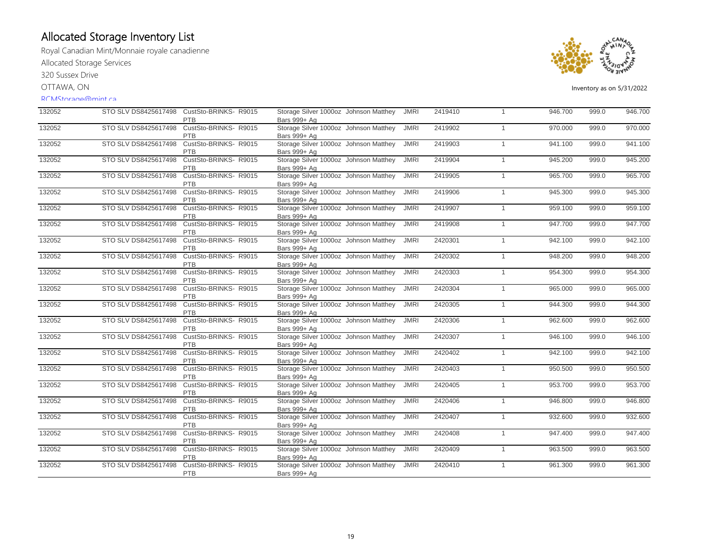Royal Canadian Mint/Monnaie royale canadienne Allocated Storage Services

320 Sussex Drive

OTTAWA, ON

#### RCMStorage@mint.ca



| 132052 |                      | STO SLV DS8425617498 CustSto-BRINKS-R9015<br><b>PTB</b> | Storage Silver 1000oz Johnson Matthey<br>Bars 999+ Ag | <b>JMRI</b> | 2419410 | $\overline{1}$ | 946.700 | 999.0 | 946.700 |
|--------|----------------------|---------------------------------------------------------|-------------------------------------------------------|-------------|---------|----------------|---------|-------|---------|
| 132052 | STO SLV DS8425617498 | CustSto-BRINKS- R9015<br>PTB                            | Storage Silver 1000oz Johnson Matthey<br>Bars 999+ Ag | <b>JMRI</b> | 2419902 | $\mathbf{1}$   | 970.000 | 999.0 | 970.000 |
| 132052 | STO SLV DS8425617498 | CustSto-BRINKS- R9015<br><b>PTB</b>                     | Storage Silver 1000oz Johnson Matthey<br>Bars 999+ Ag | <b>JMRI</b> | 2419903 | $\mathbf{1}$   | 941.100 | 999.0 | 941.100 |
| 132052 | STO SLV DS8425617498 | CustSto-BRINKS- R9015<br><b>PTB</b>                     | Storage Silver 1000oz Johnson Matthey<br>Bars 999+ Ag | <b>JMRI</b> | 2419904 | $\mathbf{1}$   | 945.200 | 999.0 | 945.200 |
| 132052 | STO SLV DS8425617498 | CustSto-BRINKS-R9015<br><b>PTB</b>                      | Storage Silver 1000oz Johnson Matthey<br>Bars 999+ Ag | <b>JMRI</b> | 2419905 | $\mathbf{1}$   | 965,700 | 999.0 | 965.700 |
| 132052 | STO SLV DS8425617498 | CustSto-BRINKS-R9015<br>PTB                             | Storage Silver 1000oz Johnson Matthey<br>Bars 999+ Ag | <b>JMRI</b> | 2419906 | $\mathbf{1}$   | 945.300 | 999.0 | 945.300 |
| 132052 | STO SLV DS8425617498 | CustSto-BRINKS-R9015<br>PTB                             | Storage Silver 1000oz Johnson Matthey<br>Bars 999+ Ag | <b>JMRI</b> | 2419907 | $\mathbf{1}$   | 959.100 | 999.0 | 959.100 |
| 132052 | STO SLV DS8425617498 | CustSto-BRINKS-R9015<br>PTB                             | Storage Silver 1000oz Johnson Matthey<br>Bars 999+ Ag | <b>JMRI</b> | 2419908 | $\mathbf{1}$   | 947.700 | 999.0 | 947.700 |
| 132052 | STO SLV DS8425617498 | CustSto-BRINKS- R9015<br>PTB                            | Storage Silver 1000oz Johnson Matthey<br>Bars 999+ Ag | <b>JMRI</b> | 2420301 | $\mathbf{1}$   | 942.100 | 999.0 | 942.100 |
| 132052 | STO SLV DS8425617498 | CustSto-BRINKS-R9015<br>PTB                             | Storage Silver 1000oz Johnson Matthey<br>Bars 999+ Ag | <b>JMRI</b> | 2420302 | $\mathbf{1}$   | 948.200 | 999.0 | 948.200 |
| 132052 | STO SLV DS8425617498 | CustSto-BRINKS-R9015<br><b>PTB</b>                      | Storage Silver 1000oz Johnson Matthey<br>Bars 999+ Ag | <b>JMRI</b> | 2420303 | $\mathbf{1}$   | 954.300 | 999.0 | 954.300 |
| 132052 | STO SLV DS8425617498 | CustSto-BRINKS- R9015<br><b>PTB</b>                     | Storage Silver 1000oz Johnson Matthey<br>Bars 999+ Ag | <b>JMRI</b> | 2420304 | $\mathbf{1}$   | 965.000 | 999.0 | 965.000 |
| 132052 | STO SLV DS8425617498 | CustSto-BRINKS-R9015<br>PTB                             | Storage Silver 1000oz Johnson Matthey<br>Bars 999+ Ag | <b>JMRI</b> | 2420305 | $\mathbf{1}$   | 944.300 | 999.0 | 944.300 |
| 132052 | STO SLV DS8425617498 | CustSto-BRINKS- R9015<br>PTB                            | Storage Silver 1000oz Johnson Matthey<br>Bars 999+ Ag | <b>JMRI</b> | 2420306 | $\mathbf{1}$   | 962.600 | 999.0 | 962.600 |
| 132052 | STO SLV DS8425617498 | CustSto-BRINKS- R9015<br>PTB                            | Storage Silver 1000oz Johnson Matthey<br>Bars 999+ Ag | <b>JMRI</b> | 2420307 | $\mathbf{1}$   | 946.100 | 999.0 | 946.100 |
| 132052 | STO SLV DS8425617498 | CustSto-BRINKS- R9015<br><b>PTB</b>                     | Storage Silver 1000oz Johnson Matthey<br>Bars 999+ Ag | <b>JMRI</b> | 2420402 | $\mathbf{1}$   | 942.100 | 999.0 | 942.100 |
| 132052 | STO SLV DS8425617498 | CustSto-BRINKS- R9015<br>PTB                            | Storage Silver 1000oz Johnson Matthey<br>Bars 999+ Ag | <b>JMRI</b> | 2420403 | $\mathbf{1}$   | 950.500 | 999.0 | 950.500 |
| 132052 | STO SLV DS8425617498 | CustSto-BRINKS-R9015<br><b>PTB</b>                      | Storage Silver 1000oz Johnson Matthey<br>Bars 999+ Ag | <b>JMRI</b> | 2420405 | $\mathbf{1}$   | 953.700 | 999.0 | 953.700 |
| 132052 | STO SLV DS8425617498 | CustSto-BRINKS- R9015<br><b>PTB</b>                     | Storage Silver 1000oz Johnson Matthey<br>Bars 999+ Ag | <b>JMRI</b> | 2420406 | $\mathbf{1}$   | 946.800 | 999.0 | 946.800 |
| 132052 | STO SLV DS8425617498 | CustSto-BRINKS- R9015<br>PTB                            | Storage Silver 1000oz Johnson Matthey<br>Bars 999+ Ag | <b>JMRI</b> | 2420407 | $\mathbf{1}$   | 932.600 | 999.0 | 932.600 |
| 132052 | STO SLV DS8425617498 | CustSto-BRINKS-R9015<br>PTB                             | Storage Silver 1000oz Johnson Matthey<br>Bars 999+ Ag | <b>JMRI</b> | 2420408 | $\mathbf{1}$   | 947.400 | 999.0 | 947.400 |
| 132052 | STO SLV DS8425617498 | CustSto-BRINKS- R9015<br>PTB                            | Storage Silver 1000oz Johnson Matthey<br>Bars 999+ Ag | <b>JMRI</b> | 2420409 | $\mathbf{1}$   | 963.500 | 999.0 | 963.500 |
| 132052 | STO SLV DS8425617498 | CustSto-BRINKS- R9015<br>PTB                            | Storage Silver 1000oz Johnson Matthey<br>Bars 999+ Ag | <b>JMRI</b> | 2420410 | $\mathbf{1}$   | 961.300 | 999.0 | 961.300 |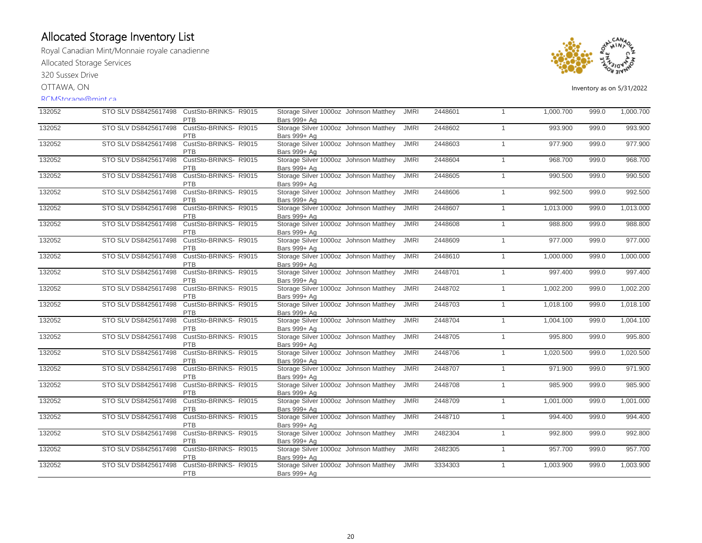Royal Canadian Mint/Monnaie royale canadienne Allocated Storage Services

320 Sussex Drive

OTTAWA, ON

#### RCMStorage@mint.ca



| 132052 | STO SLV DS8425617498 | CustSto-BRINKS-R9015<br>PTB         | Storage Silver 1000oz Johnson Matthey<br>Bars 999+ Ag | <b>JMRI</b> | 2448601 | $\mathbf{1}$ | 1,000.700 | 999.0 | 1,000.700 |
|--------|----------------------|-------------------------------------|-------------------------------------------------------|-------------|---------|--------------|-----------|-------|-----------|
| 132052 | STO SLV DS8425617498 | CustSto-BRINKS- R9015<br><b>PTB</b> | Storage Silver 1000oz Johnson Matthey<br>Bars 999+ Ag | <b>JMRI</b> | 2448602 | $\mathbf{1}$ | 993.900   | 999.0 | 993.900   |
| 132052 | STO SLV DS8425617498 | CustSto-BRINKS- R9015<br><b>PTB</b> | Storage Silver 1000oz Johnson Matthey<br>Bars 999+ Ag | <b>JMRI</b> | 2448603 | $\mathbf{1}$ | 977.900   | 999.0 | 977.900   |
| 132052 | STO SLV DS8425617498 | CustSto-BRINKS- R9015<br>PTB        | Storage Silver 1000oz Johnson Matthey<br>Bars 999+ Ag | <b>JMRI</b> | 2448604 | $\mathbf{1}$ | 968.700   | 999.0 | 968.700   |
| 132052 | STO SLV DS8425617498 | CustSto-BRINKS-R9015<br>PTB         | Storage Silver 1000oz Johnson Matthey<br>Bars 999+ Ag | <b>JMRI</b> | 2448605 | $\mathbf{1}$ | 990.500   | 999.0 | 990.500   |
| 132052 | STO SLV DS8425617498 | CustSto-BRINKS- R9015<br>PTB        | Storage Silver 1000oz Johnson Matthey<br>Bars 999+ Ag | <b>JMRI</b> | 2448606 | $\mathbf{1}$ | 992.500   | 999.0 | 992.500   |
| 132052 | STO SLV DS8425617498 | CustSto-BRINKS-R9015<br><b>PTB</b>  | Storage Silver 1000oz Johnson Matthey<br>Bars 999+ Ag | <b>JMRI</b> | 2448607 | $\mathbf{1}$ | 1,013.000 | 999.0 | 1,013.000 |
| 132052 | STO SLV DS8425617498 | CustSto-BRINKS-R9015<br><b>PTB</b>  | Storage Silver 1000oz Johnson Matthey<br>Bars 999+ Ag | <b>JMRI</b> | 2448608 | $\mathbf{1}$ | 988.800   | 999.0 | 988.800   |
| 132052 | STO SLV DS8425617498 | CustSto-BRINKS- R9015<br>PTB        | Storage Silver 1000oz Johnson Matthey<br>Bars 999+ Ag | <b>JMRI</b> | 2448609 | $\mathbf{1}$ | 977.000   | 999.0 | 977.000   |
| 132052 | STO SLV DS8425617498 | CustSto-BRINKS-R9015<br>PTB         | Storage Silver 1000oz Johnson Matthey<br>Bars 999+ Ag | <b>JMRI</b> | 2448610 | $\mathbf{1}$ | 1,000.000 | 999.0 | 1,000.000 |
| 132052 | STO SLV DS8425617498 | CustSto-BRINKS- R9015<br><b>PTB</b> | Storage Silver 1000oz Johnson Matthey<br>Bars 999+ Ag | <b>JMRI</b> | 2448701 | $\mathbf{1}$ | 997.400   | 999.0 | 997.400   |
| 132052 | STO SLV DS8425617498 | CustSto-BRINKS- R9015<br><b>PTB</b> | Storage Silver 1000oz Johnson Matthey<br>Bars 999+ Ag | <b>JMRI</b> | 2448702 | $\mathbf{1}$ | 1,002.200 | 999.0 | 1,002.200 |
| 132052 | STO SLV DS8425617498 | CustSto-BRINKS- R9015<br><b>PTB</b> | Storage Silver 1000oz Johnson Matthey<br>Bars 999+ Ag | <b>JMRI</b> | 2448703 | $\mathbf{1}$ | 1,018.100 | 999.0 | 1,018.100 |
| 132052 | STO SLV DS8425617498 | CustSto-BRINKS- R9015<br><b>PTB</b> | Storage Silver 1000oz Johnson Matthey<br>Bars 999+ Ag | <b>JMRI</b> | 2448704 | $\mathbf{1}$ | 1,004.100 | 999.0 | 1,004.100 |
| 132052 | STO SLV DS8425617498 | CustSto-BRINKS- R9015<br>PTB        | Storage Silver 1000oz Johnson Matthey<br>Bars 999+ Ag | <b>JMRI</b> | 2448705 | $\mathbf{1}$ | 995.800   | 999.0 | 995.800   |
| 132052 | STO SLV DS8425617498 | CustSto-BRINKS- R9015<br><b>PTB</b> | Storage Silver 1000oz Johnson Matthey<br>Bars 999+ Ag | <b>JMRI</b> | 2448706 | $\mathbf{1}$ | 1,020.500 | 999.0 | 1,020.500 |
| 132052 | STO SLV DS8425617498 | CustSto-BRINKS-R9015<br>PTB         | Storage Silver 1000oz Johnson Matthey<br>Bars 999+ Ag | <b>JMRI</b> | 2448707 | $\mathbf{1}$ | 971.900   | 999.0 | 971.900   |
| 132052 | STO SLV DS8425617498 | CustSto-BRINKS-R9015<br>PTB         | Storage Silver 1000oz Johnson Matthey<br>Bars 999+ Ag | <b>JMRI</b> | 2448708 | $\mathbf{1}$ | 985.900   | 999.0 | 985.900   |
| 132052 | STO SLV DS8425617498 | CustSto-BRINKS-R9015<br>PTB         | Storage Silver 1000oz Johnson Matthey<br>Bars 999+ Ag | <b>JMRI</b> | 2448709 | $\mathbf{1}$ | 1,001.000 | 999.0 | 1,001.000 |
| 132052 | STO SLV DS8425617498 | CustSto-BRINKS-R9015<br><b>PTB</b>  | Storage Silver 1000oz Johnson Matthey<br>Bars 999+ Ag | <b>JMRI</b> | 2448710 | $\mathbf{1}$ | 994.400   | 999.0 | 994.400   |
| 132052 | STO SLV DS8425617498 | CustSto-BRINKS-R9015<br><b>PTB</b>  | Storage Silver 1000oz Johnson Matthey<br>Bars 999+ Ag | <b>JMRI</b> | 2482304 | $\mathbf{1}$ | 992.800   | 999.0 | 992.800   |
| 132052 | STO SLV DS8425617498 | CustSto-BRINKS- R9015<br>PTB        | Storage Silver 1000oz Johnson Matthey<br>Bars 999+ Ag | <b>JMRI</b> | 2482305 | $\mathbf{1}$ | 957.700   | 999.0 | 957.700   |
| 132052 | STO SLV DS8425617498 | CustSto-BRINKS-R9015<br><b>PTB</b>  | Storage Silver 1000oz Johnson Matthey<br>Bars 999+ Ag | <b>JMRI</b> | 3334303 | $\mathbf{1}$ | 1,003.900 | 999.0 | 1,003.900 |
|        |                      |                                     |                                                       |             |         |              |           |       |           |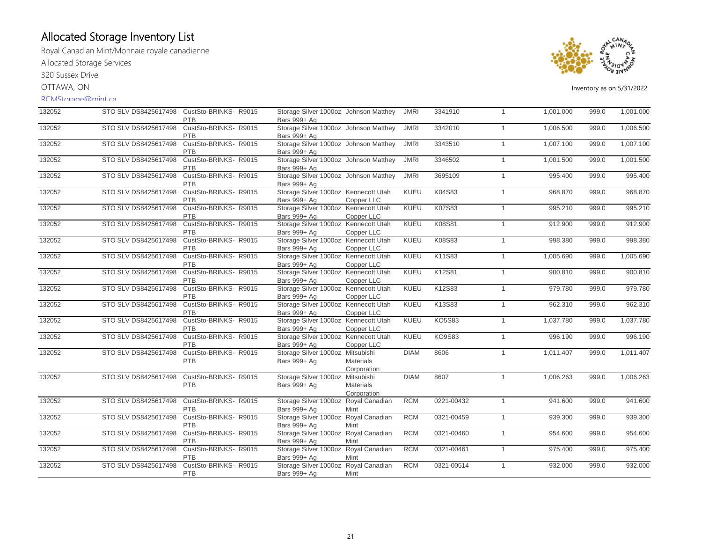Royal Canadian Mint/Monnaie royale canadienne Allocated Storage Services

320 Sussex Drive

OTTAWA, ON

#### RCMStorage@mint.ca



| 132052 | STO SLV DS8425617498 | CustSto-BRINKS-R9015<br>PTB         | Storage Silver 1000oz Johnson Matthey<br>Bars 999+ Ag |                  | <b>JMRI</b> | 3341910       | $\overline{1}$ | 1,001.000 | 999.0 | 1,001.000 |
|--------|----------------------|-------------------------------------|-------------------------------------------------------|------------------|-------------|---------------|----------------|-----------|-------|-----------|
| 132052 | STO SLV DS8425617498 | CustSto-BRINKS- R9015               | Storage Silver 1000oz Johnson Matthey                 |                  | <b>JMRI</b> | 3342010       | $\mathbf{1}$   | 1,006.500 | 999.0 | 1,006.500 |
|        |                      | PTB                                 | Bars 999+ Ag                                          |                  |             |               |                |           |       |           |
| 132052 | STO SLV DS8425617498 | CustSto-BRINKS- R9015<br><b>PTB</b> | Storage Silver 1000oz Johnson Matthey<br>Bars 999+ Ag |                  | <b>JMRI</b> | 3343510       | $\mathbf{1}$   | 1,007.100 | 999.0 | 1,007.100 |
| 132052 | STO SLV DS8425617498 | CustSto-BRINKS-R9015                | Storage Silver 1000oz Johnson Matthey                 |                  | <b>JMRI</b> | 3346502       | $\overline{1}$ | 1,001.500 | 999.0 | 1,001.500 |
|        |                      | <b>PTB</b>                          | Bars 999+ Ag                                          |                  |             |               |                |           |       |           |
| 132052 | STO SLV DS8425617498 | CustSto-BRINKS- R9015               | Storage Silver 1000oz Johnson Matthey                 |                  | <b>JMRI</b> | 3695109       | $\mathbf{1}$   | 995.400   | 999.0 | 995.400   |
|        |                      | PTB                                 | Bars 999+ Ag                                          |                  |             |               |                |           |       |           |
| 132052 | STO SLV DS8425617498 | CustSto-BRINKS-R9015                | Storage Silver 1000oz Kennecott Utah                  |                  | KUEU        | K04S83        | $\overline{1}$ | 968.870   | 999.0 | 968.870   |
|        |                      | PTB                                 | Bars 999+ Ag                                          | Copper LLC       |             |               |                |           |       |           |
| 132052 | STO SLV DS8425617498 | CustSto-BRINKS- R9015               | Storage Silver 1000oz Kennecott Utah                  |                  | <b>KUEU</b> | K07S83        | $\mathbf{1}$   | 995.210   | 999.0 | 995.210   |
|        |                      | <b>PTB</b>                          | Bars 999+ Ag                                          | Copper LLC       |             |               |                |           |       |           |
| 132052 | STO SLV DS8425617498 | CustSto-BRINKS- R9015               | Storage Silver 1000oz Kennecott Utah                  |                  | KUEU        | K08S81        | $\mathbf{1}$   | 912.900   | 999.0 | 912.900   |
|        |                      | <b>PTB</b>                          | Bars 999+ Ag                                          | Copper LLC       |             |               |                |           |       |           |
| 132052 | STO SLV DS8425617498 | CustSto-BRINKS-R9015                | Storage Silver 1000oz Kennecott Utah                  |                  | KUEU        | K08S83        | $\overline{1}$ | 998.380   | 999.0 | 998.380   |
|        |                      | PTB                                 | Bars 999+ Ag                                          | Copper LLC       |             |               |                |           |       |           |
| 132052 | STO SLV DS8425617498 | CustSto-BRINKS-R9015                | Storage Silver 1000oz Kennecott Utah                  |                  | <b>KUEU</b> | K11S83        | $\overline{1}$ | 1,005.690 | 999.0 | 1,005.690 |
|        |                      |                                     | Bars 999+ Ag                                          |                  |             |               |                |           |       |           |
| 132052 |                      | <b>PTB</b><br>CustSto-BRINKS- R9015 |                                                       | Copper LLC       | <b>KUEU</b> | K12S81        |                |           |       | 900.810   |
|        | STO SLV DS8425617498 |                                     | Storage Silver 1000oz Kennecott Utah                  |                  |             |               | $\overline{1}$ | 900.810   | 999.0 |           |
|        |                      | PTB                                 | Bars 999+ Ag                                          | Copper LLC       |             |               |                |           |       |           |
| 132052 | STO SLV DS8425617498 | CustSto-BRINKS- R9015               | Storage Silver 1000oz Kennecott Utah                  |                  | KUEU        | K12S83        | $\overline{1}$ | 979.780   | 999.0 | 979.780   |
|        |                      | <b>PTB</b>                          | Bars 999+ Ag                                          | Copper LLC       |             |               |                |           |       |           |
| 132052 | STO SLV DS8425617498 | CustSto-BRINKS- R9015               | Storage Silver 1000oz Kennecott Utah                  |                  | <b>KUEU</b> | K13S83        | $\mathbf{1}$   | 962.310   | 999.0 | 962.310   |
|        |                      | <b>PTB</b>                          | Bars 999+ Ag                                          | Copper LLC       |             |               |                |           |       |           |
| 132052 | STO SLV DS8425617498 | CustSto-BRINKS-R9015                | Storage Silver 1000oz Kennecott Utah                  |                  | KUEU        | <b>KO5S83</b> | $\mathbf{1}$   | 1,037.780 | 999.0 | 1,037.780 |
|        |                      | <b>PTB</b>                          | Bars 999+ Ag                                          | Copper LLC       |             |               |                |           |       |           |
| 132052 | STO SLV DS8425617498 | CustSto-BRINKS- R9015               | Storage Silver 1000oz Kennecott Utah                  |                  | <b>KUEU</b> | <b>KO9S83</b> | $\overline{1}$ | 996.190   | 999.0 | 996.190   |
|        |                      | <b>PTB</b>                          | Bars 999+ Ag                                          | Copper LLC       |             |               |                |           |       |           |
| 132052 | STO SLV DS8425617498 | CustSto-BRINKS-R9015                | Storage Silver 1000oz Mitsubishi                      |                  | <b>DIAM</b> | 8606          | $\mathbf{1}$   | 1,011.407 | 999.0 | 1,011.407 |
|        |                      | <b>PTB</b>                          | Bars 999+ Ag                                          | <b>Materials</b> |             |               |                |           |       |           |
|        |                      |                                     |                                                       | Corporation      |             |               |                |           |       |           |
| 132052 | STO SLV DS8425617498 | CustSto-BRINKS- R9015               | Storage Silver 1000oz Mitsubishi                      |                  | <b>DIAM</b> | 8607          | $\mathbf{1}$   | 1,006.263 | 999.0 | 1,006.263 |
|        |                      | PTB                                 | Bars 999+ Ag                                          | <b>Materials</b> |             |               |                |           |       |           |
|        |                      |                                     |                                                       | Corporation      |             |               |                |           |       |           |
| 132052 | STO SLV DS8425617498 | CustSto-BRINKS- R9015               | Storage Silver 1000oz Royal Canadian                  |                  | <b>RCM</b>  | 0221-00432    | $\overline{1}$ | 941.600   | 999.0 | 941.600   |
|        |                      | PTB                                 | Bars 999+ Ag                                          | Mint             |             |               |                |           |       |           |
| 132052 | STO SLV DS8425617498 | CustSto-BRINKS-R9015                | Storage Silver 1000oz Royal Canadian                  |                  | <b>RCM</b>  | 0321-00459    | $\overline{1}$ | 939.300   | 999.0 | 939.300   |
|        |                      | PTB                                 | Bars 999+ Ag                                          | Mint             |             |               |                |           |       |           |
| 132052 | STO SLV DS8425617498 | CustSto-BRINKS-R9015                | Storage Silver 1000oz Royal Canadian                  |                  | <b>RCM</b>  | 0321-00460    | $\mathbf{1}$   | 954.600   | 999.0 | 954.600   |
|        |                      | <b>PTB</b>                          |                                                       |                  |             |               |                |           |       |           |
| 132052 | STO SLV DS8425617498 | CustSto-BRINKS-R9015                | Bars 999+ Ag                                          | Mint             | <b>RCM</b>  |               |                |           |       | 975.400   |
|        |                      |                                     | Storage Silver 1000oz Royal Canadian                  |                  |             | 0321-00461    | $\mathbf{1}$   | 975.400   | 999.0 |           |
|        |                      | <b>PTB</b>                          | Bars 999+ Ag                                          | Mint             |             |               |                |           |       |           |
| 132052 | STO SLV DS8425617498 | CustSto-BRINKS- R9015               | Storage Silver 1000oz Royal Canadian                  |                  | <b>RCM</b>  | 0321-00514    | $\overline{1}$ | 932.000   | 999.0 | 932.000   |
|        |                      | PTB                                 | Bars 999+ Ag                                          | Mint             |             |               |                |           |       |           |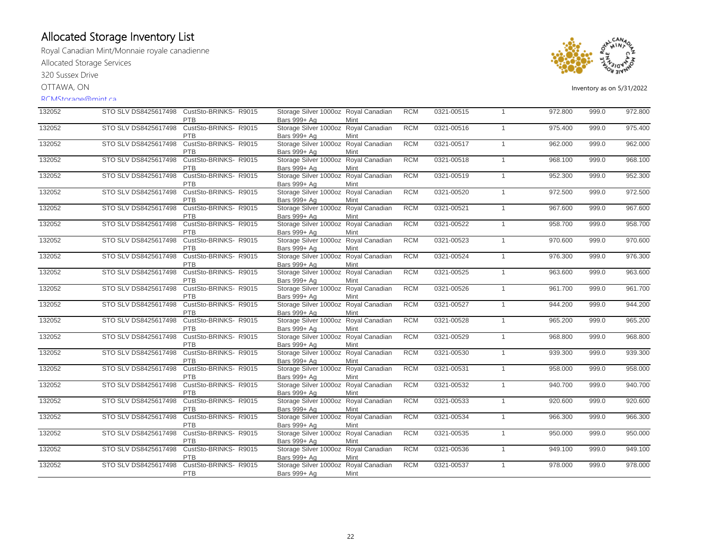Royal Canadian Mint/Monnaie royale canadienne Allocated Storage Services

320 Sussex Drive

OTTAWA, ON

#### RCMStorage@mint.ca



| 132052 | STO SLV DS8425617498 | CustSto-BRINKS-R9015<br><b>PTB</b>  | Storage Silver 1000oz Royal Canadian<br>Bars 999+ Ag | Mint | <b>RCM</b> | 0321-00515 | $\overline{1}$ | 972.800 | 999.0 | 972.800 |
|--------|----------------------|-------------------------------------|------------------------------------------------------|------|------------|------------|----------------|---------|-------|---------|
| 132052 | STO SLV DS8425617498 | CustSto-BRINKS- R9015<br><b>PTB</b> | Storage Silver 1000oz Royal Canadian<br>Bars 999+ Ag | Mint | <b>RCM</b> | 0321-00516 | $\mathbf{1}$   | 975.400 | 999.0 | 975.400 |
| 132052 | STO SLV DS8425617498 | CustSto-BRINKS-R9015<br><b>PTB</b>  | Storage Silver 1000oz Royal Canadian<br>Bars 999+ Ag | Mint | <b>RCM</b> | 0321-00517 | $\mathbf{1}$   | 962.000 | 999.0 | 962.000 |
| 132052 | STO SLV DS8425617498 | CustSto-BRINKS-R9015<br>PTB         | Storage Silver 1000oz Royal Canadian<br>Bars 999+ Ag | Mint | <b>RCM</b> | 0321-00518 | $\mathbf{1}$   | 968.100 | 999.0 | 968.100 |
| 132052 | STO SLV DS8425617498 | CustSto-BRINKS-R9015<br>PTB         | Storage Silver 1000oz Royal Canadian<br>Bars 999+ Ag | Mint | <b>RCM</b> | 0321-00519 | $\mathbf{1}$   | 952.300 | 999.0 | 952.300 |
| 132052 | STO SLV DS8425617498 | CustSto-BRINKS- R9015<br>PTB        | Storage Silver 1000oz Royal Canadian<br>Bars 999+ Ag | Mint | <b>RCM</b> | 0321-00520 | $\overline{1}$ | 972.500 | 999.0 | 972.500 |
| 132052 | STO SLV DS8425617498 | CustSto-BRINKS-R9015<br><b>PTB</b>  | Storage Silver 1000oz Royal Canadian<br>Bars 999+ Ag | Mint | <b>RCM</b> | 0321-00521 | $\mathbf{1}$   | 967.600 | 999.0 | 967.600 |
| 132052 | STO SLV DS8425617498 | CustSto-BRINKS- R9015<br>PTB        | Storage Silver 1000oz Royal Canadian<br>Bars 999+ Ag | Mint | <b>RCM</b> | 0321-00522 | $\mathbf{1}$   | 958.700 | 999.0 | 958.700 |
| 132052 | STO SLV DS8425617498 | CustSto-BRINKS- R9015<br>PTB        | Storage Silver 1000oz Royal Canadian<br>Bars 999+ Ag | Mint | <b>RCM</b> | 0321-00523 | $\mathbf{1}$   | 970.600 | 999.0 | 970.600 |
| 132052 | STO SLV DS8425617498 | CustSto-BRINKS- R9015<br>PTB        | Storage Silver 1000oz Royal Canadian<br>Bars 999+ Ag | Mint | <b>RCM</b> | 0321-00524 | $\overline{1}$ | 976.300 | 999.0 | 976.300 |
| 132052 | STO SLV DS8425617498 | CustSto-BRINKS- R9015<br>PTB        | Storage Silver 1000oz Royal Canadian<br>Bars 999+ Ag | Mint | <b>RCM</b> | 0321-00525 | $\mathbf{1}$   | 963.600 | 999.0 | 963.600 |
| 132052 | STO SLV DS8425617498 | CustSto-BRINKS-R9015<br><b>PTB</b>  | Storage Silver 1000oz Royal Canadian<br>Bars 999+ Ag | Mint | <b>RCM</b> | 0321-00526 | $\mathbf{1}$   | 961.700 | 999.0 | 961.700 |
| 132052 | STO SLV DS8425617498 | CustSto-BRINKS-R9015<br>PTB         | Storage Silver 1000oz Royal Canadian<br>Bars 999+ Ag | Mint | <b>RCM</b> | 0321-00527 | $\mathbf{1}$   | 944.200 | 999.0 | 944.200 |
| 132052 | STO SLV DS8425617498 | CustSto-BRINKS- R9015<br>PTB        | Storage Silver 1000oz Royal Canadian<br>Bars 999+ Ag | Mint | <b>RCM</b> | 0321-00528 | $\mathbf{1}$   | 965.200 | 999.0 | 965.200 |
| 132052 | STO SLV DS8425617498 | CustSto-BRINKS-R9015<br>PTB         | Storage Silver 1000oz Royal Canadian<br>Bars 999+ Ag | Mint | <b>RCM</b> | 0321-00529 | $\overline{1}$ | 968.800 | 999.0 | 968.800 |
| 132052 | STO SLV DS8425617498 | CustSto-BRINKS-R9015<br>PTB         | Storage Silver 1000oz Royal Canadian<br>Bars 999+ Ag | Mint | <b>RCM</b> | 0321-00530 | $\mathbf{1}$   | 939.300 | 999.0 | 939.300 |
| 132052 | STO SLV DS8425617498 | CustSto-BRINKS- R9015<br><b>PTB</b> | Storage Silver 1000oz Royal Canadian<br>Bars 999+ Ag | Mint | <b>RCM</b> | 0321-00531 | $\mathbf{1}$   | 958.000 | 999.0 | 958.000 |
| 132052 | STO SLV DS8425617498 | CustSto-BRINKS- R9015<br><b>PTB</b> | Storage Silver 1000oz Royal Canadian<br>Bars 999+ Ag | Mint | <b>RCM</b> | 0321-00532 | $\mathbf{1}$   | 940.700 | 999.0 | 940.700 |
| 132052 | STO SLV DS8425617498 | CustSto-BRINKS- R9015<br><b>PTB</b> | Storage Silver 1000oz Royal Canadian<br>Bars 999+ Ag | Mint | <b>RCM</b> | 0321-00533 | $\mathbf{1}$   | 920.600 | 999.0 | 920.600 |
| 132052 | STO SLV DS8425617498 | CustSto-BRINKS-R9015<br>PTB         | Storage Silver 1000oz Royal Canadian<br>Bars 999+ Ag | Mint | <b>RCM</b> | 0321-00534 | $\mathbf{1}$   | 966.300 | 999.0 | 966.300 |
| 132052 | STO SLV DS8425617498 | CustSto-BRINKS- R9015<br><b>PTB</b> | Storage Silver 1000oz Royal Canadian<br>Bars 999+ Ag | Mint | <b>RCM</b> | 0321-00535 | $\mathbf{1}$   | 950.000 | 999.0 | 950.000 |
| 132052 | STO SLV DS8425617498 | CustSto-BRINKS-R9015<br>PTB         | Storage Silver 1000oz Royal Canadian<br>Bars 999+ Ag | Mint | <b>RCM</b> | 0321-00536 | $\mathbf{1}$   | 949.100 | 999.0 | 949.100 |
| 132052 | STO SLV DS8425617498 | CustSto-BRINKS- R9015<br>PTB        | Storage Silver 1000oz Royal Canadian<br>Bars 999+ Ag | Mint | <b>RCM</b> | 0321-00537 | $\mathbf{1}$   | 978.000 | 999.0 | 978.000 |
|        |                      |                                     |                                                      |      |            |            |                |         |       |         |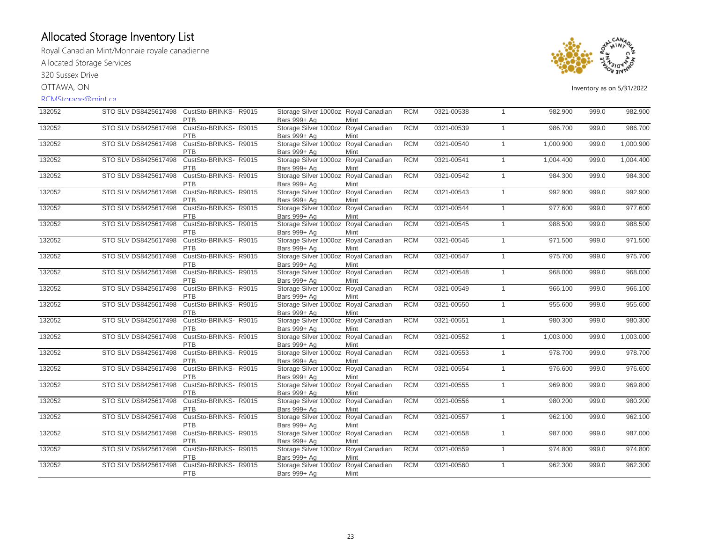Royal Canadian Mint/Monnaie royale canadienne Allocated Storage Services

320 Sussex Drive

OTTAWA, ON

### RCMStorage@mint.ca



| 132052 | STO SLV DS8425617498 | CustSto-BRINKS-R9015<br>PTB         | Storage Silver 1000oz Royal Canadian<br>Bars 999+ Ag | Mint                   | <b>RCM</b> | 0321-00538 | $\overline{1}$ | 982.900   | 999.0 | 982.900   |
|--------|----------------------|-------------------------------------|------------------------------------------------------|------------------------|------------|------------|----------------|-----------|-------|-----------|
| 132052 | STO SLV DS8425617498 | CustSto-BRINKS- R9015<br><b>PTB</b> | Storage Silver 1000oz Royal Canadian<br>Bars 999+ Ag | Mint                   | <b>RCM</b> | 0321-00539 | $\mathbf{1}$   | 986.700   | 999.0 | 986.700   |
| 132052 | STO SLV DS8425617498 | CustSto-BRINKS-R9015<br><b>PTB</b>  | Storage Silver 1000oz Royal Canadian<br>Bars 999+ Ag | Mint                   | <b>RCM</b> | 0321-00540 | $\mathbf{1}$   | 1,000.900 | 999.0 | 1,000.900 |
| 132052 | STO SLV DS8425617498 | CustSto-BRINKS-R9015<br><b>PTB</b>  | Storage Silver 1000oz Royal Canadian<br>Bars 999+ Ag | Mint                   | <b>RCM</b> | 0321-00541 | $\mathbf{1}$   | 1,004.400 | 999.0 | 1,004.400 |
| 132052 | STO SLV DS8425617498 | CustSto-BRINKS- R9015<br><b>PTB</b> | Storage Silver 1000oz<br>Bars 999+ Ag                | Royal Canadian<br>Mint | <b>RCM</b> | 0321-00542 | $\mathbf{1}$   | 984.300   | 999.0 | 984.300   |
| 132052 | STO SLV DS8425617498 | CustSto-BRINKS- R9015<br><b>PTB</b> | Storage Silver 1000oz Royal Canadian<br>Bars 999+ Ag | Mint                   | <b>RCM</b> | 0321-00543 | $\mathbf{1}$   | 992.900   | 999.0 | 992.900   |
| 132052 | STO SLV DS8425617498 | CustSto-BRINKS- R9015<br><b>PTB</b> | Storage Silver 1000oz Royal Canadian<br>Bars 999+ Ag | Mint                   | <b>RCM</b> | 0321-00544 | $\overline{1}$ | 977.600   | 999.0 | 977.600   |
| 132052 | STO SLV DS8425617498 | CustSto-BRINKS-R9015<br><b>PTB</b>  | Storage Silver 1000oz Royal Canadian<br>Bars 999+ Ag | Mint                   | <b>RCM</b> | 0321-00545 | $\mathbf{1}$   | 988.500   | 999.0 | 988.500   |
| 132052 | STO SLV DS8425617498 | CustSto-BRINKS- R9015<br>PTB        | Storage Silver 1000oz Royal Canadian<br>Bars 999+ Ag | Mint                   | <b>RCM</b> | 0321-00546 | $\overline{1}$ | 971.500   | 999.0 | 971.500   |
| 132052 | STO SLV DS8425617498 | CustSto-BRINKS-R9015<br><b>PTB</b>  | Storage Silver 1000oz Royal Canadian<br>Bars 999+ Ag | Mint                   | <b>RCM</b> | 0321-00547 | $\mathbf{1}$   | 975.700   | 999.0 | 975.700   |
| 132052 | STO SLV DS8425617498 | CustSto-BRINKS- R9015<br><b>PTB</b> | Storage Silver 1000oz Royal Canadian<br>Bars 999+ Ag | Mint                   | <b>RCM</b> | 0321-00548 | $\mathbf{1}$   | 968.000   | 999.0 | 968.000   |
| 132052 | STO SLV DS8425617498 | CustSto-BRINKS- R9015<br>PTB        | Storage Silver 1000oz Royal Canadian<br>Bars 999+ Ag | Mint                   | <b>RCM</b> | 0321-00549 | $\overline{1}$ | 966.100   | 999.0 | 966.100   |
| 132052 | STO SLV DS8425617498 | CustSto-BRINKS-R9015<br><b>PTB</b>  | Storage Silver 1000oz Royal Canadian<br>Bars 999+ Ag | Mint                   | <b>RCM</b> | 0321-00550 | $\overline{1}$ | 955.600   | 999.0 | 955.600   |
| 132052 | STO SLV DS8425617498 | CustSto-BRINKS-R9015<br><b>PTB</b>  | Storage Silver 1000oz Royal Canadian<br>Bars 999+ Ag | Mint                   | <b>RCM</b> | 0321-00551 | $\mathbf{1}$   | 980.300   | 999.0 | 980.300   |
| 132052 | STO SLV DS8425617498 | CustSto-BRINKS- R9015<br><b>PTB</b> | Storage Silver 1000oz Royal Canadian<br>Bars 999+ Ag | Mint                   | <b>RCM</b> | 0321-00552 | $\mathbf{1}$   | 1,003.000 | 999.0 | 1,003.000 |
| 132052 | STO SLV DS8425617498 | CustSto-BRINKS-R9015<br><b>PTB</b>  | Storage Silver 1000oz<br>Bars 999+ Ag                | Royal Canadian<br>Mint | <b>RCM</b> | 0321-00553 | $\mathbf{1}$   | 978.700   | 999.0 | 978.700   |
| 132052 | STO SLV DS8425617498 | CustSto-BRINKS- R9015<br><b>PTB</b> | Storage Silver 1000oz Royal Canadian<br>Bars 999+ Ag | Mint                   | <b>RCM</b> | 0321-00554 | $\overline{1}$ | 976.600   | 999.0 | 976.600   |
| 132052 | STO SLV DS8425617498 | CustSto-BRINKS-R9015<br><b>PTB</b>  | Storage Silver 1000oz<br>Bars 999+ Ag                | Royal Canadian<br>Mint | <b>RCM</b> | 0321-00555 | $\overline{1}$ | 969.800   | 999.0 | 969.800   |
| 132052 | STO SLV DS8425617498 | CustSto-BRINKS- R9015<br>PTB        | Storage Silver 1000oz Royal Canadian<br>Bars 999+ Ag | Mint                   | <b>RCM</b> | 0321-00556 | $\mathbf{1}$   | 980.200   | 999.0 | 980.200   |
| 132052 | STO SLV DS8425617498 | CustSto-BRINKS- R9015<br><b>PTB</b> | Storage Silver 1000oz Royal Canadian<br>Bars 999+ Ag | Mint                   | <b>RCM</b> | 0321-00557 | $\mathbf{1}$   | 962.100   | 999.0 | 962.100   |
| 132052 | STO SLV DS8425617498 | CustSto-BRINKS-R9015<br><b>PTB</b>  | Storage Silver 1000oz Royal Canadian<br>Bars 999+ Ag | Mint                   | <b>RCM</b> | 0321-00558 | $\mathbf{1}$   | 987.000   | 999.0 | 987.000   |
| 132052 | STO SLV DS8425617498 | CustSto-BRINKS- R9015<br>PTB        | Storage Silver 1000oz Royal Canadian<br>Bars 999+ Ag | Mint                   | <b>RCM</b> | 0321-00559 | $\mathbf{1}$   | 974.800   | 999.0 | 974.800   |
| 132052 | STO SLV DS8425617498 | CustSto-BRINKS- R9015<br>PTB        | Storage Silver 1000oz Royal Canadian<br>Bars 999+ Ag | Mint                   | <b>RCM</b> | 0321-00560 | $\overline{1}$ | 962.300   | 999.0 | 962.300   |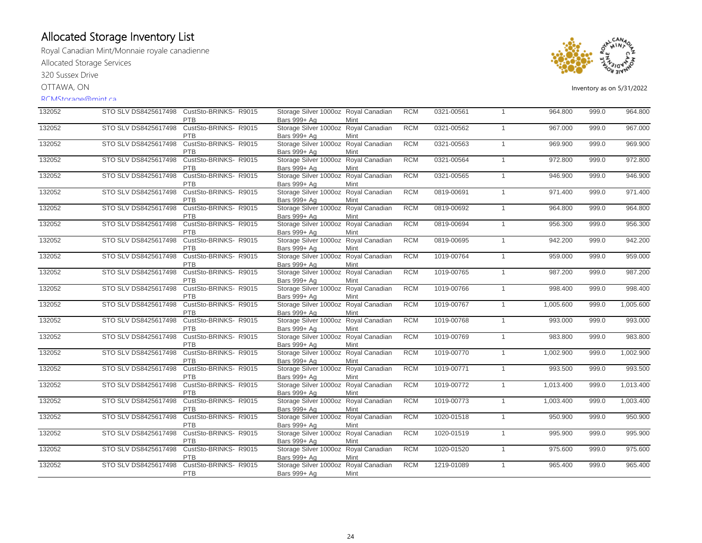Royal Canadian Mint/Monnaie royale canadienne Allocated Storage Services

320 Sussex Drive

OTTAWA, ON

#### RCMStorage@mint.ca



| 132052 | STO SLV DS8425617498 | CustSto-BRINKS-R9015<br><b>PTB</b>  | Storage Silver 1000oz Royal Canadian<br>Bars 999+ Ag | Mint                   | <b>RCM</b> | 0321-00561 | $\overline{1}$ | 964.800   | 999.0 | 964.800   |
|--------|----------------------|-------------------------------------|------------------------------------------------------|------------------------|------------|------------|----------------|-----------|-------|-----------|
| 132052 | STO SLV DS8425617498 | CustSto-BRINKS- R9015<br><b>PTB</b> | Storage Silver 1000oz Royal Canadian<br>Bars 999+ Ag | Mint                   | <b>RCM</b> | 0321-00562 | $\overline{1}$ | 967.000   | 999.0 | 967.000   |
| 132052 | STO SLV DS8425617498 | CustSto-BRINKS- R9015<br><b>PTB</b> | Storage Silver 1000oz Royal Canadian<br>Bars 999+ Ag | Mint                   | <b>RCM</b> | 0321-00563 | $\mathbf{1}$   | 969.900   | 999.0 | 969.900   |
| 132052 | STO SLV DS8425617498 | CustSto-BRINKS- R9015<br><b>PTB</b> | Storage Silver 1000oz Royal Canadian<br>Bars 999+ Ag | Mint                   | <b>RCM</b> | 0321-00564 | $\mathbf{1}$   | 972.800   | 999.0 | 972.800   |
| 132052 | STO SLV DS8425617498 | CustSto-BRINKS- R9015<br><b>PTB</b> | Storage Silver 1000oz<br>Bars 999+ Ag                | Royal Canadian<br>Mint | <b>RCM</b> | 0321-00565 | $\overline{1}$ | 946.900   | 999.0 | 946.900   |
| 132052 | STO SLV DS8425617498 | CustSto-BRINKS- R9015<br><b>PTB</b> | Storage Silver 1000oz Royal Canadian<br>Bars 999+ Ag | Mint                   | <b>RCM</b> | 0819-00691 | $\mathbf{1}$   | 971.400   | 999.0 | 971.400   |
| 132052 | STO SLV DS8425617498 | CustSto-BRINKS- R9015<br><b>PTB</b> | Storage Silver 1000oz Royal Canadian<br>Bars 999+ Ag | Mint                   | <b>RCM</b> | 0819-00692 | $\overline{1}$ | 964.800   | 999.0 | 964.800   |
| 132052 | STO SLV DS8425617498 | CustSto-BRINKS-R9015<br><b>PTB</b>  | Storage Silver 1000oz Royal Canadian<br>Bars 999+ Ag | Mint                   | <b>RCM</b> | 0819-00694 | $\mathbf{1}$   | 956.300   | 999.0 | 956.300   |
| 132052 | STO SLV DS8425617498 | CustSto-BRINKS- R9015<br>PTB        | Storage Silver 1000oz Royal Canadian<br>Bars 999+ Ag | Mint                   | <b>RCM</b> | 0819-00695 | $\overline{1}$ | 942.200   | 999.0 | 942.200   |
| 132052 | STO SLV DS8425617498 | CustSto-BRINKS-R9015<br>PTB         | Storage Silver 1000oz Royal Canadian<br>Bars 999+ Ag | Mint                   | <b>RCM</b> | 1019-00764 | $\mathbf{1}$   | 959.000   | 999.0 | 959.000   |
| 132052 | STO SLV DS8425617498 | CustSto-BRINKS- R9015<br><b>PTB</b> | Storage Silver 1000oz Royal Canadian<br>Bars 999+ Ag | Mint                   | <b>RCM</b> | 1019-00765 | $\mathbf{1}$   | 987.200   | 999.0 | 987.200   |
| 132052 | STO SLV DS8425617498 | CustSto-BRINKS- R9015<br>PTB        | Storage Silver 1000oz Royal Canadian<br>Bars 999+ Ag | Mint                   | <b>RCM</b> | 1019-00766 | $\overline{1}$ | 998.400   | 999.0 | 998.400   |
| 132052 | STO SLV DS8425617498 | CustSto-BRINKS- R9015<br><b>PTB</b> | Storage Silver 1000oz Royal Canadian<br>Bars 999+ Ag | Mint                   | <b>RCM</b> | 1019-00767 | $\mathbf{1}$   | 1,005.600 | 999.0 | 1,005.600 |
| 132052 | STO SLV DS8425617498 | CustSto-BRINKS- R9015<br>PTB        | Storage Silver 1000oz Royal Canadian<br>Bars 999+ Ag | Mint                   | <b>RCM</b> | 1019-00768 | $\overline{1}$ | 993.000   | 999.0 | 993.000   |
| 132052 | STO SLV DS8425617498 | CustSto-BRINKS- R9015<br><b>PTB</b> | Storage Silver 1000oz Royal Canadian<br>Bars 999+ Ag | Mint                   | <b>RCM</b> | 1019-00769 | $\mathbf{1}$   | 983.800   | 999.0 | 983.800   |
| 132052 | STO SLV DS8425617498 | CustSto-BRINKS-R9015<br><b>PTB</b>  | Storage Silver 1000oz Royal Canadian<br>Bars 999+ Ag | Mint                   | <b>RCM</b> | 1019-00770 | $\mathbf{1}$   | 1,002.900 | 999.0 | 1,002.900 |
| 132052 | STO SLV DS8425617498 | CustSto-BRINKS-R9015<br><b>PTB</b>  | Storage Silver 1000oz Royal Canadian<br>Bars 999+ Ag | Mint                   | <b>RCM</b> | 1019-00771 | $\mathbf{1}$   | 993.500   | 999.0 | 993.500   |
| 132052 | STO SLV DS8425617498 | CustSto-BRINKS- R9015<br>PTB        | Storage Silver 1000oz Royal Canadian<br>Bars 999+ Ag | Mint                   | <b>RCM</b> | 1019-00772 | $\mathbf{1}$   | 1,013.400 | 999.0 | 1,013.400 |
| 132052 | STO SLV DS8425617498 | CustSto-BRINKS-R9015<br>PTB         | Storage Silver 1000oz Royal Canadian<br>Bars 999+ Ag | Mint                   | <b>RCM</b> | 1019-00773 | $\mathbf{1}$   | 1,003.400 | 999.0 | 1,003.400 |
| 132052 | STO SLV DS8425617498 | CustSto-BRINKS-R9015<br><b>PTB</b>  | Storage Silver 1000oz Royal Canadian<br>Bars 999+ Ag | Mint                   | <b>RCM</b> | 1020-01518 | $\mathbf{1}$   | 950.900   | 999.0 | 950.900   |
| 132052 | STO SLV DS8425617498 | CustSto-BRINKS-R9015<br><b>PTB</b>  | Storage Silver 1000oz Royal Canadian<br>Bars 999+ Ag | Mint                   | <b>RCM</b> | 1020-01519 | $\mathbf{1}$   | 995.900   | 999.0 | 995.900   |
| 132052 | STO SLV DS8425617498 | CustSto-BRINKS- R9015<br>PTB        | Storage Silver 1000oz Royal Canadian<br>Bars 999+ Ag | Mint                   | <b>RCM</b> | 1020-01520 | $\overline{1}$ | 975.600   | 999.0 | 975.600   |
| 132052 | STO SLV DS8425617498 | CustSto-BRINKS-R9015<br><b>PTB</b>  | Storage Silver 1000oz<br>Bars 999+ Ag                | Royal Canadian<br>Mint | <b>RCM</b> | 1219-01089 | $\overline{1}$ | 965.400   | 999.0 | 965.400   |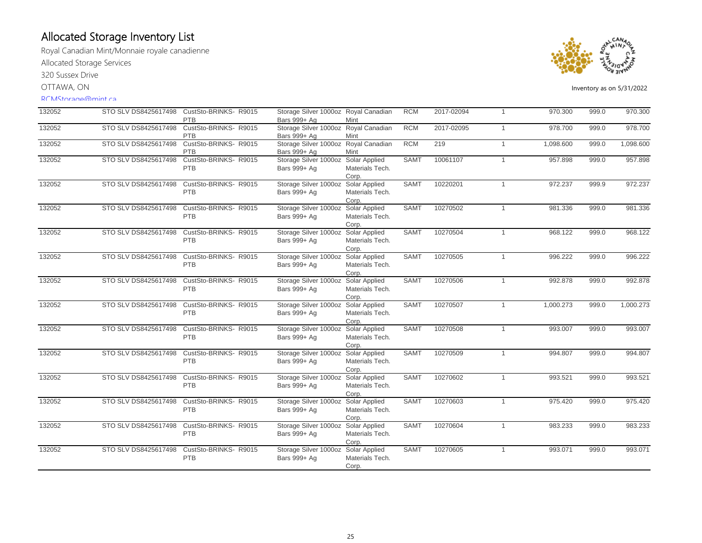Royal Canadian Mint/Monnaie royale canadienne Allocated Storage Services

320 Sussex Drive

OTTAWA, ON

### RCMStorage@mint.ca



| 132052 | STO SLV DS8425617498 | CustSto-BRINKS-R9015                | Storage Silver 1000oz Royal Canadian                 |                                           | <b>RCM</b>  | 2017-02094 | $\overline{1}$ | 970.300   | 999.0 | 970.300   |
|--------|----------------------|-------------------------------------|------------------------------------------------------|-------------------------------------------|-------------|------------|----------------|-----------|-------|-----------|
|        |                      | <b>PTB</b>                          | Bars 999+ Ag                                         | Mint                                      |             |            |                |           |       |           |
| 132052 | STO SLV DS8425617498 | CustSto-BRINKS-R9015<br><b>PTB</b>  | Storage Silver 1000oz Royal Canadian<br>Bars 999+ Ag | Mint                                      | <b>RCM</b>  | 2017-02095 | $\overline{1}$ | 978.700   | 999.0 | 978.700   |
| 132052 | STO SLV DS8425617498 | CustSto-BRINKS-R9015<br><b>PTB</b>  | Storage Silver 1000oz Royal Canadian<br>Bars 999+ Ag | Mint                                      | <b>RCM</b>  | 219        | $\overline{1}$ | 1,098.600 | 999.0 | 1,098.600 |
| 132052 | STO SLV DS8425617498 | CustSto-BRINKS-R9015<br>PTB         | Storage Silver 1000oz Solar Applied<br>Bars 999+ Ag  | Materials Tech.<br>Corp.                  | <b>SAMT</b> | 10061107   | $\overline{1}$ | 957.898   | 999.0 | 957.898   |
| 132052 | STO SLV DS8425617498 | CustSto-BRINKS-R9015<br>PTB         | Storage Silver 1000oz<br>Bars 999+ Ag                | Solar Applied<br>Materials Tech.<br>Corp. | <b>SAMT</b> | 10220201   | $\overline{1}$ | 972.237   | 999.9 | 972.237   |
| 132052 | STO SLV DS8425617498 | CustSto-BRINKS- R9015<br>PTB        | Storage Silver 1000oz Solar Applied<br>Bars 999+ Ag  | Materials Tech.<br>Corp.                  | <b>SAMT</b> | 10270502   | $\overline{1}$ | 981.336   | 999.0 | 981.336   |
| 132052 | STO SLV DS8425617498 | CustSto-BRINKS- R9015<br>PTB        | Storage Silver 1000oz Solar Applied<br>Bars 999+ Ag  | Materials Tech.<br>Corp.                  | <b>SAMT</b> | 10270504   | $\overline{1}$ | 968.122   | 999.0 | 968.122   |
| 132052 | STO SLV DS8425617498 | CustSto-BRINKS- R9015<br>PTB        | Storage Silver 1000oz Solar Applied<br>Bars 999+ Ag  | Materials Tech.<br>Corp.                  | <b>SAMT</b> | 10270505   | $\overline{1}$ | 996.222   | 999.0 | 996.222   |
| 132052 | STO SLV DS8425617498 | CustSto-BRINKS- R9015<br>PTB        | Storage Silver 1000oz Solar Applied<br>Bars 999+ Ag  | Materials Tech.<br>Corp.                  | <b>SAMT</b> | 10270506   | $\overline{1}$ | 992.878   | 999.0 | 992.878   |
| 132052 | STO SLV DS8425617498 | CustSto-BRINKS- R9015<br><b>PTB</b> | Storage Silver 1000oz Solar Applied<br>Bars 999+ Ag  | Materials Tech.<br>Corp.                  | <b>SAMT</b> | 10270507   | $\overline{1}$ | 1,000.273 | 999.0 | 1,000.273 |
| 132052 | STO SLV DS8425617498 | CustSto-BRINKS-R9015<br><b>PTB</b>  | Storage Silver 1000oz<br>Bars 999+ Ag                | Solar Applied<br>Materials Tech.<br>Corp. | <b>SAMT</b> | 10270508   | $\mathbf{1}$   | 993.007   | 999.0 | 993.007   |
| 132052 | STO SLV DS8425617498 | CustSto-BRINKS-R9015<br><b>PTB</b>  | Storage Silver 1000oz<br>Bars 999+ Ag                | Solar Applied<br>Materials Tech.<br>Corp. | <b>SAMT</b> | 10270509   | $\overline{1}$ | 994.807   | 999.0 | 994.807   |
| 132052 | STO SLV DS8425617498 | CustSto-BRINKS- R9015<br><b>PTB</b> | Storage Silver 1000oz Solar Applied<br>Bars 999+ Ag  | Materials Tech.<br>Corp.                  | <b>SAMT</b> | 10270602   | $\overline{1}$ | 993.521   | 999.0 | 993.521   |
| 132052 | STO SLV DS8425617498 | CustSto-BRINKS- R9015<br><b>PTB</b> | Storage Silver 1000oz<br>Bars 999+ Ag                | Solar Applied<br>Materials Tech.<br>Corp. | <b>SAMT</b> | 10270603   | $\overline{1}$ | 975.420   | 999.0 | 975.420   |
| 132052 | STO SLV DS8425617498 | CustSto-BRINKS- R9015<br>PTB        | Storage Silver 1000oz<br>Bars 999+ Ag                | Solar Applied<br>Materials Tech.<br>Corp. | <b>SAMT</b> | 10270604   | $\overline{1}$ | 983.233   | 999.0 | 983.233   |
| 132052 | STO SLV DS8425617498 | CustSto-BRINKS- R9015<br><b>PTB</b> | Storage Silver 1000oz<br>Bars 999+ Ag                | Solar Applied<br>Materials Tech.<br>Corp. | <b>SAMT</b> | 10270605   | $\overline{1}$ | 993.071   | 999.0 | 993.071   |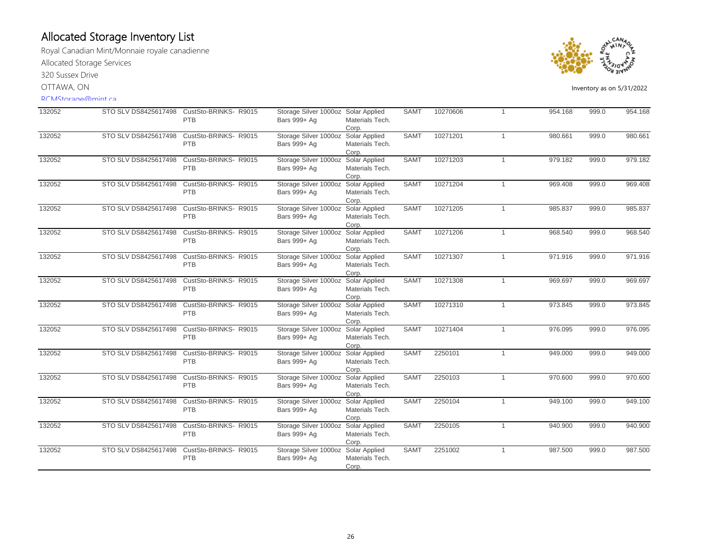Royal Canadian Mint/Monnaie royale canadienne Allocated Storage Services 320 Sussex Drive

OTTAWA, ON

#### RCMStorage@mint.ca



| 132052 | STO SLV DS8425617498 | CustSto-BRINKS-R9015                | Storage Silver 1000oz Solar Applied                 |                                  | <b>SAMT</b> | 10270606 | $\overline{1}$ | 954.168 | 999.0 | 954.168 |
|--------|----------------------|-------------------------------------|-----------------------------------------------------|----------------------------------|-------------|----------|----------------|---------|-------|---------|
|        |                      | <b>PTB</b>                          | Bars 999+ Ag                                        | Materials Tech.<br>Corp.         |             |          |                |         |       |         |
| 132052 | STO SLV DS8425617498 | CustSto-BRINKS-R9015                | Storage Silver 1000oz Solar Applied                 |                                  | <b>SAMT</b> | 10271201 | $\mathbf{1}$   | 980.661 | 999.0 | 980.661 |
|        |                      | PTB                                 | Bars 999+ Ag                                        | Materials Tech.                  |             |          |                |         |       |         |
| 132052 | STO SLV DS8425617498 | CustSto-BRINKS- R9015               | Storage Silver 1000oz Solar Applied                 | Corp.                            | <b>SAMT</b> | 10271203 | $\mathbf{1}$   | 979.182 | 999.0 | 979.182 |
|        |                      | PTB                                 | Bars 999+ Ag                                        | Materials Tech.                  |             |          |                |         |       |         |
|        |                      |                                     |                                                     | Corp.                            |             |          |                |         |       |         |
| 132052 | STO SLV DS8425617498 | CustSto-BRINKS- R9015<br>PTB        | Storage Silver 1000oz Solar Applied<br>Bars 999+ Ag | Materials Tech.<br>Corp.         | <b>SAMT</b> | 10271204 | $\mathbf{1}$   | 969.408 | 999.0 | 969.408 |
| 132052 | STO SLV DS8425617498 | CustSto-BRINKS- R9015<br>PTB        | Storage Silver 1000oz Solar Applied<br>Bars 999+ Ag | Materials Tech.                  | <b>SAMT</b> | 10271205 | $\overline{1}$ | 985.837 | 999.0 | 985.837 |
| 132052 | STO SLV DS8425617498 | CustSto-BRINKS-R9015                | Storage Silver 1000oz Solar Applied                 | Corp.                            | <b>SAMT</b> | 10271206 | $\mathbf{1}$   | 968.540 | 999.0 | 968.540 |
|        |                      | PTB                                 | Bars 999+ Ag                                        | Materials Tech.<br>Corp.         |             |          |                |         |       |         |
| 132052 | STO SLV DS8425617498 | CustSto-BRINKS- R9015               | Storage Silver 1000oz Solar Applied                 |                                  | <b>SAMT</b> | 10271307 | $\mathbf{1}$   | 971.916 | 999.0 | 971.916 |
|        |                      | PTB                                 | Bars 999+ Ag                                        | Materials Tech.<br>Corp.         |             |          |                |         |       |         |
| 132052 | STO SLV DS8425617498 | CustSto-BRINKS- R9015               | Storage Silver 1000oz Solar Applied                 |                                  | <b>SAMT</b> | 10271308 | $\mathbf{1}$   | 969.697 | 999.0 | 969.697 |
|        |                      | PTB                                 | Bars 999+ Ag                                        | Materials Tech.                  |             |          |                |         |       |         |
| 132052 |                      |                                     |                                                     | Corp.                            | <b>SAMT</b> | 10271310 |                |         | 999.0 | 973.845 |
|        | STO SLV DS8425617498 | CustSto-BRINKS- R9015<br><b>PTB</b> | Storage Silver 1000oz<br>Bars 999+ Ag               | Solar Applied<br>Materials Tech. |             |          | $\mathbf{1}$   | 973.845 |       |         |
|        |                      |                                     |                                                     | Corp.                            |             |          |                |         |       |         |
| 132052 | STO SLV DS8425617498 | CustSto-BRINKS- R9015               | Storage Silver 1000oz Solar Applied                 |                                  | <b>SAMT</b> | 10271404 | $\mathbf{1}$   | 976.095 | 999.0 | 976.095 |
|        |                      | <b>PTB</b>                          | Bars 999+ Ag                                        | Materials Tech.                  |             |          |                |         |       |         |
|        |                      |                                     |                                                     | Corp.                            |             |          |                |         |       |         |
| 132052 | STO SLV DS8425617498 | CustSto-BRINKS- R9015<br><b>PTB</b> | Storage Silver 1000oz Solar Applied<br>Bars 999+ Ag | Materials Tech.                  | <b>SAMT</b> | 2250101  | $\mathbf{1}$   | 949.000 | 999.0 | 949.000 |
|        |                      |                                     |                                                     | Corp.                            |             |          |                |         |       |         |
| 132052 | STO SLV DS8425617498 | CustSto-BRINKS- R9015               | Storage Silver 1000oz                               | Solar Applied                    | <b>SAMT</b> | 2250103  | $\mathbf{1}$   | 970.600 | 999.0 | 970.600 |
|        |                      | <b>PTB</b>                          | Bars 999+ Ag                                        | Materials Tech.                  |             |          |                |         |       |         |
|        |                      |                                     |                                                     | Corp.                            |             |          |                |         |       |         |
| 132052 | STO SLV DS8425617498 | CustSto-BRINKS-R9015                | Storage Silver 1000oz Solar Applied                 |                                  | <b>SAMT</b> | 2250104  | $\mathbf{1}$   | 949.100 | 999.0 | 949.100 |
|        |                      | <b>PTB</b>                          | Bars 999+ Ag                                        | Materials Tech.<br>Corp.         |             |          |                |         |       |         |
| 132052 | STO SLV DS8425617498 | CustSto-BRINKS- R9015               | Storage Silver 1000oz                               | Solar Applied                    | <b>SAMT</b> | 2250105  | $\overline{1}$ | 940.900 | 999.0 | 940.900 |
|        |                      | <b>PTB</b>                          | Bars 999+ Ag                                        | Materials Tech.                  |             |          |                |         |       |         |
|        |                      |                                     |                                                     | Corp.                            |             |          |                |         |       |         |
| 132052 | STO SLV DS8425617498 | CustSto-BRINKS-R9015<br>PTB         | Storage Silver 1000oz<br>Bars 999+ Ag               | Solar Applied<br>Materials Tech. | <b>SAMT</b> | 2251002  | $\mathbf{1}$   | 987.500 | 999.0 | 987.500 |
|        |                      |                                     |                                                     | Corp.                            |             |          |                |         |       |         |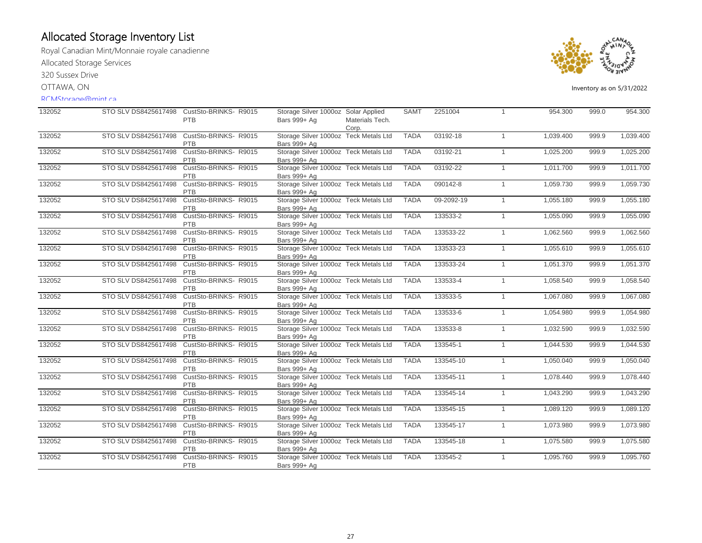Royal Canadian Mint/Monnaie royale canadienne Allocated Storage Services 320 Sussex Drive

OTTAWA, ON

### RCMStorage@mint.ca



| 132052 |                      | STO SLV DS8425617498 CustSto-BRINKS-R9015<br><b>PTB</b> | Storage Silver 1000oz Solar Applied<br>Bars 999+ Ag   | Materials Tech.<br>Corp. | <b>SAMT</b> | 2251004    | $\overline{1}$ | 954.300   | 999.0 | 954.300   |
|--------|----------------------|---------------------------------------------------------|-------------------------------------------------------|--------------------------|-------------|------------|----------------|-----------|-------|-----------|
| 132052 | STO SLV DS8425617498 | CustSto-BRINKS-R9015<br>PTB                             | Storage Silver 1000oz Teck Metals Ltd<br>Bars 999+ Ag |                          | <b>TADA</b> | 03192-18   | $\overline{1}$ | 1.039.400 | 999.9 | 1,039.400 |
| 132052 | STO SLV DS8425617498 | CustSto-BRINKS-R9015<br><b>PTB</b>                      | Storage Silver 1000oz Teck Metals Ltd<br>Bars 999+ Ag |                          | <b>TADA</b> | 03192-21   | $\overline{1}$ | 1,025.200 | 999.9 | 1,025.200 |
| 132052 | STO SLV DS8425617498 | CustSto-BRINKS- R9015<br>PTB                            | Storage Silver 1000oz Teck Metals Ltd<br>Bars 999+ Ag |                          | <b>TADA</b> | 03192-22   | $\overline{1}$ | 1,011.700 | 999.9 | 1,011.700 |
| 132052 | STO SLV DS8425617498 | CustSto-BRINKS-R9015<br><b>PTB</b>                      | Storage Silver 1000oz Teck Metals Ltd<br>Bars 999+ Ag |                          | <b>TADA</b> | 090142-8   | $\overline{1}$ | 1,059.730 | 999.9 | 1,059.730 |
| 132052 | STO SLV DS8425617498 | CustSto-BRINKS-R9015<br>PTB                             | Storage Silver 1000oz Teck Metals Ltd<br>Bars 999+ Ag |                          | <b>TADA</b> | 09-2092-19 | $\overline{1}$ | 1,055.180 | 999.9 | 1,055.180 |
| 132052 | STO SLV DS8425617498 | CustSto-BRINKS-R9015<br><b>PTB</b>                      | Storage Silver 1000oz Teck Metals Ltd<br>Bars 999+ Ag |                          | <b>TADA</b> | 133533-2   | $\overline{1}$ | 1,055.090 | 999.9 | 1,055.090 |
| 132052 | STO SLV DS8425617498 | CustSto-BRINKS-R9015<br>PTB                             | Storage Silver 1000oz Teck Metals Ltd<br>Bars 999+ Ag |                          | <b>TADA</b> | 133533-22  | $\overline{1}$ | 1,062.560 | 999.9 | 1,062.560 |
| 132052 | STO SLV DS8425617498 | CustSto-BRINKS-R9015<br>PTB                             | Storage Silver 1000oz Teck Metals Ltd<br>Bars 999+ Ag |                          | <b>TADA</b> | 133533-23  | $\overline{1}$ | 1,055.610 | 999.9 | 1,055.610 |
| 132052 | STO SLV DS8425617498 | CustSto-BRINKS- R9015<br>PTB                            | Storage Silver 1000oz Teck Metals Ltd<br>Bars 999+ Ag |                          | <b>TADA</b> | 133533-24  | $\overline{1}$ | 1,051.370 | 999.9 | 1,051.370 |
| 132052 | STO SLV DS8425617498 | CustSto-BRINKS- R9015<br>PTB                            | Storage Silver 1000oz Teck Metals Ltd<br>Bars 999+ Ag |                          | <b>TADA</b> | 133533-4   | $\overline{1}$ | 1,058.540 | 999.9 | 1,058.540 |
| 132052 | STO SLV DS8425617498 | CustSto-BRINKS-R9015<br>PTB                             | Storage Silver 1000oz Teck Metals Ltd<br>Bars 999+ Ag |                          | <b>TADA</b> | 133533-5   | $\overline{1}$ | 1,067.080 | 999.9 | 1,067.080 |
| 132052 | STO SLV DS8425617498 | CustSto-BRINKS-R9015<br>PTB                             | Storage Silver 1000oz Teck Metals Ltd<br>Bars 999+ Ag |                          | <b>TADA</b> | 133533-6   | $\overline{1}$ | 1,054.980 | 999.9 | 1,054.980 |
| 132052 | STO SLV DS8425617498 | CustSto-BRINKS-R9015<br><b>PTB</b>                      | Storage Silver 1000oz Teck Metals Ltd<br>Bars 999+ Ag |                          | <b>TADA</b> | 133533-8   | $\overline{1}$ | 1,032.590 | 999.9 | 1,032.590 |
| 132052 | STO SLV DS8425617498 | CustSto-BRINKS- R9015<br>PTB                            | Storage Silver 1000oz Teck Metals Ltd<br>Bars 999+ Ag |                          | <b>TADA</b> | 133545-1   | $\overline{1}$ | 1,044.530 | 999.9 | 1,044.530 |
| 132052 | STO SLV DS8425617498 | CustSto-BRINKS-R9015<br>PTB                             | Storage Silver 1000oz Teck Metals Ltd<br>Bars 999+ Ag |                          | <b>TADA</b> | 133545-10  | $\overline{1}$ | 1,050.040 | 999.9 | 1,050.040 |
| 132052 | STO SLV DS8425617498 | CustSto-BRINKS-R9015<br>PTB                             | Storage Silver 1000oz Teck Metals Ltd<br>Bars 999+ Ag |                          | <b>TADA</b> | 133545-11  | $\overline{1}$ | 1,078.440 | 999.9 | 1,078.440 |
| 132052 | STO SLV DS8425617498 | CustSto-BRINKS-R9015<br>PTB                             | Storage Silver 1000oz Teck Metals Ltd<br>Bars 999+ Ag |                          | <b>TADA</b> | 133545-14  | $\overline{1}$ | 1,043.290 | 999.9 | 1,043.290 |
| 132052 | STO SLV DS8425617498 | CustSto-BRINKS-R9015<br>PTB                             | Storage Silver 1000oz Teck Metals Ltd<br>Bars 999+ Ag |                          | <b>TADA</b> | 133545-15  | $\overline{1}$ | 1,089.120 | 999.9 | 1,089.120 |
| 132052 | STO SLV DS8425617498 | CustSto-BRINKS-R9015<br><b>PTB</b>                      | Storage Silver 1000oz Teck Metals Ltd<br>Bars 999+ Ag |                          | <b>TADA</b> | 133545-17  | $\mathbf{1}$   | 1,073.980 | 999.9 | 1,073.980 |
| 132052 | STO SLV DS8425617498 | CustSto-BRINKS- R9015<br>PTB                            | Storage Silver 1000oz Teck Metals Ltd<br>Bars 999+ Ag |                          | <b>TADA</b> | 133545-18  | $\overline{1}$ | 1,075.580 | 999.9 | 1,075.580 |
| 132052 | STO SLV DS8425617498 | CustSto-BRINKS-R9015<br><b>PTB</b>                      | Storage Silver 1000oz Teck Metals Ltd<br>Bars 999+ Ag |                          | <b>TADA</b> | 133545-2   | $\overline{1}$ | 1,095.760 | 999.9 | 1,095.760 |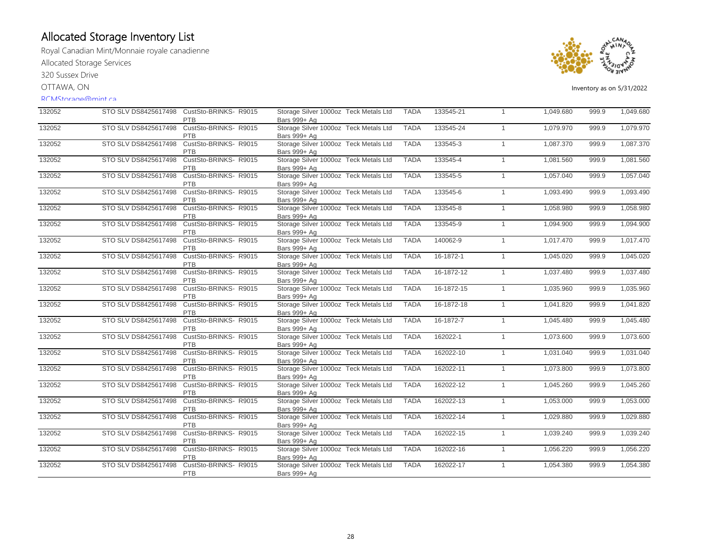Royal Canadian Mint/Monnaie royale canadienne Allocated Storage Services

320 Sussex Drive

OTTAWA, ON

#### RCMStorage@mint.ca



| 132052 |                      | STO SLV DS8425617498 CustSto-BRINKS-R9015<br>PTB | Storage Silver 1000oz Teck Metals Ltd<br>Bars 999+ Ag | <b>TADA</b> | 133545-21  | $\overline{1}$ | 1,049.680 | 999.9 | 1,049.680 |
|--------|----------------------|--------------------------------------------------|-------------------------------------------------------|-------------|------------|----------------|-----------|-------|-----------|
| 132052 | STO SLV DS8425617498 | CustSto-BRINKS- R9015<br><b>PTB</b>              | Storage Silver 1000oz Teck Metals Ltd<br>Bars 999+ Ag | <b>TADA</b> | 133545-24  | $\overline{1}$ | 1,079.970 | 999.9 | 1,079.970 |
| 132052 | STO SLV DS8425617498 | CustSto-BRINKS-R9015<br>PTB                      | Storage Silver 1000oz Teck Metals Ltd<br>Bars 999+ Ag | <b>TADA</b> | 133545-3   | $\overline{1}$ | 1,087.370 | 999.9 | 1,087.370 |
| 132052 | STO SLV DS8425617498 | CustSto-BRINKS-R9015<br><b>PTB</b>               | Storage Silver 1000oz Teck Metals Ltd<br>Bars 999+ Ag | <b>TADA</b> | 133545-4   | $\overline{1}$ | 1,081.560 | 999.9 | 1,081.560 |
| 132052 | STO SLV DS8425617498 | CustSto-BRINKS-R9015<br>PTB                      | Storage Silver 1000oz Teck Metals Ltd<br>Bars 999+ Ag | <b>TADA</b> | 133545-5   | $\overline{1}$ | 1,057.040 | 999.9 | 1,057.040 |
| 132052 | STO SLV DS8425617498 | CustSto-BRINKS- R9015<br><b>PTB</b>              | Storage Silver 1000oz Teck Metals Ltd<br>Bars 999+ Ag | <b>TADA</b> | 133545-6   | $\overline{1}$ | 1,093.490 | 999.9 | 1,093.490 |
| 132052 | STO SLV DS8425617498 | CustSto-BRINKS-R9015<br><b>PTB</b>               | Storage Silver 1000oz Teck Metals Ltd<br>Bars 999+ Ag | <b>TADA</b> | 133545-8   | $\overline{1}$ | 1,058.980 | 999.9 | 1,058.980 |
| 132052 | STO SLV DS8425617498 | CustSto-BRINKS-R9015<br><b>PTB</b>               | Storage Silver 1000oz Teck Metals Ltd<br>Bars 999+ Ag | <b>TADA</b> | 133545-9   | $\overline{1}$ | 1,094.900 | 999.9 | 1,094.900 |
| 132052 | STO SLV DS8425617498 | CustSto-BRINKS-R9015<br>PTB                      | Storage Silver 1000oz Teck Metals Ltd<br>Bars 999+ Ag | <b>TADA</b> | 140062-9   | $\overline{1}$ | 1.017.470 | 999.9 | 1,017.470 |
| 132052 | STO SLV DS8425617498 | CustSto-BRINKS-R9015<br>PTB                      | Storage Silver 1000oz Teck Metals Ltd<br>Bars 999+ Ag | <b>TADA</b> | 16-1872-1  | $\overline{1}$ | 1,045.020 | 999.9 | 1,045.020 |
| 132052 | STO SLV DS8425617498 | CustSto-BRINKS-R9015<br>PTB                      | Storage Silver 1000oz Teck Metals Ltd<br>Bars 999+ Ag | <b>TADA</b> | 16-1872-12 | $\overline{1}$ | 1,037.480 | 999.9 | 1,037.480 |
| 132052 | STO SLV DS8425617498 | CustSto-BRINKS-R9015<br>PTB                      | Storage Silver 1000oz Teck Metals Ltd<br>Bars 999+ Ag | <b>TADA</b> | 16-1872-15 | $\overline{1}$ | 1,035.960 | 999.9 | 1,035.960 |
| 132052 | STO SLV DS8425617498 | CustSto-BRINKS-R9015<br>PTB                      | Storage Silver 1000oz Teck Metals Ltd<br>Bars 999+ Ag | <b>TADA</b> | 16-1872-18 | $\overline{1}$ | 1,041.820 | 999.9 | 1,041.820 |
| 132052 | STO SLV DS8425617498 | CustSto-BRINKS-R9015<br>PTB                      | Storage Silver 1000oz Teck Metals Ltd<br>Bars 999+ Ag | <b>TADA</b> | 16-1872-7  | $\overline{1}$ | 1,045.480 | 999.9 | 1,045.480 |
| 132052 | STO SLV DS8425617498 | CustSto-BRINKS-R9015<br><b>PTB</b>               | Storage Silver 1000oz Teck Metals Ltd<br>Bars 999+ Ag | <b>TADA</b> | 162022-1   | $\overline{1}$ | 1,073.600 | 999.9 | 1,073.600 |
| 132052 | STO SLV DS8425617498 | CustSto-BRINKS- R9015<br><b>PTB</b>              | Storage Silver 1000oz Teck Metals Ltd<br>Bars 999+ Ag | <b>TADA</b> | 162022-10  | $\overline{1}$ | 1,031.040 | 999.9 | 1,031.040 |
| 132052 | STO SLV DS8425617498 | CustSto-BRINKS-R9015<br><b>PTB</b>               | Storage Silver 1000oz Teck Metals Ltd<br>Bars 999+ Ag | <b>TADA</b> | 162022-11  | $\overline{1}$ | 1,073.800 | 999.9 | 1,073.800 |
| 132052 | STO SLV DS8425617498 | CustSto-BRINKS-R9015<br><b>PTB</b>               | Storage Silver 1000oz Teck Metals Ltd<br>Bars 999+ Ag | <b>TADA</b> | 162022-12  | $\overline{1}$ | 1,045.260 | 999.9 | 1,045.260 |
| 132052 | STO SLV DS8425617498 | CustSto-BRINKS-R9015<br>PTB                      | Storage Silver 1000oz Teck Metals Ltd<br>Bars 999+ Ag | <b>TADA</b> | 162022-13  | $\overline{1}$ | 1,053.000 | 999.9 | 1,053.000 |
| 132052 | STO SLV DS8425617498 | CustSto-BRINKS-R9015<br>PTB                      | Storage Silver 1000oz Teck Metals Ltd<br>Bars 999+ Ag | <b>TADA</b> | 162022-14  | $\overline{1}$ | 1,029.880 | 999.9 | 1,029.880 |
| 132052 | STO SLV DS8425617498 | CustSto-BRINKS-R9015<br><b>PTB</b>               | Storage Silver 1000oz Teck Metals Ltd<br>Bars 999+ Ag | <b>TADA</b> | 162022-15  | $\overline{1}$ | 1,039.240 | 999.9 | 1,039.240 |
| 132052 | STO SLV DS8425617498 | CustSto-BRINKS-R9015<br>PTB                      | Storage Silver 1000oz Teck Metals Ltd<br>Bars 999+ Ag | <b>TADA</b> | 162022-16  | $\overline{1}$ | 1,056.220 | 999.9 | 1,056.220 |
| 132052 | STO SLV DS8425617498 | CustSto-BRINKS- R9015<br>PTB                     | Storage Silver 1000oz Teck Metals Ltd<br>Bars 999+ Ag | <b>TADA</b> | 162022-17  | $\overline{1}$ | 1,054.380 | 999.9 | 1,054.380 |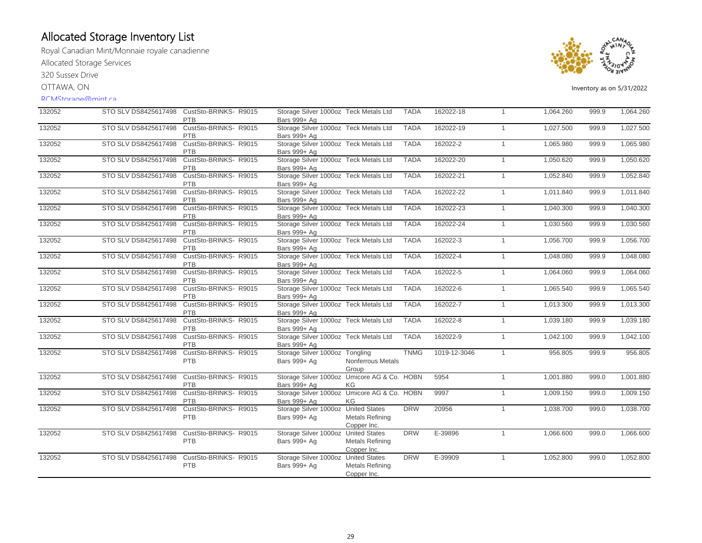Royal Canadian Mint/Monnaie royale canadienne Allocated Storage Services

320 Sussex Drive

OTTAWA, ON

#### RCMStorage@mint.ca



| 132052 | STO SLV DS8425617498 | CustSto-BRINKS-R9015<br>PTB         | Storage Silver 1000oz Teck Metals Ltd<br>Bars 999+ Ag       |                                       | <b>TADA</b> | 162022-18    | $\mathbf{1}$ | 1,064.260 | 999.9 | 1,064.260 |
|--------|----------------------|-------------------------------------|-------------------------------------------------------------|---------------------------------------|-------------|--------------|--------------|-----------|-------|-----------|
| 132052 | STO SLV DS8425617498 | CustSto-BRINKS-R9015<br><b>PTB</b>  | Storage Silver 1000oz Teck Metals Ltd<br>Bars 999+ Ag       |                                       | <b>TADA</b> | 162022-19    | $\mathbf{1}$ | 1,027.500 | 999.9 | 1,027.500 |
| 132052 | STO SLV DS8425617498 | CustSto-BRINKS- R9015<br>PTB        | Storage Silver 1000oz Teck Metals Ltd<br>Bars 999+ Ag       |                                       | <b>TADA</b> | 162022-2     | $\mathbf{1}$ | 1,065.980 | 999.9 | 1,065.980 |
| 132052 | STO SLV DS8425617498 | CustSto-BRINKS- R9015<br>PTB        | Storage Silver 1000oz Teck Metals Ltd<br>Bars 999+ Ag       |                                       | <b>TADA</b> | 162022-20    | $\mathbf{1}$ | 1,050.620 | 999.9 | 1,050.620 |
| 132052 | STO SLV DS8425617498 | CustSto-BRINKS-R9015<br>PTB         | Storage Silver 1000oz Teck Metals Ltd<br>Bars 999+ Ag       |                                       | <b>TADA</b> | 162022-21    | $\mathbf{1}$ | 1,052.840 | 999.9 | 1,052.840 |
| 132052 | STO SLV DS8425617498 | CustSto-BRINKS- R9015<br>PTB        | Storage Silver 1000oz Teck Metals Ltd<br>Bars 999+ Ag       |                                       | <b>TADA</b> | 162022-22    | $\mathbf{1}$ | 1,011.840 | 999.9 | 1,011.840 |
| 132052 | STO SLV DS8425617498 | CustSto-BRINKS-R9015<br>PTB         | Storage Silver 1000oz Teck Metals Ltd<br>Bars 999+ Ag       |                                       | <b>TADA</b> | 162022-23    | $\mathbf{1}$ | 1,040.300 | 999.9 | 1,040.300 |
| 132052 | STO SLV DS8425617498 | CustSto-BRINKS-R9015<br><b>PTB</b>  | Storage Silver 1000oz Teck Metals Ltd<br>Bars 999+ Ag       |                                       | <b>TADA</b> | 162022-24    | $\mathbf{1}$ | 1,030.560 | 999.9 | 1,030.560 |
| 132052 | STO SLV DS8425617498 | CustSto-BRINKS-R9015<br>PTB         | Storage Silver 1000oz Teck Metals Ltd<br>Bars 999+ Ag       |                                       | <b>TADA</b> | 162022-3     | $\mathbf{1}$ | 1,056.700 | 999.9 | 1,056.700 |
| 132052 | STO SLV DS8425617498 | CustSto-BRINKS-R9015<br>PTB         | Storage Silver 1000oz Teck Metals Ltd<br>Bars 999+ Ag       |                                       | <b>TADA</b> | 162022-4     | $\mathbf{1}$ | 1,048.080 | 999.9 | 1,048.080 |
| 132052 | STO SLV DS8425617498 | CustSto-BRINKS- R9015<br>PTB        | Storage Silver 1000oz Teck Metals Ltd<br>Bars 999+ Ag       |                                       | <b>TADA</b> | 162022-5     | $\mathbf{1}$ | 1,064.060 | 999.9 | 1,064.060 |
| 132052 | STO SLV DS8425617498 | CustSto-BRINKS-R9015<br>PTB         | Storage Silver 1000oz Teck Metals Ltd<br>Bars 999+ Ag       |                                       | <b>TADA</b> | 162022-6     | $\mathbf{1}$ | 1,065.540 | 999.9 | 1,065.540 |
| 132052 | STO SLV DS8425617498 | CustSto-BRINKS-R9015<br><b>PTB</b>  | Storage Silver 1000oz Teck Metals Ltd<br>Bars 999+ Ag       |                                       | <b>TADA</b> | 162022-7     | $\mathbf{1}$ | 1,013.300 | 999.9 | 1,013.300 |
| 132052 | STO SLV DS8425617498 | CustSto-BRINKS-R9015<br>PTB         | Storage Silver 1000oz Teck Metals Ltd<br>Bars 999+ Ag       |                                       | <b>TADA</b> | 162022-8     | $\mathbf{1}$ | 1,039.180 | 999.9 | 1,039.180 |
| 132052 | STO SLV DS8425617498 | CustSto-BRINKS-R9015<br>PTB         | Storage Silver 1000oz Teck Metals Ltd<br>Bars 999+ Ag       |                                       | <b>TADA</b> | 162022-9     | $\mathbf{1}$ | 1,042.100 | 999.9 | 1,042.100 |
| 132052 | STO SLV DS8425617498 | CustSto-BRINKS-R9015<br><b>PTB</b>  | Storage Silver 1000oz Tongling<br>Bars 999+ Ag              | Nonferrous Metals<br>Group            | <b>TNMG</b> | 1019-12-3046 | $\mathbf{1}$ | 956.805   | 999.9 | 956.805   |
| 132052 | STO SLV DS8425617498 | CustSto-BRINKS- R9015<br><b>PTB</b> | Storage Silver 1000oz Umicore AG & Co. HOBN<br>Bars 999+ Ag | KG                                    |             | 5954         | $\mathbf{1}$ | 1,001.880 | 999.0 | 1,001.880 |
| 132052 | STO SLV DS8425617498 | CustSto-BRINKS-R9015<br><b>PTB</b>  | Storage Silver 1000oz Umicore AG & Co. HOBN<br>Bars 999+ Ag | KG                                    |             | 9997         | $\mathbf{1}$ | 1,009.150 | 999.0 | 1,009.150 |
| 132052 | STO SLV DS8425617498 | CustSto-BRINKS-R9015<br><b>PTB</b>  | Storage Silver 1000oz United States<br>Bars 999+ Ag         | <b>Metals Refining</b><br>Copper Inc. | <b>DRW</b>  | 20956        | $\mathbf{1}$ | 1,038.700 | 999.0 | 1,038.700 |
| 132052 | STO SLV DS8425617498 | CustSto-BRINKS-R9015<br>PTB         | Storage Silver 1000oz United States<br>Bars 999+ Ag         | <b>Metals Refining</b><br>Copper Inc. | <b>DRW</b>  | E-39896      | $\mathbf{1}$ | 1,066.600 | 999.0 | 1,066.600 |
| 132052 | STO SLV DS8425617498 | CustSto-BRINKS- R9015<br>PTB        | Storage Silver 1000oz United States<br>Bars 999+ Ag         | <b>Metals Refining</b><br>Copper Inc. | <b>DRW</b>  | E-39909      | $\mathbf{1}$ | 1,052.800 | 999.0 | 1,052.800 |